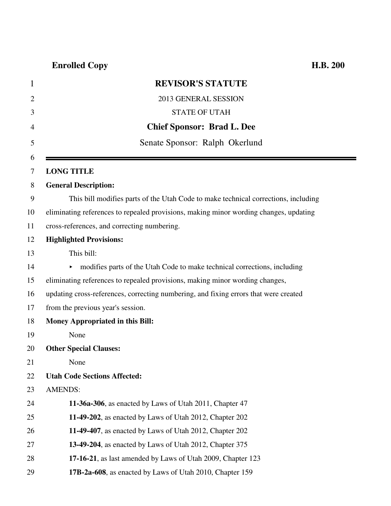| 1              | <b>REVISOR'S STATUTE</b>                                                              |
|----------------|---------------------------------------------------------------------------------------|
| $\overline{2}$ | 2013 GENERAL SESSION                                                                  |
| 3              | <b>STATE OF UTAH</b>                                                                  |
| 4              | <b>Chief Sponsor: Brad L. Dee</b>                                                     |
| 5              | Senate Sponsor: Ralph Okerlund                                                        |
| 6              |                                                                                       |
| 7              | <b>LONG TITLE</b>                                                                     |
| 8              | <b>General Description:</b>                                                           |
| 9              | This bill modifies parts of the Utah Code to make technical corrections, including    |
| 10             | eliminating references to repealed provisions, making minor wording changes, updating |
| 11             | cross-references, and correcting numbering.                                           |
| 12             | <b>Highlighted Provisions:</b>                                                        |
| 13             | This bill:                                                                            |
| 14             | modifies parts of the Utah Code to make technical corrections, including<br>▶         |
| 15             | eliminating references to repealed provisions, making minor wording changes,          |
| 16             | updating cross-references, correcting numbering, and fixing errors that were created  |
| 17             | from the previous year's session.                                                     |
| 18             | Money Appropriated in this Bill:                                                      |
| 19             | None                                                                                  |
| 20             | <b>Other Special Clauses:</b>                                                         |
| 21             | None                                                                                  |
| 22             | <b>Utah Code Sections Affected:</b>                                                   |
| 23             | <b>AMENDS:</b>                                                                        |
| 24             | 11-36a-306, as enacted by Laws of Utah 2011, Chapter 47                               |
| 25             | 11-49-202, as enacted by Laws of Utah 2012, Chapter 202                               |
| 26             | 11-49-407, as enacted by Laws of Utah 2012, Chapter 202                               |
| 27             | 13-49-204, as enacted by Laws of Utah 2012, Chapter 375                               |
| 28             | 17-16-21, as last amended by Laws of Utah 2009, Chapter 123                           |
| 29             | 17B-2a-608, as enacted by Laws of Utah 2010, Chapter 159                              |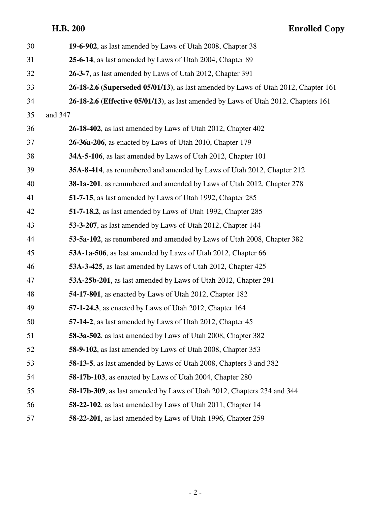| 30 | 19-6-902, as last amended by Laws of Utah 2008, Chapter 38                                 |
|----|--------------------------------------------------------------------------------------------|
| 31 | 25-6-14, as last amended by Laws of Utah 2004, Chapter 89                                  |
| 32 | 26-3-7, as last amended by Laws of Utah 2012, Chapter 391                                  |
| 33 | 26-18-2.6 (Superseded 05/01/13), as last amended by Laws of Utah 2012, Chapter 161         |
| 34 | <b>26-18-2.6 (Effective 05/01/13)</b> , as last amended by Laws of Utah 2012, Chapters 161 |
| 35 | and 347                                                                                    |
| 36 | 26-18-402, as last amended by Laws of Utah 2012, Chapter 402                               |
| 37 | <b>26-36a-206</b> , as enacted by Laws of Utah 2010, Chapter 179                           |
| 38 | 34A-5-106, as last amended by Laws of Utah 2012, Chapter 101                               |
| 39 | 35A-8-414, as renumbered and amended by Laws of Utah 2012, Chapter 212                     |
| 40 | 38-1a-201, as renumbered and amended by Laws of Utah 2012, Chapter 278                     |
| 41 | 51-7-15, as last amended by Laws of Utah 1992, Chapter 285                                 |
| 42 | 51-7-18.2, as last amended by Laws of Utah 1992, Chapter 285                               |
| 43 | 53-3-207, as last amended by Laws of Utah 2012, Chapter 144                                |
| 44 | 53-5a-102, as renumbered and amended by Laws of Utah 2008, Chapter 382                     |
| 45 | 53A-1a-506, as last amended by Laws of Utah 2012, Chapter 66                               |
| 46 | 53A-3-425, as last amended by Laws of Utah 2012, Chapter 425                               |
| 47 | 53A-25b-201, as last amended by Laws of Utah 2012, Chapter 291                             |
| 48 | <b>54-17-801</b> , as enacted by Laws of Utah 2012, Chapter 182                            |
| 49 | 57-1-24.3, as enacted by Laws of Utah 2012, Chapter 164                                    |
| 50 | 57-14-2, as last amended by Laws of Utah 2012, Chapter 45                                  |
| 51 | 58-3a-502, as last amended by Laws of Utah 2008, Chapter 382                               |
| 52 | 58-9-102, as last amended by Laws of Utah 2008, Chapter 353                                |
| 53 | 58-13-5, as last amended by Laws of Utah 2008, Chapters 3 and 382                          |
| 54 | 58-17b-103, as enacted by Laws of Utah 2004, Chapter 280                                   |
| 55 | 58-17b-309, as last amended by Laws of Utah 2012, Chapters 234 and 344                     |
| 56 | 58-22-102, as last amended by Laws of Utah 2011, Chapter 14                                |
| 57 | 58-22-201, as last amended by Laws of Utah 1996, Chapter 259                               |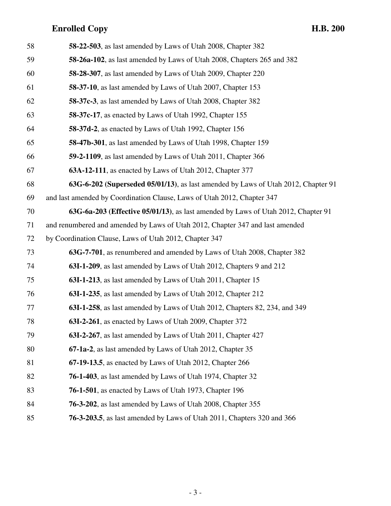| 58 | 58-22-503, as last amended by Laws of Utah 2008, Chapter 382                      |
|----|-----------------------------------------------------------------------------------|
| 59 | 58-26a-102, as last amended by Laws of Utah 2008, Chapters 265 and 382            |
| 60 | 58-28-307, as last amended by Laws of Utah 2009, Chapter 220                      |
| 61 | 58-37-10, as last amended by Laws of Utah 2007, Chapter 153                       |
| 62 | 58-37c-3, as last amended by Laws of Utah 2008, Chapter 382                       |
| 63 | 58-37c-17, as enacted by Laws of Utah 1992, Chapter 155                           |
| 64 | 58-37d-2, as enacted by Laws of Utah 1992, Chapter 156                            |
| 65 | 58-47b-301, as last amended by Laws of Utah 1998, Chapter 159                     |
| 66 | 59-2-1109, as last amended by Laws of Utah 2011, Chapter 366                      |
| 67 | 63A-12-111, as enacted by Laws of Utah 2012, Chapter 377                          |
| 68 | 63G-6-202 (Superseded 05/01/13), as last amended by Laws of Utah 2012, Chapter 91 |
| 69 | and last amended by Coordination Clause, Laws of Utah 2012, Chapter 347           |
| 70 | 63G-6a-203 (Effective 05/01/13), as last amended by Laws of Utah 2012, Chapter 91 |
| 71 | and renumbered and amended by Laws of Utah 2012, Chapter 347 and last amended     |
| 72 | by Coordination Clause, Laws of Utah 2012, Chapter 347                            |
| 73 | 63G-7-701, as renumbered and amended by Laws of Utah 2008, Chapter 382            |
| 74 | 63I-1-209, as last amended by Laws of Utah 2012, Chapters 9 and 212               |
| 75 | 63I-1-213, as last amended by Laws of Utah 2011, Chapter 15                       |
| 76 | 63I-1-235, as last amended by Laws of Utah 2012, Chapter 212                      |
| 77 | 63I-1-258, as last amended by Laws of Utah 2012, Chapters 82, 234, and 349        |
| 78 | 63I-2-261, as enacted by Laws of Utah 2009, Chapter 372                           |
| 79 | 63I-2-267, as last amended by Laws of Utah 2011, Chapter 427                      |
| 80 | 67-1a-2, as last amended by Laws of Utah 2012, Chapter 35                         |
| 81 | 67-19-13.5, as enacted by Laws of Utah 2012, Chapter 266                          |
| 82 | <b>76-1-403</b> , as last amended by Laws of Utah 1974, Chapter 32                |
| 83 | <b>76-1-501</b> , as enacted by Laws of Utah 1973, Chapter 196                    |
| 84 | 76-3-202, as last amended by Laws of Utah 2008, Chapter 355                       |
| 85 | <b>76-3-203.5</b> , as last amended by Laws of Utah 2011, Chapters 320 and 366    |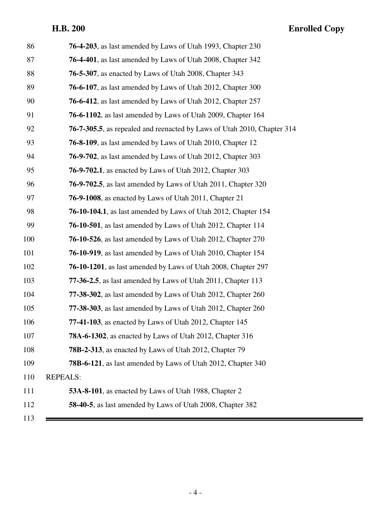| 86  | 76-4-203, as last amended by Laws of Utah 1993, Chapter 230                     |
|-----|---------------------------------------------------------------------------------|
| 87  | <b>76-4-401</b> , as last amended by Laws of Utah 2008, Chapter 342             |
| 88  | <b>76-5-307</b> , as enacted by Laws of Utah 2008, Chapter 343                  |
| 89  | <b>76-6-107</b> , as last amended by Laws of Utah 2012, Chapter 300             |
| 90  | <b>76-6-412</b> , as last amended by Laws of Utah 2012, Chapter 257             |
| 91  | <b>76-6-1102</b> , as last amended by Laws of Utah 2009, Chapter 164            |
| 92  | <b>76-7-305.5</b> , as repealed and reenacted by Laws of Utah 2010, Chapter 314 |
| 93  | <b>76-8-109</b> , as last amended by Laws of Utah 2010, Chapter 12              |
| 94  | <b>76-9-702</b> , as last amended by Laws of Utah 2012, Chapter 303             |
| 95  | <b>76-9-702.1</b> , as enacted by Laws of Utah 2012, Chapter 303                |
| 96  | <b>76-9-702.5</b> , as last amended by Laws of Utah 2011, Chapter 320           |
| 97  | <b>76-9-1008</b> , as enacted by Laws of Utah 2011, Chapter 21                  |
| 98  | <b>76-10-104.1</b> , as last amended by Laws of Utah 2012, Chapter 154          |
| 99  | <b>76-10-501</b> , as last amended by Laws of Utah 2012, Chapter 114            |
| 100 | <b>76-10-526</b> , as last amended by Laws of Utah 2012, Chapter 270            |
| 101 | 76-10-919, as last amended by Laws of Utah 2010, Chapter 154                    |
| 102 | <b>76-10-1201</b> , as last amended by Laws of Utah 2008, Chapter 297           |
| 103 | <b>77-36-2.5</b> , as last amended by Laws of Utah 2011, Chapter 113            |
| 104 | 77-38-302, as last amended by Laws of Utah 2012, Chapter 260                    |
| 105 | 77-38-303, as last amended by Laws of Utah 2012, Chapter 260                    |
| 106 | 77-41-103, as enacted by Laws of Utah 2012, Chapter 145                         |
| 107 | <b>78A-6-1302</b> , as enacted by Laws of Utah 2012, Chapter 316                |
| 108 | 78B-2-313, as enacted by Laws of Utah 2012, Chapter 79                          |
| 109 | 78B-6-121, as last amended by Laws of Utah 2012, Chapter 340                    |
| 110 | <b>REPEALS:</b>                                                                 |
| 111 | 53A-8-101, as enacted by Laws of Utah 1988, Chapter 2                           |
| 112 | 58-40-5, as last amended by Laws of Utah 2008, Chapter 382                      |
| 113 |                                                                                 |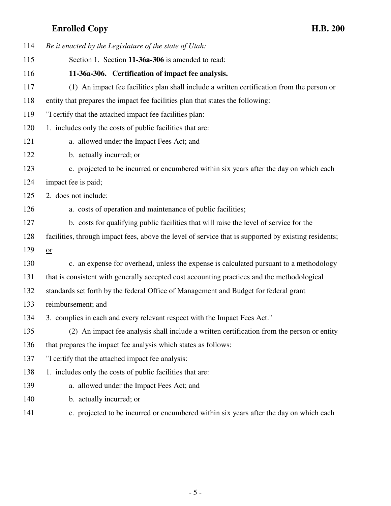| 114 | Be it enacted by the Legislature of the state of Utah:                                               |
|-----|------------------------------------------------------------------------------------------------------|
| 115 | Section 1. Section 11-36a-306 is amended to read:                                                    |
| 116 | 11-36a-306. Certification of impact fee analysis.                                                    |
| 117 | (1) An impact fee facilities plan shall include a written certification from the person or           |
| 118 | entity that prepares the impact fee facilities plan that states the following:                       |
| 119 | "I certify that the attached impact fee facilities plan:                                             |
| 120 | 1. includes only the costs of public facilities that are:                                            |
| 121 | a. allowed under the Impact Fees Act; and                                                            |
| 122 | b. actually incurred; or                                                                             |
| 123 | c. projected to be incurred or encumbered within six years after the day on which each               |
| 124 | impact fee is paid;                                                                                  |
| 125 | 2. does not include:                                                                                 |
| 126 | a. costs of operation and maintenance of public facilities;                                          |
| 127 | b. costs for qualifying public facilities that will raise the level of service for the               |
| 128 | facilities, through impact fees, above the level of service that is supported by existing residents; |
| 129 | or                                                                                                   |
| 130 | c. an expense for overhead, unless the expense is calculated pursuant to a methodology               |
| 131 | that is consistent with generally accepted cost accounting practices and the methodological          |
| 132 | standards set forth by the federal Office of Management and Budget for federal grant                 |
| 133 | reimbursement; and                                                                                   |
| 134 | 3. complies in each and every relevant respect with the Impact Fees Act."                            |
| 135 | (2) An impact fee analysis shall include a written certification from the person or entity           |
| 136 | that prepares the impact fee analysis which states as follows:                                       |
| 137 | "I certify that the attached impact fee analysis:                                                    |
| 138 | 1. includes only the costs of public facilities that are:                                            |
| 139 | a. allowed under the Impact Fees Act; and                                                            |
| 140 | b. actually incurred; or                                                                             |
| 141 | c. projected to be incurred or encumbered within six years after the day on which each               |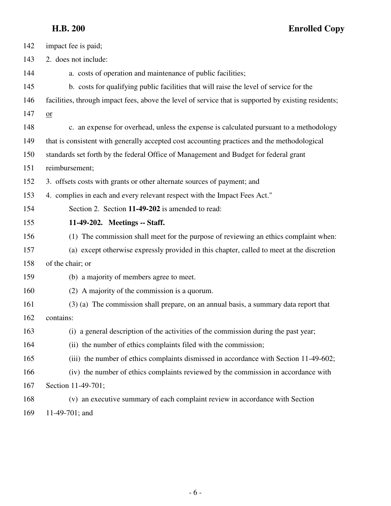| 142 | impact fee is paid;                                                                                  |
|-----|------------------------------------------------------------------------------------------------------|
| 143 | 2. does not include:                                                                                 |
| 144 | a. costs of operation and maintenance of public facilities;                                          |
| 145 | b. costs for qualifying public facilities that will raise the level of service for the               |
| 146 | facilities, through impact fees, above the level of service that is supported by existing residents; |
| 147 | $or$                                                                                                 |
| 148 | c. an expense for overhead, unless the expense is calculated pursuant to a methodology               |
| 149 | that is consistent with generally accepted cost accounting practices and the methodological          |
| 150 | standards set forth by the federal Office of Management and Budget for federal grant                 |
| 151 | reimbursement;                                                                                       |
| 152 | 3. offsets costs with grants or other alternate sources of payment; and                              |
| 153 | 4. complies in each and every relevant respect with the Impact Fees Act."                            |
| 154 | Section 2. Section 11-49-202 is amended to read:                                                     |
| 155 | 11-49-202. Meetings -- Staff.                                                                        |
| 156 | (1) The commission shall meet for the purpose of reviewing an ethics complaint when:                 |
| 157 | (a) except otherwise expressly provided in this chapter, called to meet at the discretion            |
| 158 | of the chair; or                                                                                     |
| 159 | (b) a majority of members agree to meet.                                                             |
| 160 | (2) A majority of the commission is a quorum.                                                        |
| 161 | (3) (a) The commission shall prepare, on an annual basis, a summary data report that                 |
| 162 | contains:                                                                                            |
| 163 | (i) a general description of the activities of the commission during the past year;                  |
| 164 | (ii) the number of ethics complaints filed with the commission;                                      |
| 165 | (iii) the number of ethics complaints dismissed in accordance with Section 11-49-602;                |
| 166 | (iv) the number of ethics complaints reviewed by the commission in accordance with                   |
| 167 | Section 11-49-701;                                                                                   |
| 168 | (v) an executive summary of each complaint review in accordance with Section                         |
| 169 | 11-49-701; and                                                                                       |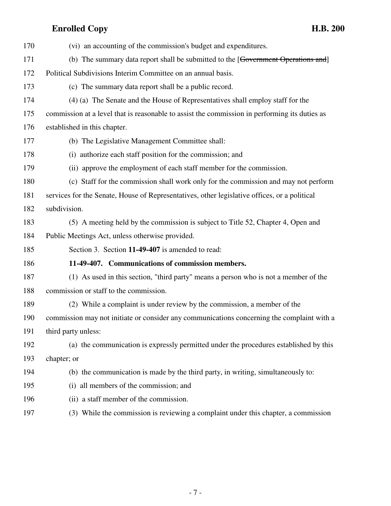| 170 | (vi) an accounting of the commission's budget and expenditures.                               |
|-----|-----------------------------------------------------------------------------------------------|
| 171 | (b) The summary data report shall be submitted to the [Government Operations and]             |
| 172 | Political Subdivisions Interim Committee on an annual basis.                                  |
| 173 | (c) The summary data report shall be a public record.                                         |
| 174 | (4) (a) The Senate and the House of Representatives shall employ staff for the                |
| 175 | commission at a level that is reasonable to assist the commission in performing its duties as |
| 176 | established in this chapter.                                                                  |
| 177 | (b) The Legislative Management Committee shall:                                               |
| 178 | (i) authorize each staff position for the commission; and                                     |
| 179 | (ii) approve the employment of each staff member for the commission.                          |
| 180 | (c) Staff for the commission shall work only for the commission and may not perform           |
| 181 | services for the Senate, House of Representatives, other legislative offices, or a political  |
| 182 | subdivision.                                                                                  |
| 183 | (5) A meeting held by the commission is subject to Title 52, Chapter 4, Open and              |
| 184 | Public Meetings Act, unless otherwise provided.                                               |
| 185 | Section 3. Section 11-49-407 is amended to read:                                              |
| 186 | 11-49-407. Communications of commission members.                                              |
| 187 | (1) As used in this section, "third party" means a person who is not a member of the          |
| 188 | commission or staff to the commission.                                                        |
| 189 | (2) While a complaint is under review by the commission, a member of the                      |
| 190 | commission may not initiate or consider any communications concerning the complaint with a    |
| 191 | third party unless:                                                                           |
| 192 | (a) the communication is expressly permitted under the procedures established by this         |
| 193 | chapter; or                                                                                   |
| 194 | (b) the communication is made by the third party, in writing, simultaneously to:              |
| 195 | all members of the commission; and<br>(i)                                                     |
| 196 | (ii) a staff member of the commission.                                                        |
| 197 | (3) While the commission is reviewing a complaint under this chapter, a commission            |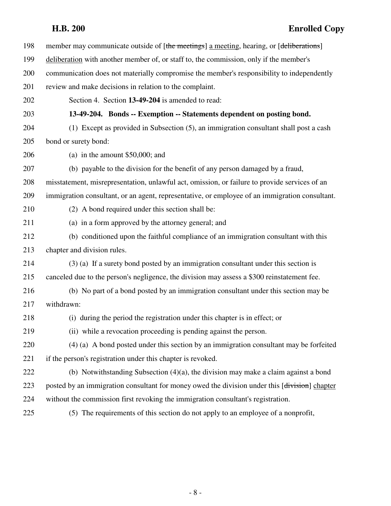| 198 | member may communicate outside of [the meetings] a meeting, hearing, or [deliberations]        |
|-----|------------------------------------------------------------------------------------------------|
| 199 | deliberation with another member of, or staff to, the commission, only if the member's         |
| 200 | communication does not materially compromise the member's responsibility to independently      |
| 201 | review and make decisions in relation to the complaint.                                        |
| 202 | Section 4. Section 13-49-204 is amended to read:                                               |
| 203 | 13-49-204. Bonds -- Exemption -- Statements dependent on posting bond.                         |
| 204 | (1) Except as provided in Subsection (5), an immigration consultant shall post a cash          |
| 205 | bond or surety bond:                                                                           |
| 206 | (a) in the amount $$50,000$ ; and                                                              |
| 207 | (b) payable to the division for the benefit of any person damaged by a fraud,                  |
| 208 | misstatement, misrepresentation, unlawful act, omission, or failure to provide services of an  |
| 209 | immigration consultant, or an agent, representative, or employee of an immigration consultant. |
| 210 | (2) A bond required under this section shall be:                                               |
| 211 | (a) in a form approved by the attorney general; and                                            |
| 212 | (b) conditioned upon the faithful compliance of an immigration consultant with this            |
| 213 | chapter and division rules.                                                                    |
| 214 | (3) (a) If a surety bond posted by an immigration consultant under this section is             |
| 215 | canceled due to the person's negligence, the division may assess a \$300 reinstatement fee.    |
| 216 | (b) No part of a bond posted by an immigration consultant under this section may be            |
| 217 | withdrawn:                                                                                     |
| 218 | (i) during the period the registration under this chapter is in effect; or                     |
| 219 | (ii) while a revocation proceeding is pending against the person.                              |
| 220 | $(4)$ (a) A bond posted under this section by an immigration consultant may be forfeited       |
| 221 | if the person's registration under this chapter is revoked.                                    |
| 222 | (b) Notwithstanding Subsection $(4)(a)$ , the division may make a claim against a bond         |
| 223 | posted by an immigration consultant for money owed the division under this [division] chapter  |
| 224 | without the commission first revoking the immigration consultant's registration.               |
| 225 | (5) The requirements of this section do not apply to an employee of a nonprofit,               |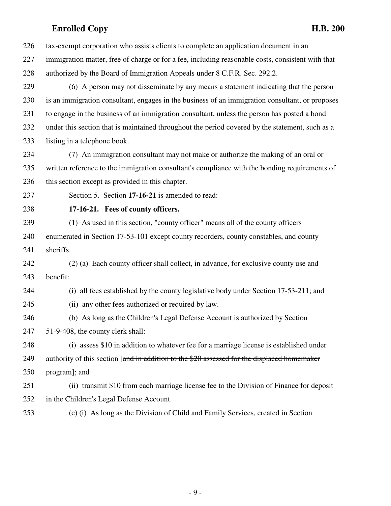226 tax-exempt corporation who assists clients to complete an application document in an 227 immigration matter, free of charge or for a fee, including reasonable costs, consistent with that 228 authorized by the Board of Immigration Appeals under 8 C.F.R. Sec. 292.2.

229 (6) A person may not disseminate by any means a statement indicating that the person 230 is an immigration consultant, engages in the business of an immigration consultant, or proposes 231 to engage in the business of an immigration consultant, unless the person has posted a bond 232 under this section that is maintained throughout the period covered by the statement, such as a 233 listing in a telephone book.

234 (7) An immigration consultant may not make or authorize the making of an oral or 235 written reference to the immigration consultant's compliance with the bonding requirements of 236 this section except as provided in this chapter.

237 Section 5. Section **17-16-21** is amended to read:

238 **17-16-21. Fees of county officers.**

239 (1) As used in this section, "county officer" means all of the county officers 240 enumerated in Section 17-53-101 except county recorders, county constables, and county 241 sheriffs.

242 (2) (a) Each county officer shall collect, in advance, for exclusive county use and 243 benefit:

244 (i) all fees established by the county legislative body under Section 17-53-211; and

- 245 (ii) any other fees authorized or required by law.
- 246 (b) As long as the Children's Legal Defense Account is authorized by Section

247 51-9-408, the county clerk shall:

248 (i) assess \$10 in addition to whatever fee for a marriage license is established under 249 authority of this section [and in addition to the \$20 assessed for the displaced homemaker

250  $program$ ; and

251 (ii) transmit \$10 from each marriage license fee to the Division of Finance for deposit 252 in the Children's Legal Defense Account.

253 (c) (i) As long as the Division of Child and Family Services, created in Section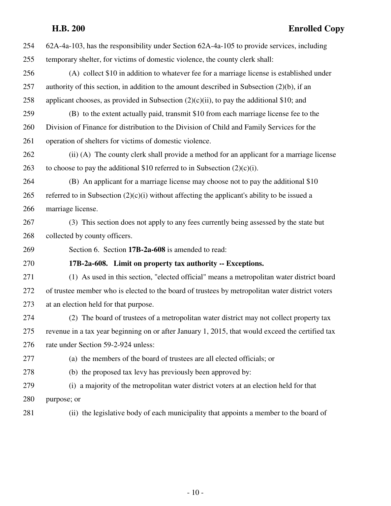| 254 | 62A-4a-103, has the responsibility under Section 62A-4a-105 to provide services, including       |
|-----|--------------------------------------------------------------------------------------------------|
| 255 | temporary shelter, for victims of domestic violence, the county clerk shall:                     |
| 256 | (A) collect \$10 in addition to whatever fee for a marriage license is established under         |
| 257 | authority of this section, in addition to the amount described in Subsection $(2)(b)$ , if an    |
| 258 | applicant chooses, as provided in Subsection $(2)(c)(ii)$ , to pay the additional \$10; and      |
| 259 | (B) to the extent actually paid, transmit \$10 from each marriage license fee to the             |
| 260 | Division of Finance for distribution to the Division of Child and Family Services for the        |
| 261 | operation of shelters for victims of domestic violence.                                          |
| 262 | (ii) (A) The county clerk shall provide a method for an applicant for a marriage license         |
| 263 | to choose to pay the additional \$10 referred to in Subsection $(2)(c)(i)$ .                     |
| 264 | (B) An applicant for a marriage license may choose not to pay the additional \$10                |
| 265 | referred to in Subsection $(2)(c)(i)$ without affecting the applicant's ability to be issued a   |
| 266 | marriage license.                                                                                |
| 267 | (3) This section does not apply to any fees currently being assessed by the state but            |
| 268 | collected by county officers.                                                                    |
| 269 | Section 6. Section 17B-2a-608 is amended to read:                                                |
| 270 | 17B-2a-608. Limit on property tax authority -- Exceptions.                                       |
| 271 | (1) As used in this section, "elected official" means a metropolitan water district board        |
| 272 | of trustee member who is elected to the board of trustees by metropolitan water district voters  |
| 273 | at an election held for that purpose.                                                            |
| 274 | (2) The board of trustees of a metropolitan water district may not collect property tax          |
| 275 | revenue in a tax year beginning on or after January 1, 2015, that would exceed the certified tax |
| 276 | rate under Section 59-2-924 unless:                                                              |
| 277 | (a) the members of the board of trustees are all elected officials; or                           |
| 278 | (b) the proposed tax levy has previously been approved by:                                       |
| 279 | (i) a majority of the metropolitan water district voters at an election held for that            |
| 280 | purpose; or                                                                                      |
| 281 | (ii) the legislative body of each municipality that appoints a member to the board of            |
|     |                                                                                                  |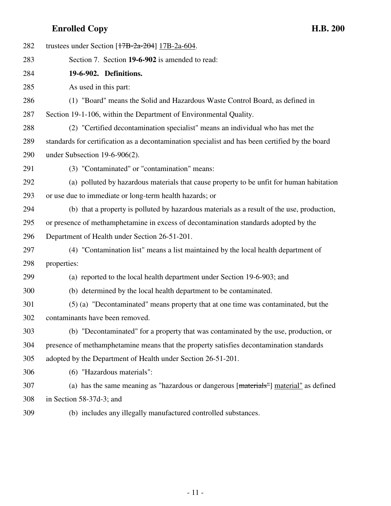| 282 | trustees under Section $[17B-2a-204]$ 17B-2a-604.                                               |
|-----|-------------------------------------------------------------------------------------------------|
| 283 | Section 7. Section 19-6-902 is amended to read:                                                 |
| 284 | 19-6-902. Definitions.                                                                          |
| 285 | As used in this part:                                                                           |
| 286 | (1) "Board" means the Solid and Hazardous Waste Control Board, as defined in                    |
| 287 | Section 19-1-106, within the Department of Environmental Quality.                               |
| 288 | (2) "Certified decontamination specialist" means an individual who has met the                  |
| 289 | standards for certification as a decontamination specialist and has been certified by the board |
| 290 | under Subsection $19-6-906(2)$ .                                                                |
| 291 | (3) "Contaminated" or "contamination" means:                                                    |
| 292 | (a) polluted by hazardous materials that cause property to be unfit for human habitation        |
| 293 | or use due to immediate or long-term health hazards; or                                         |
| 294 | (b) that a property is polluted by hazardous materials as a result of the use, production,      |
| 295 | or presence of methamphetamine in excess of decontamination standards adopted by the            |
| 296 | Department of Health under Section 26-51-201.                                                   |
| 297 | (4) "Contamination list" means a list maintained by the local health department of              |
| 298 | properties:                                                                                     |
| 299 | (a) reported to the local health department under Section 19-6-903; and                         |
| 300 | (b) determined by the local health department to be contaminated.                               |
| 301 | (5) (a) "Decontaminated" means property that at one time was contaminated, but the              |
| 302 | contaminants have been removed.                                                                 |
| 303 | (b) "Decontaminated" for a property that was contaminated by the use, production, or            |
| 304 | presence of methamphetamine means that the property satisfies decontamination standards         |
| 305 | adopted by the Department of Health under Section 26-51-201.                                    |
| 306 | (6) "Hazardous materials":                                                                      |
| 307 | (a) has the same meaning as "hazardous or dangerous [materials"] material" as defined           |
| 308 | in Section 58-37d-3; and                                                                        |

309 (b) includes any illegally manufactured controlled substances.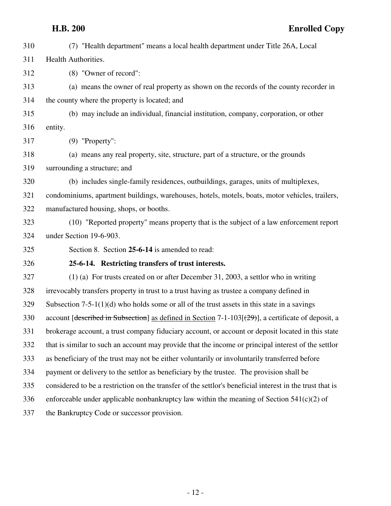| 310 | (7) "Health department" means a local health department under Title 26A, Local                           |
|-----|----------------------------------------------------------------------------------------------------------|
| 311 | Health Authorities.                                                                                      |
| 312 | (8) "Owner of record":                                                                                   |
| 313 | (a) means the owner of real property as shown on the records of the county recorder in                   |
| 314 | the county where the property is located; and                                                            |
| 315 | (b) may include an individual, financial institution, company, corporation, or other                     |
| 316 | entity.                                                                                                  |
| 317 | $(9)$ "Property":                                                                                        |
| 318 | (a) means any real property, site, structure, part of a structure, or the grounds                        |
| 319 | surrounding a structure; and                                                                             |
| 320 | (b) includes single-family residences, outbuildings, garages, units of multiplexes,                      |
| 321 | condominiums, apartment buildings, warehouses, hotels, motels, boats, motor vehicles, trailers,          |
| 322 | manufactured housing, shops, or booths.                                                                  |
| 323 | (10) "Reported property" means property that is the subject of a law enforcement report                  |
| 324 | under Section 19-6-903.                                                                                  |
| 325 | Section 8. Section 25-6-14 is amended to read:                                                           |
| 326 | 25-6-14. Restricting transfers of trust interests.                                                       |
| 327 | $(1)$ (a) For trusts created on or after December 31, 2003, a settlor who in writing                     |
| 328 | irrevocably transfers property in trust to a trust having as trustee a company defined in                |
| 329 | Subsection $7-5-1(1)(d)$ who holds some or all of the trust assets in this state in a savings            |
| 330 | account [described in Subsection] as defined in Section 7-1-103[(29)], a certificate of deposit, a       |
| 331 | brokerage account, a trust company fiduciary account, or account or deposit located in this state        |
| 332 | that is similar to such an account may provide that the income or principal interest of the settlor      |
| 333 | as beneficiary of the trust may not be either voluntarily or involuntarily transferred before            |
| 334 | payment or delivery to the settlor as beneficiary by the trustee. The provision shall be                 |
| 335 | considered to be a restriction on the transfer of the settlor's beneficial interest in the trust that is |
| 336 | enforceable under applicable nonbankruptcy law within the meaning of Section $541(c)(2)$ of              |
| 337 | the Bankruptcy Code or successor provision.                                                              |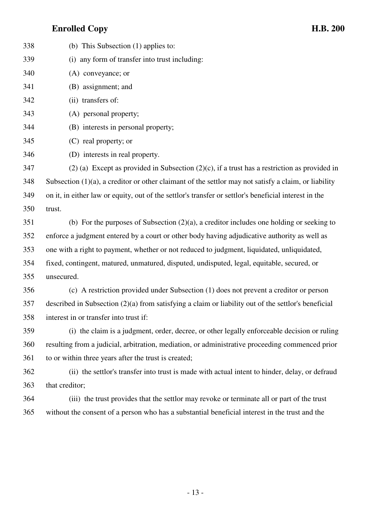| 338 | (b) This Subsection $(1)$ applies to:                                                                   |
|-----|---------------------------------------------------------------------------------------------------------|
| 339 | (i) any form of transfer into trust including:                                                          |
| 340 | (A) conveyance; or                                                                                      |
| 341 | (B) assignment; and                                                                                     |
| 342 | (ii) transfers of:                                                                                      |
| 343 | (A) personal property;                                                                                  |
| 344 | (B) interests in personal property;                                                                     |
| 345 | (C) real property; or                                                                                   |
| 346 | (D) interests in real property.                                                                         |
| 347 | $(2)$ (a) Except as provided in Subsection (2)(c), if a trust has a restriction as provided in          |
| 348 | Subsection $(1)(a)$ , a creditor or other claimant of the settlor may not satisfy a claim, or liability |
| 349 | on it, in either law or equity, out of the settlor's transfer or settlor's beneficial interest in the   |
| 350 | trust.                                                                                                  |
| 351 | (b) For the purposes of Subsection $(2)(a)$ , a creditor includes one holding or seeking to             |
| 352 | enforce a judgment entered by a court or other body having adjudicative authority as well as            |
| 353 | one with a right to payment, whether or not reduced to judgment, liquidated, unliquidated,              |
| 354 | fixed, contingent, matured, unmatured, disputed, undisputed, legal, equitable, secured, or              |
| 355 | unsecured.                                                                                              |
| 356 | (c) A restriction provided under Subsection (1) does not prevent a creditor or person                   |
| 357 | described in Subsection $(2)(a)$ from satisfying a claim or liability out of the settlor's beneficial   |
| 358 | interest in or transfer into trust if:                                                                  |
| 359 | (i) the claim is a judgment, order, decree, or other legally enforceable decision or ruling             |
| 360 | resulting from a judicial, arbitration, mediation, or administrative proceeding commenced prior         |
| 361 | to or within three years after the trust is created;                                                    |
| 362 | (ii) the settlor's transfer into trust is made with actual intent to hinder, delay, or defraud          |
| 363 | that creditor;                                                                                          |
| 364 | (iii) the trust provides that the settlor may revoke or terminate all or part of the trust              |
|     |                                                                                                         |

364 (iii) the trust provides that the settlor may revoke or terminate all or part of the trust 365 without the consent of a person who has a substantial beneficial interest in the trust and the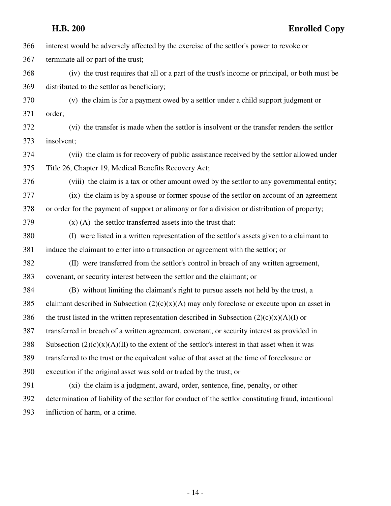|     | <b>H.B. 200</b><br><b>Enrolled Copy</b>                                                              |
|-----|------------------------------------------------------------------------------------------------------|
| 366 | interest would be adversely affected by the exercise of the settlor's power to revoke or             |
| 367 | terminate all or part of the trust;                                                                  |
| 368 | (iv) the trust requires that all or a part of the trust's income or principal, or both must be       |
| 369 | distributed to the settlor as beneficiary;                                                           |
| 370 | (v) the claim is for a payment owed by a settlor under a child support judgment or                   |
| 371 | order;                                                                                               |
| 372 | (vi) the transfer is made when the settlor is insolvent or the transfer renders the settlor          |
| 373 | insolvent;                                                                                           |
| 374 | (vii) the claim is for recovery of public assistance received by the settlor allowed under           |
| 375 | Title 26, Chapter 19, Medical Benefits Recovery Act;                                                 |
| 376 | (viii) the claim is a tax or other amount owed by the settlor to any governmental entity;            |
| 377 | (ix) the claim is by a spouse or former spouse of the settlor on account of an agreement             |
| 378 | or order for the payment of support or alimony or for a division or distribution of property;        |
| 379 | $(x)$ (A) the settlor transferred assets into the trust that:                                        |
| 380 | (I) were listed in a written representation of the settlor's assets given to a claimant to           |
| 381 | induce the claimant to enter into a transaction or agreement with the settlor; or                    |
| 382 | (II) were transferred from the settlor's control in breach of any written agreement,                 |
| 383 | covenant, or security interest between the settlor and the claimant; or                              |
| 384 | (B) without limiting the claimant's right to pursue assets not held by the trust, a                  |
| 385 | claimant described in Subsection $(2)(c)(x)(A)$ may only foreclose or execute upon an asset in       |
| 386 | the trust listed in the written representation described in Subsection $(2)(c)(x)(A)(I)$ or          |
| 387 | transferred in breach of a written agreement, covenant, or security interest as provided in          |
| 388 | Subsection $(2)(c)(x)(A)(II)$ to the extent of the settlor's interest in that asset when it was      |
| 389 | transferred to the trust or the equivalent value of that asset at the time of foreclosure or         |
| 390 | execution if the original asset was sold or traded by the trust; or                                  |
| 391 | (xi) the claim is a judgment, award, order, sentence, fine, penalty, or other                        |
| 392 | determination of liability of the settlor for conduct of the settlor constituting fraud, intentional |
| 393 | infliction of harm, or a crime.                                                                      |
|     |                                                                                                      |
|     |                                                                                                      |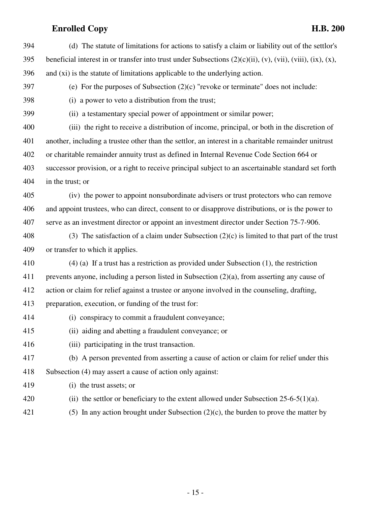394 (d) The statute of limitations for actions to satisfy a claim or liability out of the settlor's 395 beneficial interest in or transfer into trust under Subsections  $(2)(c)(ii)$ ,  $(v)$ ,  $(vii)$ ,  $(viii)$ ,  $(ix)$ ,  $(x)$ , 396 and (xi) is the statute of limitations applicable to the underlying action. 397 (e) For the purposes of Subsection (2)(c) "revoke or terminate" does not include: 398 (i) a power to veto a distribution from the trust; 399 (ii) a testamentary special power of appointment or similar power; 400 (iii) the right to receive a distribution of income, principal, or both in the discretion of 401 another, including a trustee other than the settlor, an interest in a charitable remainder unitrust 402 or charitable remainder annuity trust as defined in Internal Revenue Code Section 664 or 403 successor provision, or a right to receive principal subject to an ascertainable standard set forth 404 in the trust; or 405 (iv) the power to appoint nonsubordinate advisers or trust protectors who can remove 406 and appoint trustees, who can direct, consent to or disapprove distributions, or is the power to 407 serve as an investment director or appoint an investment director under Section 75-7-906. 408 (3) The satisfaction of a claim under Subsection  $(2)(c)$  is limited to that part of the trust 409 or transfer to which it applies. 410 (4) (a) If a trust has a restriction as provided under Subsection (1), the restriction 411 prevents anyone, including a person listed in Subsection (2)(a), from asserting any cause of 412 action or claim for relief against a trustee or anyone involved in the counseling, drafting, 413 preparation, execution, or funding of the trust for: 414 (i) conspiracy to commit a fraudulent conveyance; 415 (ii) aiding and abetting a fraudulent conveyance; or 416 (iii) participating in the trust transaction. 417 (b) A person prevented from asserting a cause of action or claim for relief under this 418 Subsection (4) may assert a cause of action only against: 419 (i) the trust assets; or 420 (ii) the settlor or beneficiary to the extent allowed under Subsection 25-6-5(1)(a). 421 (5) In any action brought under Subsection  $(2)(c)$ , the burden to prove the matter by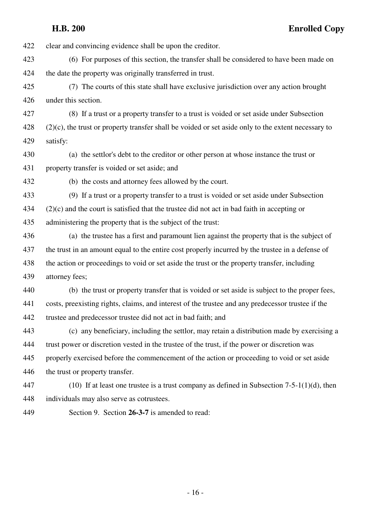422 clear and convincing evidence shall be upon the creditor. 423 (6) For purposes of this section, the transfer shall be considered to have been made on 424 the date the property was originally transferred in trust. 425 (7) The courts of this state shall have exclusive jurisdiction over any action brought 426 under this section. 427 (8) If a trust or a property transfer to a trust is voided or set aside under Subsection  $428$  (2)(c), the trust or property transfer shall be voided or set aside only to the extent necessary to 429 satisfy: 430 (a) the settlor's debt to the creditor or other person at whose instance the trust or 431 property transfer is voided or set aside; and 432 (b) the costs and attorney fees allowed by the court. 433 (9) If a trust or a property transfer to a trust is voided or set aside under Subsection 434 (2)(c) and the court is satisfied that the trustee did not act in bad faith in accepting or 435 administering the property that is the subject of the trust: 436 (a) the trustee has a first and paramount lien against the property that is the subject of 437 the trust in an amount equal to the entire cost properly incurred by the trustee in a defense of 438 the action or proceedings to void or set aside the trust or the property transfer, including 439 attorney fees; 440 (b) the trust or property transfer that is voided or set aside is subject to the proper fees, 441 costs, preexisting rights, claims, and interest of the trustee and any predecessor trustee if the 442 trustee and predecessor trustee did not act in bad faith; and 443 (c) any beneficiary, including the settlor, may retain a distribution made by exercising a 444 trust power or discretion vested in the trustee of the trust, if the power or discretion was 445 properly exercised before the commencement of the action or proceeding to void or set aside 446 the trust or property transfer. 447 (10) If at least one trustee is a trust company as defined in Subsection 7-5-1(1)(d), then

- 448 individuals may also serve as cotrustees.
- 449 Section 9. Section **26-3-7** is amended to read:

- 16 -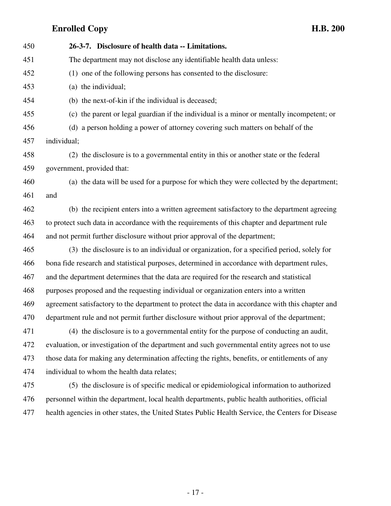| 450 | 26-3-7. Disclosure of health data -- Limitations.                                                 |
|-----|---------------------------------------------------------------------------------------------------|
| 451 | The department may not disclose any identifiable health data unless:                              |
| 452 | (1) one of the following persons has consented to the disclosure:                                 |
| 453 | (a) the individual;                                                                               |
| 454 | (b) the next-of-kin if the individual is deceased;                                                |
| 455 | (c) the parent or legal guardian if the individual is a minor or mentally incompetent; or         |
| 456 | (d) a person holding a power of attorney covering such matters on behalf of the                   |
| 457 | individual;                                                                                       |
| 458 | (2) the disclosure is to a governmental entity in this or another state or the federal            |
| 459 | government, provided that:                                                                        |
| 460 | (a) the data will be used for a purpose for which they were collected by the department;          |
| 461 | and                                                                                               |
| 462 | (b) the recipient enters into a written agreement satisfactory to the department agreeing         |
| 463 | to protect such data in accordance with the requirements of this chapter and department rule      |
| 464 | and not permit further disclosure without prior approval of the department;                       |
| 465 | (3) the disclosure is to an individual or organization, for a specified period, solely for        |
| 466 | bona fide research and statistical purposes, determined in accordance with department rules,      |
| 467 | and the department determines that the data are required for the research and statistical         |
| 468 | purposes proposed and the requesting individual or organization enters into a written             |
| 469 | agreement satisfactory to the department to protect the data in accordance with this chapter and  |
| 470 | department rule and not permit further disclosure without prior approval of the department;       |
| 471 | (4) the disclosure is to a governmental entity for the purpose of conducting an audit,            |
| 472 | evaluation, or investigation of the department and such governmental entity agrees not to use     |
| 473 | those data for making any determination affecting the rights, benefits, or entitlements of any    |
| 474 | individual to whom the health data relates;                                                       |
| 475 | (5) the disclosure is of specific medical or epidemiological information to authorized            |
| 476 | personnel within the department, local health departments, public health authorities, official    |
| 477 | health agencies in other states, the United States Public Health Service, the Centers for Disease |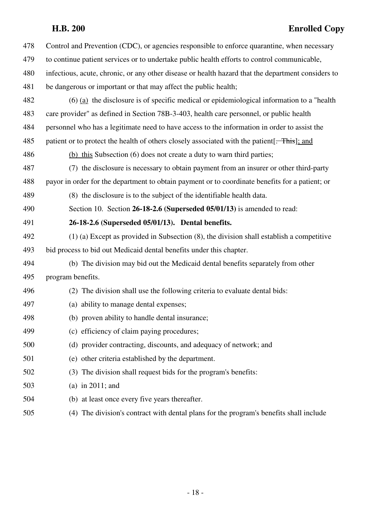| 478 | Control and Prevention (CDC), or agencies responsible to enforce quarantine, when necessary        |
|-----|----------------------------------------------------------------------------------------------------|
| 479 | to continue patient services or to undertake public health efforts to control communicable,        |
| 480 | infectious, acute, chronic, or any other disease or health hazard that the department considers to |
| 481 | be dangerous or important or that may affect the public health;                                    |
| 482 | $(6)$ (a) the disclosure is of specific medical or epidemiological information to a "health"       |
| 483 | care provider" as defined in Section 78B-3-403, health care personnel, or public health            |
| 484 | personnel who has a legitimate need to have access to the information in order to assist the       |
| 485 | patient or to protect the health of others closely associated with the patient. This, and          |
| 486 | (b) this Subsection (6) does not create a duty to warn third parties;                              |
| 487 | (7) the disclosure is necessary to obtain payment from an insurer or other third-party             |
| 488 | payor in order for the department to obtain payment or to coordinate benefits for a patient; or    |
| 489 | (8) the disclosure is to the subject of the identifiable health data.                              |
| 490 | Section 10. Section 26-18-2.6 (Superseded 05/01/13) is amended to read:                            |
| 491 | 26-18-2.6 (Superseded 05/01/13). Dental benefits.                                                  |
| 492 | $(1)$ (a) Except as provided in Subsection $(8)$ , the division shall establish a competitive      |
| 493 | bid process to bid out Medicaid dental benefits under this chapter.                                |
| 494 | (b) The division may bid out the Medicaid dental benefits separately from other                    |
| 495 | program benefits.                                                                                  |
| 496 | (2) The division shall use the following criteria to evaluate dental bids:                         |
| 497 | (a) ability to manage dental expenses;                                                             |
| 498 | (b) proven ability to handle dental insurance;                                                     |
| 499 | (c) efficiency of claim paying procedures;                                                         |
| 500 | (d) provider contracting, discounts, and adequacy of network; and                                  |
| 501 | (e) other criteria established by the department.                                                  |
| 502 | (3) The division shall request bids for the program's benefits:                                    |
| 503 | (a) in $2011$ ; and                                                                                |
| 504 | (b) at least once every five years thereafter.                                                     |
|     |                                                                                                    |

505 (4) The division's contract with dental plans for the program's benefits shall include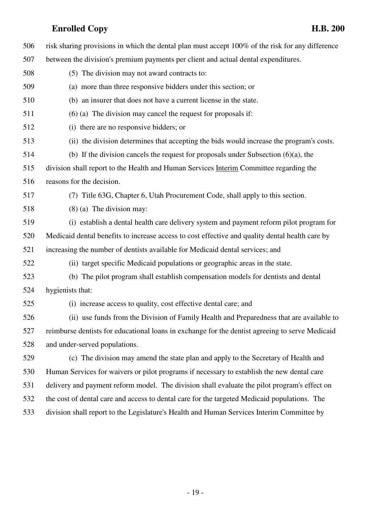506 risk sharing provisions in which the dental plan must accept 100% of the risk for any difference 507 between the division's premium payments per client and actual dental expenditures. 508 (5) The division may not award contracts to: 509 (a) more than three responsive bidders under this section; or 510 (b) an insurer that does not have a current license in the state. 511 (6) (a) The division may cancel the request for proposals if: 512 (i) there are no responsive bidders; or 513 (ii) the division determines that accepting the bids would increase the program's costs. 514 (b) If the division cancels the request for proposals under Subsection (6)(a), the 515 division shall report to the Health and Human Services Interim Committee regarding the 516 reasons for the decision. 517 (7) Title 63G, Chapter 6, Utah Procurement Code, shall apply to this section. 518 (8) (a) The division may: 519 (i) establish a dental health care delivery system and payment reform pilot program for 520 Medicaid dental benefits to increase access to cost effective and quality dental health care by 521 increasing the number of dentists available for Medicaid dental services; and 522 (ii) target specific Medicaid populations or geographic areas in the state. 523 (b) The pilot program shall establish compensation models for dentists and dental 524 hygienists that: 525 (i) increase access to quality, cost effective dental care; and 526 (ii) use funds from the Division of Family Health and Preparedness that are available to 527 reimburse dentists for educational loans in exchange for the dentist agreeing to serve Medicaid 528 and under-served populations. 529 (c) The division may amend the state plan and apply to the Secretary of Health and 530 Human Services for waivers or pilot programs if necessary to establish the new dental care 531 delivery and payment reform model. The division shall evaluate the pilot program's effect on 532 the cost of dental care and access to dental care for the targeted Medicaid populations. The 533 division shall report to the Legislature's Health and Human Services Interim Committee by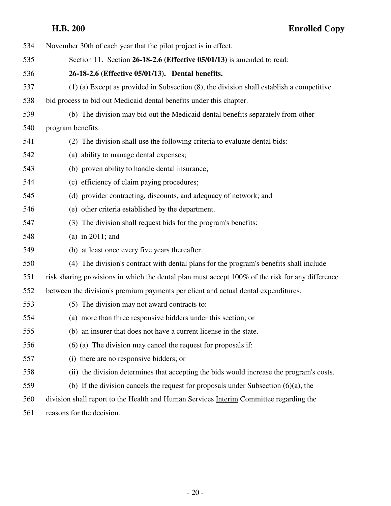| 534 | November 30th of each year that the pilot project is in effect.                                  |
|-----|--------------------------------------------------------------------------------------------------|
| 535 | Section 11. Section 26-18-2.6 (Effective 05/01/13) is amended to read:                           |
| 536 | 26-18-2.6 (Effective 05/01/13). Dental benefits.                                                 |
| 537 | $(1)$ (a) Except as provided in Subsection $(8)$ , the division shall establish a competitive    |
| 538 | bid process to bid out Medicaid dental benefits under this chapter.                              |
| 539 | (b) The division may bid out the Medicaid dental benefits separately from other                  |
| 540 | program benefits.                                                                                |
| 541 | (2) The division shall use the following criteria to evaluate dental bids:                       |
| 542 | (a) ability to manage dental expenses;                                                           |
| 543 | (b) proven ability to handle dental insurance;                                                   |
| 544 | (c) efficiency of claim paying procedures;                                                       |
| 545 | (d) provider contracting, discounts, and adequacy of network; and                                |
| 546 | (e) other criteria established by the department.                                                |
| 547 | (3) The division shall request bids for the program's benefits:                                  |
| 548 | (a) in $2011$ ; and                                                                              |
| 549 | (b) at least once every five years thereafter.                                                   |
| 550 | (4) The division's contract with dental plans for the program's benefits shall include           |
| 551 | risk sharing provisions in which the dental plan must accept 100% of the risk for any difference |
| 552 | between the division's premium payments per client and actual dental expenditures.               |
| 553 | (5) The division may not award contracts to:                                                     |
| 554 | (a) more than three responsive bidders under this section; or                                    |
| 555 | (b) an insurer that does not have a current license in the state.                                |
| 556 | $(6)$ (a) The division may cancel the request for proposals if:                                  |
| 557 | (i) there are no responsive bidders; or                                                          |
| 558 | (ii) the division determines that accepting the bids would increase the program's costs.         |
| 559 | (b) If the division cancels the request for proposals under Subsection $(6)(a)$ , the            |
| 560 | division shall report to the Health and Human Services Interim Committee regarding the           |
| 561 | reasons for the decision.                                                                        |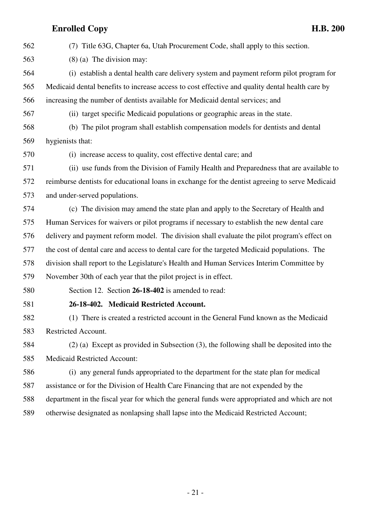562 (7) Title 63G, Chapter 6a, Utah Procurement Code, shall apply to this section. 563 (8) (a) The division may: 564 (i) establish a dental health care delivery system and payment reform pilot program for 565 Medicaid dental benefits to increase access to cost effective and quality dental health care by 566 increasing the number of dentists available for Medicaid dental services; and 567 (ii) target specific Medicaid populations or geographic areas in the state. 568 (b) The pilot program shall establish compensation models for dentists and dental 569 hygienists that: 570 (i) increase access to quality, cost effective dental care; and 571 (ii) use funds from the Division of Family Health and Preparedness that are available to 572 reimburse dentists for educational loans in exchange for the dentist agreeing to serve Medicaid 573 and under-served populations. 574 (c) The division may amend the state plan and apply to the Secretary of Health and 575 Human Services for waivers or pilot programs if necessary to establish the new dental care 576 delivery and payment reform model. The division shall evaluate the pilot program's effect on 577 the cost of dental care and access to dental care for the targeted Medicaid populations. The 578 division shall report to the Legislature's Health and Human Services Interim Committee by 579 November 30th of each year that the pilot project is in effect. 580 Section 12. Section **26-18-402** is amended to read: 581 **26-18-402. Medicaid Restricted Account.** 582 (1) There is created a restricted account in the General Fund known as the Medicaid 583 Restricted Account. 584 (2) (a) Except as provided in Subsection (3), the following shall be deposited into the 585 Medicaid Restricted Account: 586 (i) any general funds appropriated to the department for the state plan for medical 587 assistance or for the Division of Health Care Financing that are not expended by the 588 department in the fiscal year for which the general funds were appropriated and which are not 589 otherwise designated as nonlapsing shall lapse into the Medicaid Restricted Account;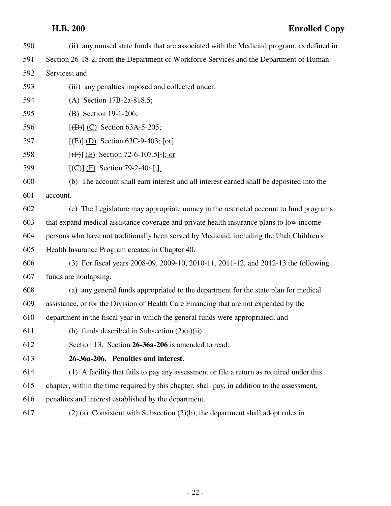590 (ii) any unused state funds that are associated with the Medicaid program, as defined in 591 Section 26-18-2, from the Department of Workforce Services and the Department of Human 592 Services; and 593 (iii) any penalties imposed and collected under: 594 (A) Section 17B-2a-818.5; 595 (B) Section 19-1-206; 596 **[(D)]** (C) Section 63A-5-205; 597 **[(E)]** (D) Section 63C-9-403;  $[\text{or}]$ 598 **[(F)]** (E) Section 72-6-107.5[.]; or 599 [(C)] (F) Section 79-2-404[;]. 600 (b) The account shall earn interest and all interest earned shall be deposited into the 601 account. 602 (c) The Legislature may appropriate money in the restricted account to fund programs 603 that expand medical assistance coverage and private health insurance plans to low income 604 persons who have not traditionally been served by Medicaid, including the Utah Children's 605 Health Insurance Program created in Chapter 40. 606 (3) For fiscal years 2008-09, 2009-10, 2010-11, 2011-12, and 2012-13 the following 607 funds are nonlapsing: 608 (a) any general funds appropriated to the department for the state plan for medical 609 assistance, or for the Division of Health Care Financing that are not expended by the 610 department in the fiscal year in which the general funds were appropriated; and 611 (b) funds described in Subsection  $(2)(a)(ii)$ . 612 Section 13. Section **26-36a-206** is amended to read: 613 **26-36a-206. Penalties and interest.** 614 (1) A facility that fails to pay any assessment or file a return as required under this 615 chapter, within the time required by this chapter, shall pay, in addition to the assessment, 616 penalties and interest established by the department. 617 (2) (a) Consistent with Subsection (2)(b), the department shall adopt rules in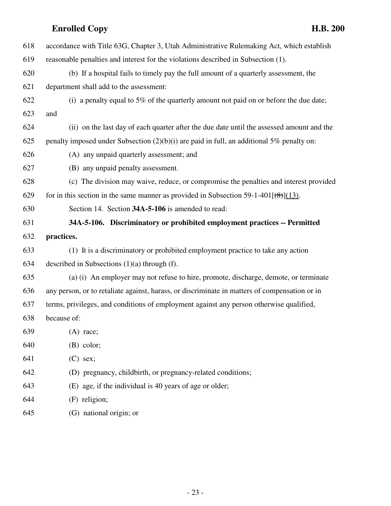| 618 | accordance with Title 63G, Chapter 3, Utah Administrative Rulemaking Act, which establish       |
|-----|-------------------------------------------------------------------------------------------------|
| 619 | reasonable penalties and interest for the violations described in Subsection (1).               |
| 620 | (b) If a hospital fails to timely pay the full amount of a quarterly assessment, the            |
| 621 | department shall add to the assessment:                                                         |
| 622 | (i) a penalty equal to 5% of the quarterly amount not paid on or before the due date;           |
| 623 | and                                                                                             |
| 624 | (ii) on the last day of each quarter after the due date until the assessed amount and the       |
| 625 | penalty imposed under Subsection $(2)(b)(i)$ are paid in full, an additional 5% penalty on:     |
| 626 | (A) any unpaid quarterly assessment; and                                                        |
| 627 | (B) any unpaid penalty assessment.                                                              |
| 628 | (c) The division may waive, reduce, or compromise the penalties and interest provided           |
| 629 | for in this section in the same manner as provided in Subsection 59-1-401 $(\frac{8}{6})$ (13). |
| 630 | Section 14. Section 34A-5-106 is amended to read:                                               |
| 631 | 34A-5-106. Discriminatory or prohibited employment practices -- Permitted                       |
| 632 | practices.                                                                                      |
| 633 | (1) It is a discriminatory or prohibited employment practice to take any action                 |
| 634 | described in Subsections $(1)(a)$ through $(f)$ .                                               |
| 635 | (a) (i) An employer may not refuse to hire, promote, discharge, demote, or terminate            |
| 636 | any person, or to retaliate against, harass, or discriminate in matters of compensation or in   |
| 637 | terms, privileges, and conditions of employment against any person otherwise qualified,         |
| 638 | because of:                                                                                     |
| 639 | $(A)$ race;                                                                                     |
| 640 | $(B)$ color;                                                                                    |
| 641 | $(C)$ sex;                                                                                      |
| 642 | (D) pregnancy, childbirth, or pregnancy-related conditions;                                     |
| 643 | (E) age, if the individual is 40 years of age or older;                                         |
| 644 | (F) religion;                                                                                   |
| 645 | (G) national origin; or                                                                         |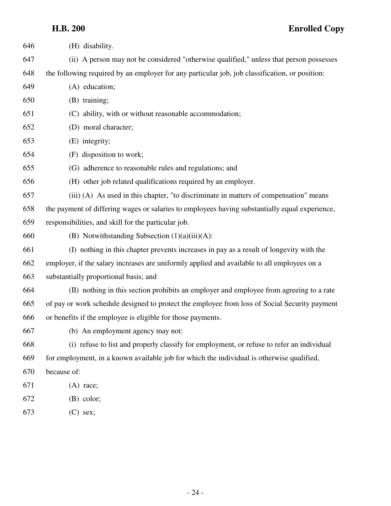| 646 | (H) disability.                                                                                |
|-----|------------------------------------------------------------------------------------------------|
| 647 | (ii) A person may not be considered "otherwise qualified," unless that person possesses        |
| 648 | the following required by an employer for any particular job, job classification, or position: |
| 649 | (A) education;                                                                                 |
| 650 | (B) training;                                                                                  |
| 651 | (C) ability, with or without reasonable accommodation;                                         |
| 652 | (D) moral character;                                                                           |
| 653 | (E) integrity;                                                                                 |
| 654 | (F) disposition to work;                                                                       |
| 655 | (G) adherence to reasonable rules and regulations; and                                         |
| 656 | (H) other job related qualifications required by an employer.                                  |
| 657 | (iii) (A) As used in this chapter, "to discriminate in matters of compensation" means          |
| 658 | the payment of differing wages or salaries to employees having substantially equal experience, |
| 659 | responsibilities, and skill for the particular job.                                            |
| 660 | (B) Notwithstanding Subsection $(1)(a)(iii)(A)$ :                                              |
| 661 | (I) nothing in this chapter prevents increases in pay as a result of longevity with the        |
| 662 | employer, if the salary increases are uniformly applied and available to all employees on a    |
| 663 | substantially proportional basis; and                                                          |
| 664 | (II) nothing in this section prohibits an employer and employee from agreeing to a rate        |
| 665 | of pay or work schedule designed to protect the employee from loss of Social Security payment  |
| 666 | or benefits if the employee is eligible for those payments.                                    |
| 667 | (b) An employment agency may not:                                                              |
| 668 | (i) refuse to list and properly classify for employment, or refuse to refer an individual      |
| 669 | for employment, in a known available job for which the individual is otherwise qualified,      |
| 670 | because of:                                                                                    |
| 671 | $(A)$ race;                                                                                    |
| 672 | $(B)$ color;                                                                                   |

673 (C) sex;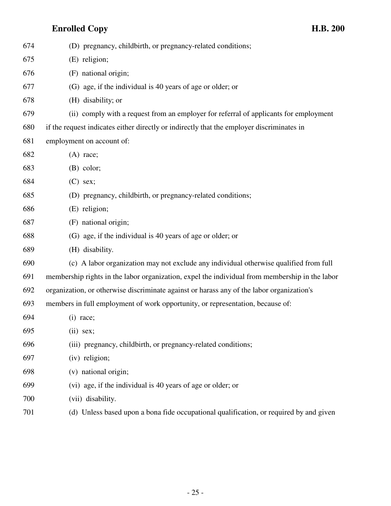| 674 | (D) pregnancy, childbirth, or pregnancy-related conditions;                                    |
|-----|------------------------------------------------------------------------------------------------|
| 675 | (E) religion;                                                                                  |
| 676 | (F) national origin;                                                                           |
| 677 | (G) age, if the individual is 40 years of age or older; or                                     |
| 678 | (H) disability; or                                                                             |
| 679 | (ii) comply with a request from an employer for referral of applicants for employment          |
| 680 | if the request indicates either directly or indirectly that the employer discriminates in      |
| 681 | employment on account of:                                                                      |
| 682 | $(A)$ race;                                                                                    |
| 683 | $(B)$ color;                                                                                   |
| 684 | $(C)$ sex;                                                                                     |
| 685 | (D) pregnancy, childbirth, or pregnancy-related conditions;                                    |
| 686 | (E) religion;                                                                                  |
| 687 | (F) national origin;                                                                           |
| 688 | (G) age, if the individual is 40 years of age or older; or                                     |
| 689 | (H) disability.                                                                                |
| 690 | (c) A labor organization may not exclude any individual otherwise qualified from full          |
| 691 | membership rights in the labor organization, expel the individual from membership in the labor |
| 692 | organization, or otherwise discriminate against or harass any of the labor organization's      |
| 693 | members in full employment of work opportunity, or representation, because of:                 |
| 694 | $(i)$ race;                                                                                    |
| 695 | $(ii)$ sex;                                                                                    |
| 696 | (iii) pregnancy, childbirth, or pregnancy-related conditions;                                  |
| 697 | (iv) religion;                                                                                 |
| 698 | (v) national origin;                                                                           |
| 699 | (vi) age, if the individual is 40 years of age or older; or                                    |
| 700 | (vii) disability.                                                                              |
| 701 | (d) Unless based upon a bona fide occupational qualification, or required by and given         |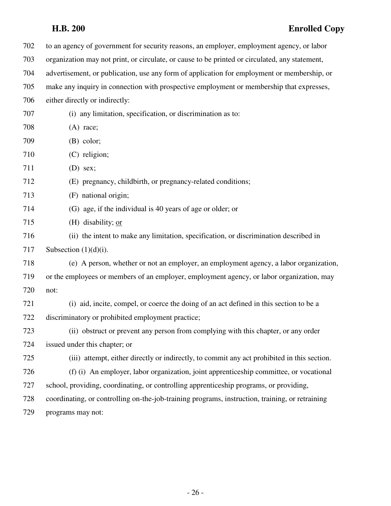| 702 | to an agency of government for security reasons, an employer, employment agency, or labor       |
|-----|-------------------------------------------------------------------------------------------------|
| 703 | organization may not print, or circulate, or cause to be printed or circulated, any statement,  |
| 704 | advertisement, or publication, use any form of application for employment or membership, or     |
| 705 | make any inquiry in connection with prospective employment or membership that expresses,        |
| 706 | either directly or indirectly:                                                                  |
| 707 | (i) any limitation, specification, or discrimination as to:                                     |
| 708 | $(A)$ race;                                                                                     |
| 709 | $(B)$ color;                                                                                    |
| 710 | (C) religion;                                                                                   |
| 711 | $(D)$ sex;                                                                                      |
| 712 | (E) pregnancy, childbirth, or pregnancy-related conditions;                                     |
| 713 | (F) national origin;                                                                            |
| 714 | (G) age, if the individual is 40 years of age or older; or                                      |
| 715 | (H) disability; $or$                                                                            |
| 716 | (ii) the intent to make any limitation, specification, or discrimination described in           |
| 717 | Subsection $(1)(d)(i)$ .                                                                        |
| 718 | (e) A person, whether or not an employer, an employment agency, a labor organization,           |
| 719 | or the employees or members of an employer, employment agency, or labor organization, may       |
| 720 | not:                                                                                            |
| 721 | (i) aid, incite, compel, or coerce the doing of an act defined in this section to be a          |
| 722 | discriminatory or prohibited employment practice;                                               |
| 723 | (ii) obstruct or prevent any person from complying with this chapter, or any order              |
| 724 | issued under this chapter; or                                                                   |
| 725 | (iii) attempt, either directly or indirectly, to commit any act prohibited in this section.     |
| 726 | (f) (i) An employer, labor organization, joint apprenticeship committee, or vocational          |
| 727 | school, providing, coordinating, or controlling apprenticeship programs, or providing,          |
| 728 | coordinating, or controlling on-the-job-training programs, instruction, training, or retraining |
| 729 | programs may not:                                                                               |
|     |                                                                                                 |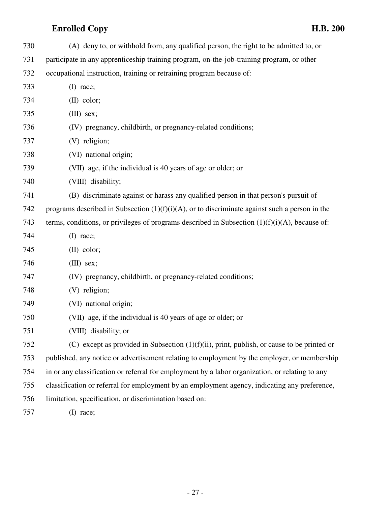| 730 | (A) deny to, or withhold from, any qualified person, the right to be admitted to, or              |
|-----|---------------------------------------------------------------------------------------------------|
| 731 | participate in any apprenticeship training program, on-the-job-training program, or other         |
| 732 | occupational instruction, training or retraining program because of:                              |
| 733 | (I) race;                                                                                         |
| 734 | $(II)$ color;                                                                                     |
| 735 | $(III)$ sex;                                                                                      |
| 736 | (IV) pregnancy, childbirth, or pregnancy-related conditions;                                      |
| 737 | (V) religion;                                                                                     |
| 738 | (VI) national origin;                                                                             |
| 739 | (VII) age, if the individual is 40 years of age or older; or                                      |
| 740 | (VIII) disability;                                                                                |
| 741 | (B) discriminate against or harass any qualified person in that person's pursuit of               |
| 742 | programs described in Subsection $(1)(f)(i)(A)$ , or to discriminate against such a person in the |
| 743 | terms, conditions, or privileges of programs described in Subsection $(1)(f)(i)(A)$ , because of: |
| 744 | $(I)$ race;                                                                                       |
| 745 | $(II)$ color;                                                                                     |
| 746 | $(III)$ sex;                                                                                      |
| 747 | (IV) pregnancy, childbirth, or pregnancy-related conditions;                                      |
| 748 | (V) religion;                                                                                     |
| 749 | (VI) national origin;                                                                             |
| 750 | (VII) age, if the individual is 40 years of age or older; or                                      |
| 751 | (VIII) disability; or                                                                             |
| 752 | (C) except as provided in Subsection $(1)(f)(ii)$ , print, publish, or cause to be printed or     |
| 753 | published, any notice or advertisement relating to employment by the employer, or membership      |
| 754 | in or any classification or referral for employment by a labor organization, or relating to any   |
| 755 | classification or referral for employment by an employment agency, indicating any preference,     |
| 756 | limitation, specification, or discrimination based on:                                            |
| 757 | $(I)$ race;                                                                                       |
|     |                                                                                                   |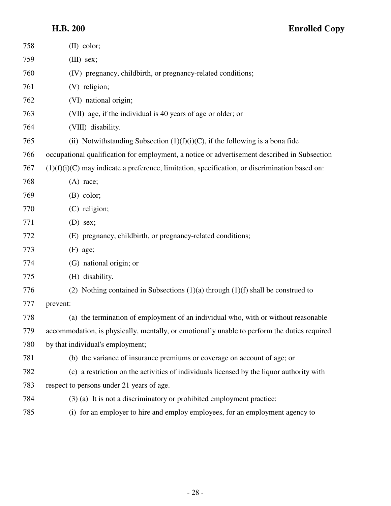| 758 | $(II)$ color;                                                                                    |
|-----|--------------------------------------------------------------------------------------------------|
| 759 | $(III)$ sex;                                                                                     |
| 760 | (IV) pregnancy, childbirth, or pregnancy-related conditions;                                     |
| 761 | (V) religion;                                                                                    |
| 762 | (VI) national origin;                                                                            |
| 763 | (VII) age, if the individual is 40 years of age or older; or                                     |
| 764 | (VIII) disability.                                                                               |
| 765 | (ii) Notwithstanding Subsection $(1)(f)(i)(C)$ , if the following is a bona fide                 |
| 766 | occupational qualification for employment, a notice or advertisement described in Subsection     |
| 767 | $(1)(f)(i)(C)$ may indicate a preference, limitation, specification, or discrimination based on: |
| 768 | $(A)$ race;                                                                                      |
| 769 | $(B)$ color;                                                                                     |
| 770 | $(C)$ religion;                                                                                  |
| 771 | $(D)$ sex;                                                                                       |
| 772 | (E) pregnancy, childbirth, or pregnancy-related conditions;                                      |
| 773 | $(F)$ age;                                                                                       |
| 774 | (G) national origin; or                                                                          |
| 775 | (H) disability.                                                                                  |
| 776 | (2) Nothing contained in Subsections $(1)(a)$ through $(1)(f)$ shall be construed to             |
| 777 | prevent:                                                                                         |
| 778 | (a) the termination of employment of an individual who, with or without reasonable               |
| 779 | accommodation, is physically, mentally, or emotionally unable to perform the duties required     |
| 780 | by that individual's employment;                                                                 |
| 781 | (b) the variance of insurance premiums or coverage on account of age; or                         |
| 782 | (c) a restriction on the activities of individuals licensed by the liquor authority with         |
| 783 | respect to persons under 21 years of age.                                                        |
| 784 | $(3)$ (a) It is not a discriminatory or prohibited employment practice:                          |
| 785 | (i) for an employer to hire and employ employees, for an employment agency to                    |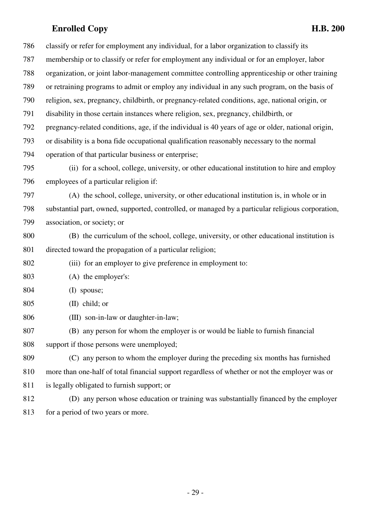786 classify or refer for employment any individual, for a labor organization to classify its 787 membership or to classify or refer for employment any individual or for an employer, labor 788 organization, or joint labor-management committee controlling apprenticeship or other training 789 or retraining programs to admit or employ any individual in any such program, on the basis of 790 religion, sex, pregnancy, childbirth, or pregnancy-related conditions, age, national origin, or 791 disability in those certain instances where religion, sex, pregnancy, childbirth, or 792 pregnancy-related conditions, age, if the individual is 40 years of age or older, national origin, 793 or disability is a bona fide occupational qualification reasonably necessary to the normal 794 operation of that particular business or enterprise; 795 (ii) for a school, college, university, or other educational institution to hire and employ 796 employees of a particular religion if: 797 (A) the school, college, university, or other educational institution is, in whole or in 798 substantial part, owned, supported, controlled, or managed by a particular religious corporation, 799 association, or society; or 800 (B) the curriculum of the school, college, university, or other educational institution is 801 directed toward the propagation of a particular religion; 802 (iii) for an employer to give preference in employment to: 803 (A) the employer's: 804 (I) spouse; 805 (II) child; or 806 (III) son-in-law or daughter-in-law; 807 (B) any person for whom the employer is or would be liable to furnish financial 808 support if those persons were unemployed; 809 (C) any person to whom the employer during the preceding six months has furnished 810 more than one-half of total financial support regardless of whether or not the employer was or 811 is legally obligated to furnish support; or 812 (D) any person whose education or training was substantially financed by the employer 813 for a period of two years or more.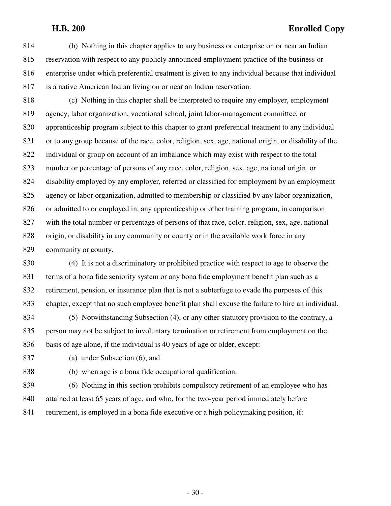814 (b) Nothing in this chapter applies to any business or enterprise on or near an Indian 815 reservation with respect to any publicly announced employment practice of the business or 816 enterprise under which preferential treatment is given to any individual because that individual 817 is a native American Indian living on or near an Indian reservation.

818 (c) Nothing in this chapter shall be interpreted to require any employer, employment 819 agency, labor organization, vocational school, joint labor-management committee, or 820 apprenticeship program subject to this chapter to grant preferential treatment to any individual 821 or to any group because of the race, color, religion, sex, age, national origin, or disability of the 822 individual or group on account of an imbalance which may exist with respect to the total 823 number or percentage of persons of any race, color, religion, sex, age, national origin, or 824 disability employed by any employer, referred or classified for employment by an employment 825 agency or labor organization, admitted to membership or classified by any labor organization, 826 or admitted to or employed in, any apprenticeship or other training program, in comparison 827 with the total number or percentage of persons of that race, color, religion, sex, age, national 828 origin, or disability in any community or county or in the available work force in any 829 community or county.

830 (4) It is not a discriminatory or prohibited practice with respect to age to observe the 831 terms of a bona fide seniority system or any bona fide employment benefit plan such as a 832 retirement, pension, or insurance plan that is not a subterfuge to evade the purposes of this 833 chapter, except that no such employee benefit plan shall excuse the failure to hire an individual.

834 (5) Notwithstanding Subsection (4), or any other statutory provision to the contrary, a 835 person may not be subject to involuntary termination or retirement from employment on the 836 basis of age alone, if the individual is 40 years of age or older, except:

837 (a) under Subsection (6); and

- 838 (b) when age is a bona fide occupational qualification.
- 839 (6) Nothing in this section prohibits compulsory retirement of an employee who has 840 attained at least 65 years of age, and who, for the two-year period immediately before 841 retirement, is employed in a bona fide executive or a high policymaking position, if: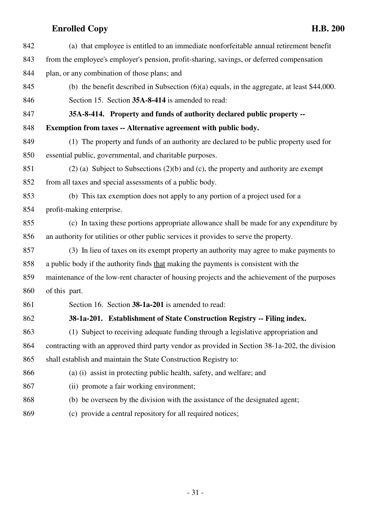| 842 | (a) that employee is entitled to an immediate nonforfeitable annual retirement benefit         |
|-----|------------------------------------------------------------------------------------------------|
| 843 | from the employee's employer's pension, profit-sharing, savings, or deferred compensation      |
| 844 | plan, or any combination of those plans; and                                                   |
| 845 | (b) the benefit described in Subsection $(6)(a)$ equals, in the aggregate, at least \$44,000.  |
| 846 | Section 15. Section 35A-8-414 is amended to read:                                              |
| 847 | 35A-8-414. Property and funds of authority declared public property --                         |
| 848 | Exemption from taxes -- Alternative agreement with public body.                                |
| 849 | (1) The property and funds of an authority are declared to be public property used for         |
| 850 | essential public, governmental, and charitable purposes.                                       |
| 851 | $(2)$ (a) Subject to Subsections $(2)(b)$ and $(c)$ , the property and authority are exempt    |
| 852 | from all taxes and special assessments of a public body.                                       |
| 853 | (b) This tax exemption does not apply to any portion of a project used for a                   |
| 854 | profit-making enterprise.                                                                      |
| 855 | (c) In taxing these portions appropriate allowance shall be made for any expenditure by        |
| 856 | an authority for utilities or other public services it provides to serve the property.         |
| 857 | (3) In lieu of taxes on its exempt property an authority may agree to make payments to         |
| 858 | a public body if the authority finds that making the payments is consistent with the           |
| 859 | maintenance of the low-rent character of housing projects and the achievement of the purposes  |
| 860 | of this part.                                                                                  |
| 861 | Section 16. Section 38-1a-201 is amended to read:                                              |
| 862 | 38-1a-201. Establishment of State Construction Registry -- Filing index.                       |
| 863 | (1) Subject to receiving adequate funding through a legislative appropriation and              |
| 864 | contracting with an approved third party vendor as provided in Section 38-1a-202, the division |
| 865 | shall establish and maintain the State Construction Registry to:                               |
| 866 | (a) (i) assist in protecting public health, safety, and welfare; and                           |
| 867 | (ii) promote a fair working environment;                                                       |
| 868 | (b) be overseen by the division with the assistance of the designated agent;                   |
| 869 | (c) provide a central repository for all required notices;                                     |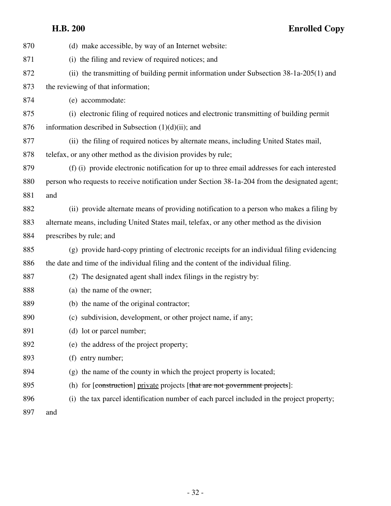| 870 | (d) make accessible, by way of an Internet website:                                            |
|-----|------------------------------------------------------------------------------------------------|
| 871 | (i) the filing and review of required notices; and                                             |
| 872 | (ii) the transmitting of building permit information under Subsection $38-1a-205(1)$ and       |
| 873 | the reviewing of that information;                                                             |
| 874 | (e) accommodate:                                                                               |
| 875 | (i) electronic filing of required notices and electronic transmitting of building permit       |
| 876 | information described in Subsection $(1)(d)(ii)$ ; and                                         |
| 877 | (ii) the filing of required notices by alternate means, including United States mail,          |
| 878 | telefax, or any other method as the division provides by rule;                                 |
| 879 | (f) (i) provide electronic notification for up to three email addresses for each interested    |
| 880 | person who requests to receive notification under Section 38-1a-204 from the designated agent; |
| 881 | and                                                                                            |
| 882 | (ii) provide alternate means of providing notification to a person who makes a filing by       |
| 883 | alternate means, including United States mail, telefax, or any other method as the division    |
| 884 | prescribes by rule; and                                                                        |
| 885 | (g) provide hard-copy printing of electronic receipts for an individual filing evidencing      |
| 886 | the date and time of the individual filing and the content of the individual filing.           |
| 887 | (2) The designated agent shall index filings in the registry by:                               |
| 888 | (a) the name of the owner;                                                                     |
| 889 | (b) the name of the original contractor;                                                       |
| 890 | (c) subdivision, development, or other project name, if any;                                   |
| 891 | (d) lot or parcel number;                                                                      |
| 892 | (e) the address of the project property;                                                       |
| 893 | (f) entry number;                                                                              |
| 894 | (g) the name of the county in which the project property is located;                           |
| 895 | (h) for [construction] private projects [that are not government projects]:                    |
| 896 | (i) the tax parcel identification number of each parcel included in the project property;      |
| 897 | and                                                                                            |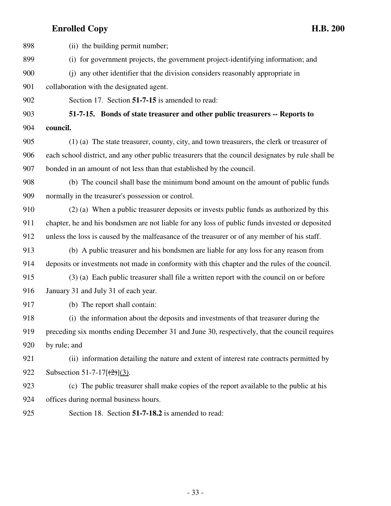| 898 | (ii) the building permit number;                                                                   |
|-----|----------------------------------------------------------------------------------------------------|
| 899 | (i) for government projects, the government project-identifying information; and                   |
| 900 | (i) any other identifier that the division considers reasonably appropriate in                     |
| 901 | collaboration with the designated agent.                                                           |
| 902 | Section 17. Section 51-7-15 is amended to read:                                                    |
| 903 | 51-7-15. Bonds of state treasurer and other public treasurers -- Reports to                        |
| 904 | council.                                                                                           |
| 905 | (1) (a) The state treasurer, county, city, and town treasurers, the clerk or treasurer of          |
| 906 | each school district, and any other public treasurers that the council designates by rule shall be |
| 907 | bonded in an amount of not less than that established by the council.                              |
| 908 | (b) The council shall base the minimum bond amount on the amount of public funds                   |
| 909 | normally in the treasurer's possession or control.                                                 |
| 910 | (2) (a) When a public treasurer deposits or invests public funds as authorized by this             |
| 911 | chapter, he and his bondsmen are not liable for any loss of public funds invested or deposited     |
| 912 | unless the loss is caused by the malfeasance of the treasurer or of any member of his staff.       |
| 913 | (b) A public treasurer and his bondsmen are liable for any loss for any reason from                |
| 914 | deposits or investments not made in conformity with this chapter and the rules of the council.     |
| 915 | (3) (a) Each public treasurer shall file a written report with the council on or before            |
| 916 | January 31 and July 31 of each year.                                                               |
| 917 | (b) The report shall contain:                                                                      |
| 918 | (i) the information about the deposits and investments of that treasurer during the                |
| 919 | preceding six months ending December 31 and June 30, respectively, that the council requires       |
| 920 | by rule; and                                                                                       |
| 921 | (ii) information detailing the nature and extent of interest rate contracts permitted by           |
| 922 | Subsection 51-7-17 $[\frac{(2)}{(3)}]$ .                                                           |
| 923 | (c) The public treasurer shall make copies of the report available to the public at his            |
| 924 | offices during normal business hours.                                                              |
| 925 | Section 18. Section 51-7-18.2 is amended to read:                                                  |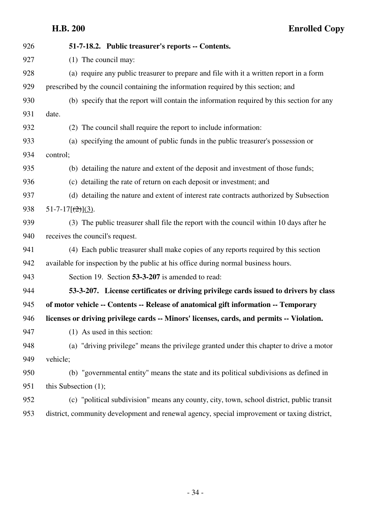| 926 | 51-7-18.2. Public treasurer's reports -- Contents.                                          |
|-----|---------------------------------------------------------------------------------------------|
| 927 | $(1)$ The council may:                                                                      |
| 928 | (a) require any public treasurer to prepare and file with it a written report in a form     |
| 929 | prescribed by the council containing the information required by this section; and          |
| 930 | (b) specify that the report will contain the information required by this section for any   |
| 931 | date.                                                                                       |
| 932 | (2) The council shall require the report to include information:                            |
| 933 | (a) specifying the amount of public funds in the public treasurer's possession or           |
| 934 | control;                                                                                    |
| 935 | (b) detailing the nature and extent of the deposit and investment of those funds;           |
| 936 | (c) detailing the rate of return on each deposit or investment; and                         |
| 937 | (d) detailing the nature and extent of interest rate contracts authorized by Subsection     |
| 938 | $51-7-17[\frac{2}{2}](3)$ .                                                                 |
| 939 | (3) The public treasurer shall file the report with the council within 10 days after he     |
| 940 | receives the council's request.                                                             |
| 941 | (4) Each public treasurer shall make copies of any reports required by this section         |
| 942 | available for inspection by the public at his office during normal business hours.          |
| 943 | Section 19. Section 53-3-207 is amended to read:                                            |
| 944 | 53-3-207. License certificates or driving privilege cards issued to drivers by class        |
| 945 | of motor vehicle -- Contents -- Release of anatomical gift information -- Temporary         |
| 946 | licenses or driving privilege cards -- Minors' licenses, cards, and permits -- Violation.   |
| 947 | (1) As used in this section:                                                                |
| 948 | (a) "driving privilege" means the privilege granted under this chapter to drive a motor     |
| 949 | vehicle;                                                                                    |
| 950 | (b) "governmental entity" means the state and its political subdivisions as defined in      |
| 951 | this Subsection $(1)$ ;                                                                     |
| 952 | (c) "political subdivision" means any county, city, town, school district, public transit   |
| 953 | district, community development and renewal agency, special improvement or taxing district, |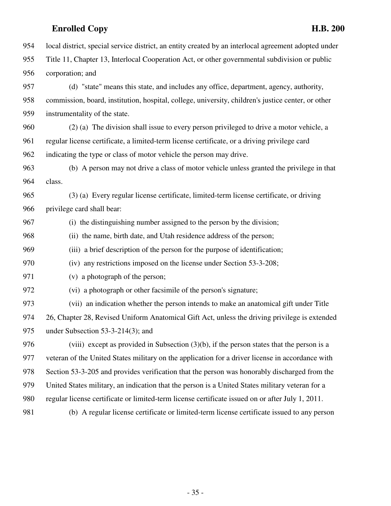|     | <b>Enrolled Copy</b><br><b>H.B. 200</b>                                                              |
|-----|------------------------------------------------------------------------------------------------------|
| 954 | local district, special service district, an entity created by an interlocal agreement adopted under |
| 955 | Title 11, Chapter 13, Interlocal Cooperation Act, or other governmental subdivision or public        |
| 956 | corporation; and                                                                                     |
| 957 | (d) "state" means this state, and includes any office, department, agency, authority,                |
| 958 | commission, board, institution, hospital, college, university, children's justice center, or other   |
| 959 | instrumentality of the state.                                                                        |
| 960 | (2) (a) The division shall issue to every person privileged to drive a motor vehicle, a              |
| 961 | regular license certificate, a limited-term license certificate, or a driving privilege card         |
| 962 | indicating the type or class of motor vehicle the person may drive.                                  |
| 963 | (b) A person may not drive a class of motor vehicle unless granted the privilege in that             |
| 964 | class.                                                                                               |
| 965 | (3) (a) Every regular license certificate, limited-term license certificate, or driving              |
| 966 | privilege card shall bear:                                                                           |
| 967 | (i) the distinguishing number assigned to the person by the division;                                |
| 968 | (ii) the name, birth date, and Utah residence address of the person;                                 |
| 969 | (iii) a brief description of the person for the purpose of identification;                           |
| 970 | (iv) any restrictions imposed on the license under Section 53-3-208;                                 |
| 971 | (v) a photograph of the person;                                                                      |
| 972 | (vi) a photograph or other facsimile of the person's signature;                                      |
| 973 | (vii) an indication whether the person intends to make an anatomical gift under Title                |
| 974 | 26, Chapter 28, Revised Uniform Anatomical Gift Act, unless the driving privilege is extended        |
| 975 | under Subsection $53-3-214(3)$ ; and                                                                 |
| 976 | (viii) except as provided in Subsection $(3)(b)$ , if the person states that the person is a         |
| 977 | veteran of the United States military on the application for a driver license in accordance with     |
| 978 | Section 53-3-205 and provides verification that the person was honorably discharged from the         |
| 979 | United States military, an indication that the person is a United States military veteran for a      |
| 980 | regular license certificate or limited-term license certificate issued on or after July 1, 2011.     |
| 981 | (b) A regular license certificate or limited-term license certificate issued to any person           |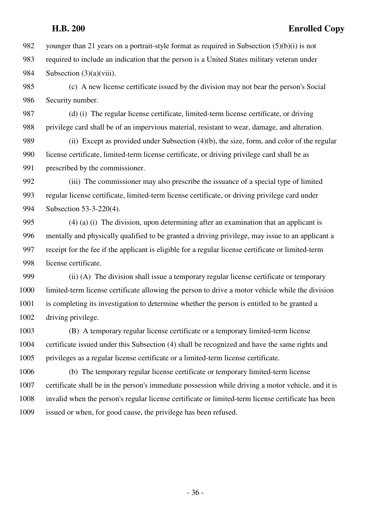982 younger than 21 years on a portrait-style format as required in Subsection  $(5)(b)(i)$  is not 983 required to include an indication that the person is a United States military veteran under 984 Subsection (3)(a)(viii).

985 (c) A new license certificate issued by the division may not bear the person's Social 986 Security number.

987 (d) (i) The regular license certificate, limited-term license certificate, or driving 988 privilege card shall be of an impervious material, resistant to wear, damage, and alteration.

989 (ii) Except as provided under Subsection (4)(b), the size, form, and color of the regular 990 license certificate, limited-term license certificate, or driving privilege card shall be as 991 prescribed by the commissioner.

992 (iii) The commissioner may also prescribe the issuance of a special type of limited 993 regular license certificate, limited-term license certificate, or driving privilege card under 994 Subsection 53-3-220(4).

995 (4) (a) (i) The division, upon determining after an examination that an applicant is 996 mentally and physically qualified to be granted a driving privilege, may issue to an applicant a 997 receipt for the fee if the applicant is eligible for a regular license certificate or limited-term 998 license certificate.

999 (ii) (A) The division shall issue a temporary regular license certificate or temporary 1000 limited-term license certificate allowing the person to drive a motor vehicle while the division 1001 is completing its investigation to determine whether the person is entitled to be granted a 1002 driving privilege.

1003 (B) A temporary regular license certificate or a temporary limited-term license 1004 certificate issued under this Subsection (4) shall be recognized and have the same rights and 1005 privileges as a regular license certificate or a limited-term license certificate.

1006 (b) The temporary regular license certificate or temporary limited-term license 1007 certificate shall be in the person's immediate possession while driving a motor vehicle, and it is 1008 invalid when the person's regular license certificate or limited-term license certificate has been 1009 issued or when, for good cause, the privilege has been refused.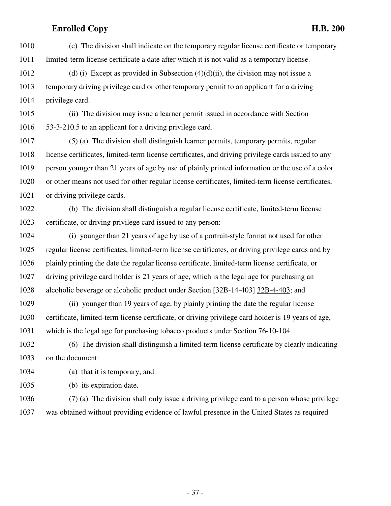1010 (c) The division shall indicate on the temporary regular license certificate or temporary 1011 limited-term license certificate a date after which it is not valid as a temporary license.

1012 (d) (i) Except as provided in Subsection  $(4)(d)(ii)$ , the division may not issue a 1013 temporary driving privilege card or other temporary permit to an applicant for a driving 1014 privilege card.

1015 (ii) The division may issue a learner permit issued in accordance with Section 1016 53-3-210.5 to an applicant for a driving privilege card.

1017 (5) (a) The division shall distinguish learner permits, temporary permits, regular 1018 license certificates, limited-term license certificates, and driving privilege cards issued to any 1019 person younger than 21 years of age by use of plainly printed information or the use of a color 1020 or other means not used for other regular license certificates, limited-term license certificates, 1021 or driving privilege cards.

1022 (b) The division shall distinguish a regular license certificate, limited-term license 1023 certificate, or driving privilege card issued to any person:

1024 (i) younger than 21 years of age by use of a portrait-style format not used for other 1025 regular license certificates, limited-term license certificates, or driving privilege cards and by 1026 plainly printing the date the regular license certificate, limited-term license certificate, or 1027 driving privilege card holder is 21 years of age, which is the legal age for purchasing an 1028 alcoholic beverage or alcoholic product under Section [32B-14-403] 32B-4-403; and

1029 (ii) younger than 19 years of age, by plainly printing the date the regular license 1030 certificate, limited-term license certificate, or driving privilege card holder is 19 years of age, 1031 which is the legal age for purchasing tobacco products under Section 76-10-104.

1032 (6) The division shall distinguish a limited-term license certificate by clearly indicating 1033 on the document:

- 1034 (a) that it is temporary; and
- 1035 (b) its expiration date.

1036 (7) (a) The division shall only issue a driving privilege card to a person whose privilege 1037 was obtained without providing evidence of lawful presence in the United States as required

- 37 -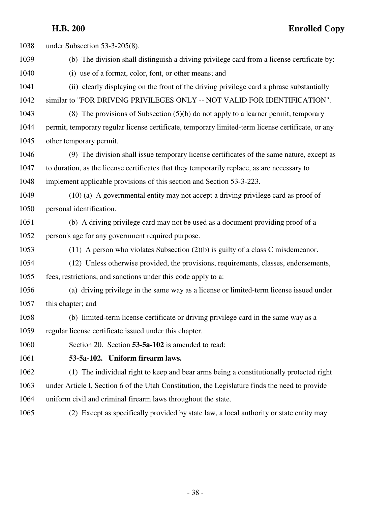1038 under Subsection 53-3-205(8). 1039 (b) The division shall distinguish a driving privilege card from a license certificate by: 1040 (i) use of a format, color, font, or other means; and 1041 (ii) clearly displaying on the front of the driving privilege card a phrase substantially 1042 similar to "FOR DRIVING PRIVILEGES ONLY -- NOT VALID FOR IDENTIFICATION". 1043 (8) The provisions of Subsection (5)(b) do not apply to a learner permit, temporary 1044 permit, temporary regular license certificate, temporary limited-term license certificate, or any 1045 other temporary permit. 1046 (9) The division shall issue temporary license certificates of the same nature, except as 1047 to duration, as the license certificates that they temporarily replace, as are necessary to 1048 implement applicable provisions of this section and Section 53-3-223. 1049 (10) (a) A governmental entity may not accept a driving privilege card as proof of 1050 personal identification. 1051 (b) A driving privilege card may not be used as a document providing proof of a 1052 person's age for any government required purpose. 1053 (11) A person who violates Subsection (2)(b) is guilty of a class C misdemeanor. 1054 (12) Unless otherwise provided, the provisions, requirements, classes, endorsements, 1055 fees, restrictions, and sanctions under this code apply to a: 1056 (a) driving privilege in the same way as a license or limited-term license issued under 1057 this chapter; and 1058 (b) limited-term license certificate or driving privilege card in the same way as a 1059 regular license certificate issued under this chapter. 1060 Section 20. Section **53-5a-102** is amended to read: 1061 **53-5a-102. Uniform firearm laws.** 1062 (1) The individual right to keep and bear arms being a constitutionally protected right 1063 under Article I, Section 6 of the Utah Constitution, the Legislature finds the need to provide 1064 uniform civil and criminal firearm laws throughout the state. 1065 (2) Except as specifically provided by state law, a local authority or state entity may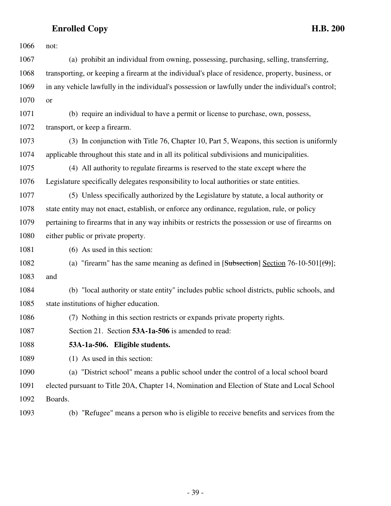| 1066 | not:                                                                                               |
|------|----------------------------------------------------------------------------------------------------|
| 1067 | (a) prohibit an individual from owning, possessing, purchasing, selling, transferring,             |
| 1068 | transporting, or keeping a firearm at the individual's place of residence, property, business, or  |
| 1069 | in any vehicle lawfully in the individual's possession or lawfully under the individual's control; |
| 1070 | or                                                                                                 |
| 1071 | (b) require an individual to have a permit or license to purchase, own, possess,                   |
| 1072 | transport, or keep a firearm.                                                                      |
| 1073 | (3) In conjunction with Title 76, Chapter 10, Part 5, Weapons, this section is uniformly           |
| 1074 | applicable throughout this state and in all its political subdivisions and municipalities.         |
| 1075 | (4) All authority to regulate firearms is reserved to the state except where the                   |
| 1076 | Legislature specifically delegates responsibility to local authorities or state entities.          |
| 1077 | (5) Unless specifically authorized by the Legislature by statute, a local authority or             |
| 1078 | state entity may not enact, establish, or enforce any ordinance, regulation, rule, or policy       |
| 1079 | pertaining to firearms that in any way inhibits or restricts the possession or use of firearms on  |
| 1080 | either public or private property.                                                                 |
| 1081 | $(6)$ As used in this section:                                                                     |
| 1082 | (a) "firearm" has the same meaning as defined in [Subsection] Section 76-10-501[ $(\theta)$ ];     |
| 1083 | and                                                                                                |
| 1084 | (b) "local authority or state entity" includes public school districts, public schools, and        |
| 1085 | state institutions of higher education.                                                            |
| 1086 | (7) Nothing in this section restricts or expands private property rights.                          |
| 1087 | Section 21. Section 53A-1a-506 is amended to read:                                                 |
| 1088 | 53A-1a-506. Eligible students.                                                                     |
| 1089 | (1) As used in this section:                                                                       |
| 1090 | (a) "District school" means a public school under the control of a local school board              |
| 1091 | elected pursuant to Title 20A, Chapter 14, Nomination and Election of State and Local School       |
| 1092 | Boards.                                                                                            |
| 1093 | (b) "Refugee" means a person who is eligible to receive benefits and services from the             |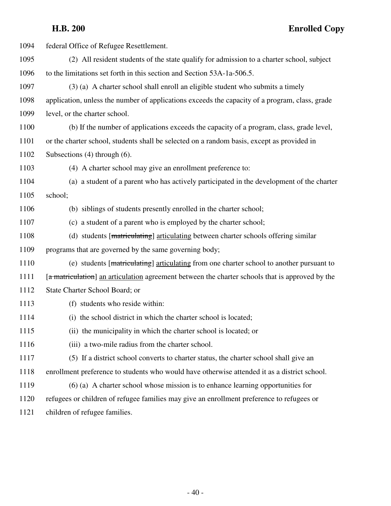| 1094 | federal Office of Refugee Resettlement.                                                         |
|------|-------------------------------------------------------------------------------------------------|
| 1095 | (2) All resident students of the state qualify for admission to a charter school, subject       |
| 1096 | to the limitations set forth in this section and Section 53A-1a-506.5.                          |
| 1097 | (3) (a) A charter school shall enroll an eligible student who submits a timely                  |
| 1098 | application, unless the number of applications exceeds the capacity of a program, class, grade  |
| 1099 | level, or the charter school.                                                                   |
| 1100 | (b) If the number of applications exceeds the capacity of a program, class, grade level,        |
| 1101 | or the charter school, students shall be selected on a random basis, except as provided in      |
| 1102 | Subsections $(4)$ through $(6)$ .                                                               |
| 1103 | (4) A charter school may give an enrollment preference to:                                      |
| 1104 | (a) a student of a parent who has actively participated in the development of the charter       |
| 1105 | school;                                                                                         |
| 1106 | (b) siblings of students presently enrolled in the charter school;                              |
| 1107 | (c) a student of a parent who is employed by the charter school;                                |
| 1108 | (d) students [matriculating] articulating between charter schools offering similar              |
| 1109 | programs that are governed by the same governing body;                                          |
| 1110 | (e) students [matriculating] articulating from one charter school to another pursuant to        |
| 1111 | [a matriculation] an articulation agreement between the charter schools that is approved by the |
| 1112 | State Charter School Board; or                                                                  |
| 1113 | (f) students who reside within:                                                                 |
| 1114 | (i) the school district in which the charter school is located;                                 |
| 1115 | (ii) the municipality in which the charter school is located; or                                |
| 1116 | (iii) a two-mile radius from the charter school.                                                |
| 1117 | (5) If a district school converts to charter status, the charter school shall give an           |
| 1118 | enrollment preference to students who would have otherwise attended it as a district school.    |
| 1119 | $(6)$ (a) A charter school whose mission is to enhance learning opportunities for               |
| 1120 | refugees or children of refugee families may give an enrollment preference to refugees or       |
| 1121 | children of refugee families.                                                                   |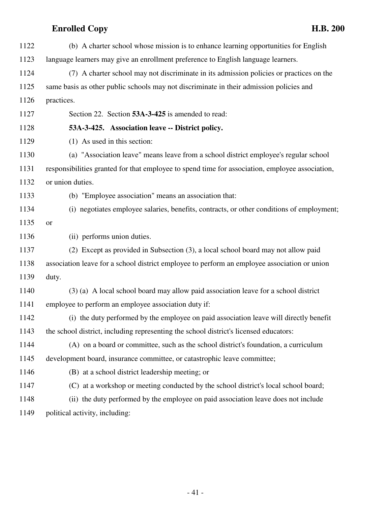| 1122 | (b) A charter school whose mission is to enhance learning opportunities for English             |
|------|-------------------------------------------------------------------------------------------------|
| 1123 | language learners may give an enrollment preference to English language learners.               |
| 1124 | (7) A charter school may not discriminate in its admission policies or practices on the         |
| 1125 | same basis as other public schools may not discriminate in their admission policies and         |
| 1126 | practices.                                                                                      |
| 1127 | Section 22. Section 53A-3-425 is amended to read:                                               |
| 1128 | 53A-3-425. Association leave -- District policy.                                                |
| 1129 | (1) As used in this section:                                                                    |
| 1130 | (a) "Association leave" means leave from a school district employee's regular school            |
| 1131 | responsibilities granted for that employee to spend time for association, employee association, |
| 1132 | or union duties.                                                                                |
| 1133 | (b) "Employee association" means an association that:                                           |
| 1134 | (i) negotiates employee salaries, benefits, contracts, or other conditions of employment;       |
| 1135 | or                                                                                              |
| 1136 | (ii) performs union duties.                                                                     |
| 1137 | (2) Except as provided in Subsection (3), a local school board may not allow paid               |
| 1138 | association leave for a school district employee to perform an employee association or union    |
| 1139 | duty.                                                                                           |
| 1140 | (3) (a) A local school board may allow paid association leave for a school district             |
| 1141 | employee to perform an employee association duty if:                                            |
| 1142 | (i) the duty performed by the employee on paid association leave will directly benefit          |
| 1143 | the school district, including representing the school district's licensed educators:           |
| 1144 | (A) on a board or committee, such as the school district's foundation, a curriculum             |
| 1145 | development board, insurance committee, or catastrophic leave committee;                        |
| 1146 | (B) at a school district leadership meeting; or                                                 |
| 1147 | (C) at a workshop or meeting conducted by the school district's local school board;             |
| 1148 | (ii) the duty performed by the employee on paid association leave does not include              |
| 1149 | political activity, including:                                                                  |

- 41 -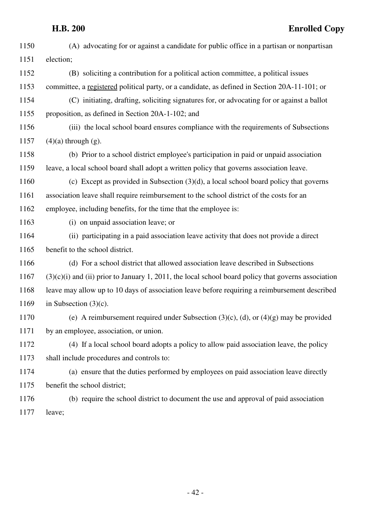| 1150 | (A) advocating for or against a candidate for public office in a partisan or nonpartisan              |
|------|-------------------------------------------------------------------------------------------------------|
| 1151 | election;                                                                                             |
| 1152 | (B) soliciting a contribution for a political action committee, a political issues                    |
| 1153 | committee, a registered political party, or a candidate, as defined in Section 20A-11-101; or         |
| 1154 | (C) initiating, drafting, soliciting signatures for, or advocating for or against a ballot            |
| 1155 | proposition, as defined in Section 20A-1-102; and                                                     |
| 1156 | (iii) the local school board ensures compliance with the requirements of Subsections                  |
| 1157 | $(4)(a)$ through $(g)$ .                                                                              |
| 1158 | (b) Prior to a school district employee's participation in paid or unpaid association                 |
| 1159 | leave, a local school board shall adopt a written policy that governs association leave.              |
| 1160 | (c) Except as provided in Subsection $(3)(d)$ , a local school board policy that governs              |
| 1161 | association leave shall require reimbursement to the school district of the costs for an              |
| 1162 | employee, including benefits, for the time that the employee is:                                      |
| 1163 | (i) on unpaid association leave; or                                                                   |
| 1164 | (ii) participating in a paid association leave activity that does not provide a direct                |
| 1165 | benefit to the school district.                                                                       |
| 1166 | (d) For a school district that allowed association leave described in Subsections                     |
| 1167 | $(3)(c)(i)$ and (ii) prior to January 1, 2011, the local school board policy that governs association |
| 1168 | leave may allow up to 10 days of association leave before requiring a reimbursement described         |
| 1169 | in Subsection $(3)(c)$ .                                                                              |
| 1170 | (e) A reimbursement required under Subsection $(3)(c)$ , $(d)$ , or $(4)(g)$ may be provided          |
| 1171 | by an employee, association, or union.                                                                |
| 1172 | (4) If a local school board adopts a policy to allow paid association leave, the policy               |
| 1173 | shall include procedures and controls to:                                                             |
| 1174 | (a) ensure that the duties performed by employees on paid association leave directly                  |
| 1175 | benefit the school district;                                                                          |
| 1176 | (b) require the school district to document the use and approval of paid association                  |
| 1177 | leave;                                                                                                |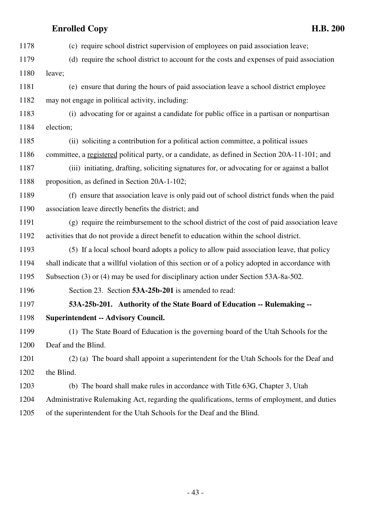1178 (c) require school district supervision of employees on paid association leave; 1179 (d) require the school district to account for the costs and expenses of paid association 1180 leave; 1181 (e) ensure that during the hours of paid association leave a school district employee 1182 may not engage in political activity, including: 1183 (i) advocating for or against a candidate for public office in a partisan or nonpartisan 1184 election; 1185 (ii) soliciting a contribution for a political action committee, a political issues 1186 committee, a registered political party, or a candidate, as defined in Section 20A-11-101; and 1187 (iii) initiating, drafting, soliciting signatures for, or advocating for or against a ballot 1188 proposition, as defined in Section 20A-1-102; 1189 (f) ensure that association leave is only paid out of school district funds when the paid 1190 association leave directly benefits the district; and 1191 (g) require the reimbursement to the school district of the cost of paid association leave 1192 activities that do not provide a direct benefit to education within the school district. 1193 (5) If a local school board adopts a policy to allow paid association leave, that policy 1194 shall indicate that a willful violation of this section or of a policy adopted in accordance with 1195 Subsection (3) or (4) may be used for disciplinary action under Section 53A-8a-502. 1196 Section 23. Section **53A-25b-201** is amended to read: 1197 **53A-25b-201. Authority of the State Board of Education -- Rulemaking --** 1198 **Superintendent -- Advisory Council.** 1199 (1) The State Board of Education is the governing board of the Utah Schools for the 1200 Deaf and the Blind. 1201 (2) (a) The board shall appoint a superintendent for the Utah Schools for the Deaf and 1202 the Blind. 1203 (b) The board shall make rules in accordance with Title 63G, Chapter 3, Utah 1204 Administrative Rulemaking Act, regarding the qualifications, terms of employment, and duties 1205 of the superintendent for the Utah Schools for the Deaf and the Blind.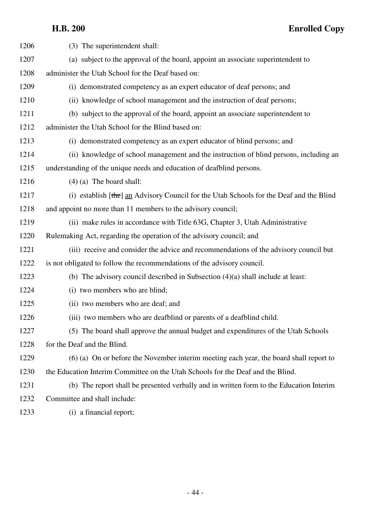| 1206 | (3) The superintendent shall:                                                           |
|------|-----------------------------------------------------------------------------------------|
| 1207 | (a) subject to the approval of the board, appoint an associate superintendent to        |
| 1208 | administer the Utah School for the Deaf based on:                                       |
| 1209 | (i) demonstrated competency as an expert educator of deaf persons; and                  |
| 1210 | (ii) knowledge of school management and the instruction of deaf persons;                |
| 1211 | (b) subject to the approval of the board, appoint an associate superintendent to        |
| 1212 | administer the Utah School for the Blind based on:                                      |
| 1213 | (i) demonstrated competency as an expert educator of blind persons; and                 |
| 1214 | (ii) knowledge of school management and the instruction of blind persons, including an  |
| 1215 | understanding of the unique needs and education of deafblind persons.                   |
| 1216 | $(4)$ (a) The board shall:                                                              |
| 1217 | (i) establish [the] an Advisory Council for the Utah Schools for the Deaf and the Blind |
| 1218 | and appoint no more than 11 members to the advisory council;                            |
| 1219 | (ii) make rules in accordance with Title 63G, Chapter 3, Utah Administrative            |
| 1220 | Rulemaking Act, regarding the operation of the advisory council; and                    |
| 1221 | (iii) receive and consider the advice and recommendations of the advisory council but   |
| 1222 | is not obligated to follow the recommendations of the advisory council.                 |
| 1223 | (b) The advisory council described in Subsection $(4)(a)$ shall include at least:       |
| 1224 | (i) two members who are blind;                                                          |
| 1225 | (ii) two members who are deaf; and                                                      |
| 1226 | (iii) two members who are deafblind or parents of a deafblind child.                    |
| 1227 | (5) The board shall approve the annual budget and expenditures of the Utah Schools      |
| 1228 | for the Deaf and the Blind.                                                             |
| 1229 | (6) (a) On or before the November interim meeting each year, the board shall report to  |
| 1230 | the Education Interim Committee on the Utah Schools for the Deaf and the Blind.         |
| 1231 | (b) The report shall be presented verbally and in written form to the Education Interim |
| 1232 | Committee and shall include:                                                            |
| 1233 | (i) a financial report;                                                                 |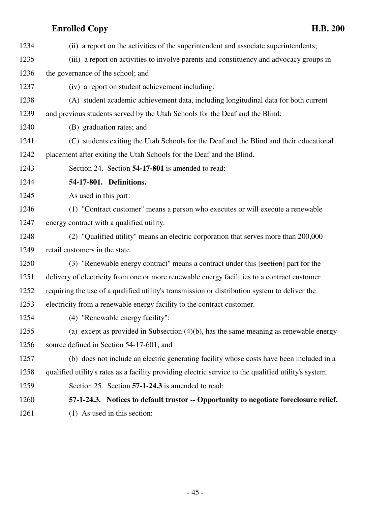1234 (ii) a report on the activities of the superintendent and associate superintendents; 1235 (iii) a report on activities to involve parents and constituency and advocacy groups in 1236 the governance of the school; and 1237 (iv) a report on student achievement including: 1238 (A) student academic achievement data, including longitudinal data for both current 1239 and previous students served by the Utah Schools for the Deaf and the Blind; 1240 (B) graduation rates; and 1241 (C) students exiting the Utah Schools for the Deaf and the Blind and their educational 1242 placement after exiting the Utah Schools for the Deaf and the Blind. 1243 Section 24. Section **54-17-801** is amended to read: 1244 **54-17-801. Definitions.** 1245 As used in this part: 1246 (1) "Contract customer" means a person who executes or will execute a renewable 1247 energy contract with a qualified utility. 1248 (2) "Qualified utility" means an electric corporation that serves more than 200,000 1249 retail customers in the state. 1250 (3) "Renewable energy contract" means a contract under this [section] part for the 1251 delivery of electricity from one or more renewable energy facilities to a contract customer 1252 requiring the use of a qualified utility's transmission or distribution system to deliver the 1253 electricity from a renewable energy facility to the contract customer. 1254 (4) "Renewable energy facility": 1255 (a) except as provided in Subsection (4)(b), has the same meaning as renewable energy 1256 source defined in Section 54-17-601; and 1257 (b) does not include an electric generating facility whose costs have been included in a 1258 qualified utility's rates as a facility providing electric service to the qualified utility's system. 1259 Section 25. Section **57-1-24.3** is amended to read: 1260 **57-1-24.3. Notices to default trustor -- Opportunity to negotiate foreclosure relief.** 1261 (1) As used in this section: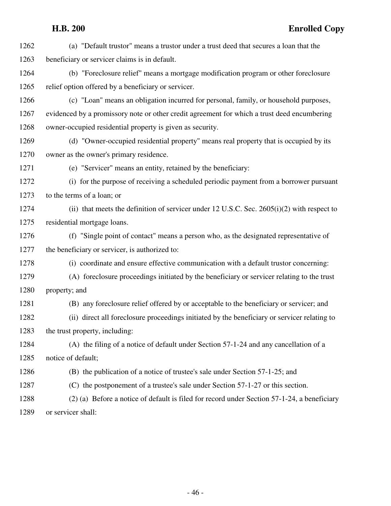| 1262 | (a) "Default trustor" means a trustor under a trust deed that secures a loan that the         |
|------|-----------------------------------------------------------------------------------------------|
| 1263 | beneficiary or servicer claims is in default.                                                 |
| 1264 | (b) "Foreclosure relief" means a mortgage modification program or other foreclosure           |
| 1265 | relief option offered by a beneficiary or servicer.                                           |
| 1266 | (c) "Loan" means an obligation incurred for personal, family, or household purposes,          |
| 1267 | evidenced by a promissory note or other credit agreement for which a trust deed encumbering   |
| 1268 | owner-occupied residential property is given as security.                                     |
| 1269 | (d) "Owner-occupied residential property" means real property that is occupied by its         |
| 1270 | owner as the owner's primary residence.                                                       |
| 1271 | (e) "Servicer" means an entity, retained by the beneficiary:                                  |
| 1272 | (i) for the purpose of receiving a scheduled periodic payment from a borrower pursuant        |
| 1273 | to the terms of a loan; or                                                                    |
| 1274 | (ii) that meets the definition of servicer under 12 U.S.C. Sec. $2605(i)(2)$ with respect to  |
| 1275 | residential mortgage loans.                                                                   |
| 1276 | (f) "Single point of contact" means a person who, as the designated representative of         |
| 1277 | the beneficiary or servicer, is authorized to:                                                |
| 1278 | (i) coordinate and ensure effective communication with a default trustor concerning:          |
| 1279 | (A) foreclosure proceedings initiated by the beneficiary or servicer relating to the trust    |
| 1280 | property; and                                                                                 |
| 1281 | (B) any foreclosure relief offered by or acceptable to the beneficiary or servicer; and       |
| 1282 | (ii) direct all foreclosure proceedings initiated by the beneficiary or servicer relating to  |
| 1283 | the trust property, including:                                                                |
| 1284 | (A) the filing of a notice of default under Section 57-1-24 and any cancellation of a         |
| 1285 | notice of default;                                                                            |
| 1286 | (B) the publication of a notice of trustee's sale under Section 57-1-25; and                  |
| 1287 | (C) the postponement of a trustee's sale under Section 57-1-27 or this section.               |
| 1288 | $(2)$ (a) Before a notice of default is filed for record under Section 57-1-24, a beneficiary |
| 1289 | or servicer shall:                                                                            |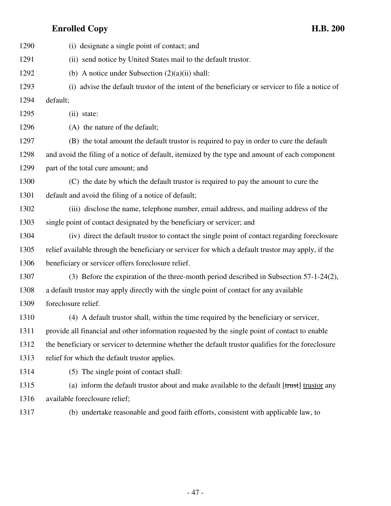| 1290 | (i) designate a single point of contact; and                                                       |
|------|----------------------------------------------------------------------------------------------------|
| 1291 | (ii) send notice by United States mail to the default trustor.                                     |
| 1292 | (b) A notice under Subsection $(2)(a)(ii)$ shall:                                                  |
| 1293 | (i) advise the default trustor of the intent of the beneficiary or servicer to file a notice of    |
| 1294 | default;                                                                                           |
| 1295 | (ii) state:                                                                                        |
| 1296 | (A) the nature of the default;                                                                     |
| 1297 | (B) the total amount the default trustor is required to pay in order to cure the default           |
| 1298 | and avoid the filing of a notice of default, itemized by the type and amount of each component     |
| 1299 | part of the total cure amount; and                                                                 |
| 1300 | (C) the date by which the default trustor is required to pay the amount to cure the                |
| 1301 | default and avoid the filing of a notice of default;                                               |
| 1302 | (iii) disclose the name, telephone number, email address, and mailing address of the               |
| 1303 | single point of contact designated by the beneficiary or servicer; and                             |
| 1304 | (iv) direct the default trustor to contact the single point of contact regarding foreclosure       |
| 1305 | relief available through the beneficiary or servicer for which a default trustor may apply, if the |
| 1306 | beneficiary or servicer offers foreclosure relief.                                                 |
| 1307 | (3) Before the expiration of the three-month period described in Subsection 57-1-24(2),            |
| 1308 | a default trustor may apply directly with the single point of contact for any available            |
| 1309 | foreclosure relief.                                                                                |
| 1310 | (4) A default trustor shall, within the time required by the beneficiary or servicer,              |
| 1311 | provide all financial and other information requested by the single point of contact to enable     |
| 1312 | the beneficiary or servicer to determine whether the default trustor qualifies for the foreclosure |
| 1313 | relief for which the default trustor applies.                                                      |
| 1314 | (5) The single point of contact shall:                                                             |
| 1315 | (a) inform the default trustor about and make available to the default [trust] trustor any         |
| 1316 | available foreclosure relief;                                                                      |
|      |                                                                                                    |

1317 (b) undertake reasonable and good faith efforts, consistent with applicable law, to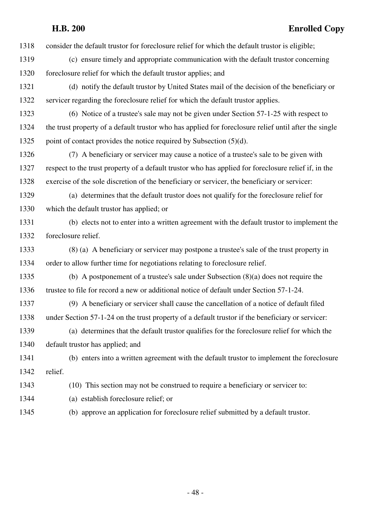1318 consider the default trustor for foreclosure relief for which the default trustor is eligible;

- 1319 (c) ensure timely and appropriate communication with the default trustor concerning 1320 foreclosure relief for which the default trustor applies; and
- 1321 (d) notify the default trustor by United States mail of the decision of the beneficiary or 1322 servicer regarding the foreclosure relief for which the default trustor applies.
- 1323 (6) Notice of a trustee's sale may not be given under Section 57-1-25 with respect to 1324 the trust property of a default trustor who has applied for foreclosure relief until after the single 1325 point of contact provides the notice required by Subsection (5)(d).
- 1326 (7) A beneficiary or servicer may cause a notice of a trustee's sale to be given with 1327 respect to the trust property of a default trustor who has applied for foreclosure relief if, in the 1328 exercise of the sole discretion of the beneficiary or servicer, the beneficiary or servicer:
- 1329 (a) determines that the default trustor does not qualify for the foreclosure relief for 1330 which the default trustor has applied; or
- 1331 (b) elects not to enter into a written agreement with the default trustor to implement the 1332 foreclosure relief.
- 1333 (8) (a) A beneficiary or servicer may postpone a trustee's sale of the trust property in 1334 order to allow further time for negotiations relating to foreclosure relief.
- 1335 (b) A postponement of a trustee's sale under Subsection (8)(a) does not require the 1336 trustee to file for record a new or additional notice of default under Section 57-1-24.
- 1337 (9) A beneficiary or servicer shall cause the cancellation of a notice of default filed 1338 under Section 57-1-24 on the trust property of a default trustor if the beneficiary or servicer:
- 1339 (a) determines that the default trustor qualifies for the foreclosure relief for which the 1340 default trustor has applied; and
- 1341 (b) enters into a written agreement with the default trustor to implement the foreclosure 1342 relief.
- 1343 (10) This section may not be construed to require a beneficiary or servicer to:
- 1344 (a) establish foreclosure relief; or
- 1345 (b) approve an application for foreclosure relief submitted by a default trustor.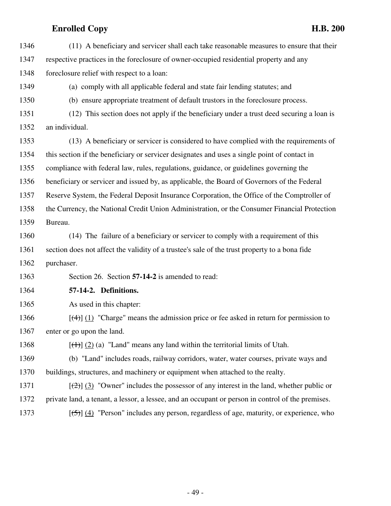| 1346 | (11) A beneficiary and servicer shall each take reasonable measures to ensure that their          |
|------|---------------------------------------------------------------------------------------------------|
| 1347 | respective practices in the foreclosure of owner-occupied residential property and any            |
| 1348 | foreclosure relief with respect to a loan:                                                        |
| 1349 | (a) comply with all applicable federal and state fair lending statutes; and                       |
| 1350 | (b) ensure appropriate treatment of default trustors in the foreclosure process.                  |
| 1351 | (12) This section does not apply if the beneficiary under a trust deed securing a loan is         |
| 1352 | an individual.                                                                                    |
| 1353 | (13) A beneficiary or servicer is considered to have complied with the requirements of            |
| 1354 | this section if the beneficiary or servicer designates and uses a single point of contact in      |
| 1355 | compliance with federal law, rules, regulations, guidance, or guidelines governing the            |
| 1356 | beneficiary or servicer and issued by, as applicable, the Board of Governors of the Federal       |
| 1357 | Reserve System, the Federal Deposit Insurance Corporation, the Office of the Comptroller of       |
| 1358 | the Currency, the National Credit Union Administration, or the Consumer Financial Protection      |
| 1359 | Bureau.                                                                                           |
| 1360 | (14) The failure of a beneficiary or servicer to comply with a requirement of this                |
| 1361 | section does not affect the validity of a trustee's sale of the trust property to a bona fide     |
| 1362 | purchaser.                                                                                        |
| 1363 | Section 26. Section 57-14-2 is amended to read:                                                   |
| 1364 | 57-14-2. Definitions.                                                                             |
| 1365 | As used in this chapter:                                                                          |
| 1366 | $[\frac{4}{3}]$ (1) "Charge" means the admission price or fee asked in return for permission to   |
| 1367 | enter or go upon the land.                                                                        |
| 1368 | $[\frac{(+)}{2}]$ (2) (a) "Land" means any land within the territorial limits of Utah.            |
| 1369 | (b) "Land" includes roads, railway corridors, water, water courses, private ways and              |
| 1370 | buildings, structures, and machinery or equipment when attached to the realty.                    |
| 1371 | $[\frac{1}{2}]$ (3) "Owner" includes the possessor of any interest in the land, whether public or |
| 1372 | private land, a tenant, a lessor, a lessee, and an occupant or person in control of the premises. |
| 1373 | $[\frac{5}{2}]$ (4) "Person" includes any person, regardless of age, maturity, or experience, who |
|      |                                                                                                   |

- 49 -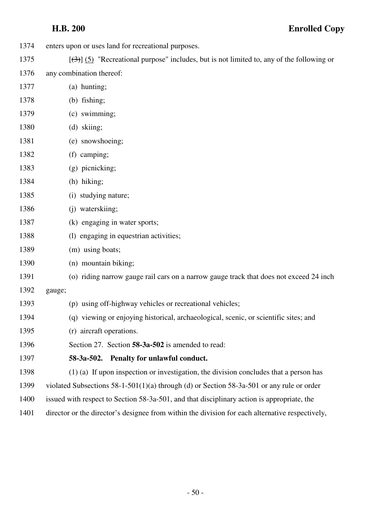- 1374 enters upon or uses land for recreational purposes.
- 1375  $\left[\left(\frac{3}{3}\right)\right]$  (5) "Recreational purpose" includes, but is not limited to, any of the following or
- 1376 any combination thereof:
- 1377 (a) hunting;
- 1378 (b) fishing;
- 1379 (c) swimming;
- 1380 (d) skiing;
- 1381 (e) snowshoeing;
- 1382 (f) camping;
- 1383 (g) picnicking;
- 1384 (h) hiking;
- 1385 (i) studying nature;
- 1386 (j) waterskiing;
- 1387 (k) engaging in water sports;
- 1388 (l) engaging in equestrian activities;
- 1389 (m) using boats;
- 1390 (n) mountain biking;
- 1391 (o) riding narrow gauge rail cars on a narrow gauge track that does not exceed 24 inch
- 1392 gauge;
- 1393 (p) using off-highway vehicles or recreational vehicles;
- 1394 (q) viewing or enjoying historical, archaeological, scenic, or scientific sites; and
- 1395 (r) aircraft operations.
- 1396 Section 27. Section **58-3a-502** is amended to read:
- 1397 **58-3a-502. Penalty for unlawful conduct.**
- 1398 (1) (a) If upon inspection or investigation, the division concludes that a person has
- 1399 violated Subsections 58-1-501(1)(a) through (d) or Section 58-3a-501 or any rule or order
- 1400 issued with respect to Section 58-3a-501, and that disciplinary action is appropriate, the
- 1401 director or the director's designee from within the division for each alternative respectively,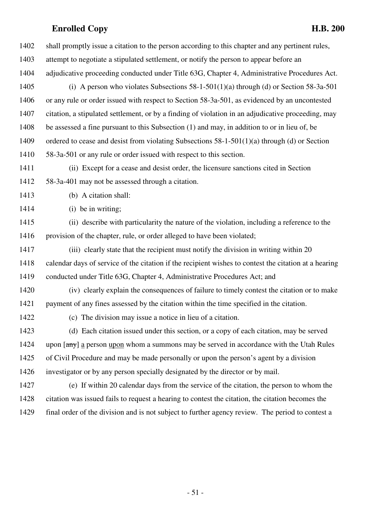| 1402 | shall promptly issue a citation to the person according to this chapter and any pertinent rules,      |
|------|-------------------------------------------------------------------------------------------------------|
| 1403 | attempt to negotiate a stipulated settlement, or notify the person to appear before an                |
| 1404 | adjudicative proceeding conducted under Title 63G, Chapter 4, Administrative Procedures Act.          |
| 1405 | (i) A person who violates Subsections $58-1-501(1)(a)$ through (d) or Section $58-3a-501$             |
| 1406 | or any rule or order issued with respect to Section 58-3a-501, as evidenced by an uncontested         |
| 1407 | citation, a stipulated settlement, or by a finding of violation in an adjudicative proceeding, may    |
| 1408 | be assessed a fine pursuant to this Subsection (1) and may, in addition to or in lieu of, be          |
| 1409 | ordered to cease and desist from violating Subsections 58-1-501(1)(a) through (d) or Section          |
| 1410 | 58-3a-501 or any rule or order issued with respect to this section.                                   |
| 1411 | (ii) Except for a cease and desist order, the licensure sanctions cited in Section                    |
| 1412 | 58-3a-401 may not be assessed through a citation.                                                     |
| 1413 | (b) A citation shall:                                                                                 |
| 1414 | (i) be in writing;                                                                                    |
| 1415 | (ii) describe with particularity the nature of the violation, including a reference to the            |
| 1416 | provision of the chapter, rule, or order alleged to have been violated;                               |
| 1417 | (iii) clearly state that the recipient must notify the division in writing within 20                  |
| 1418 | calendar days of service of the citation if the recipient wishes to contest the citation at a hearing |
| 1419 | conducted under Title 63G, Chapter 4, Administrative Procedures Act; and                              |
| 1420 | (iv) clearly explain the consequences of failure to timely contest the citation or to make            |
| 1421 | payment of any fines assessed by the citation within the time specified in the citation.              |
| 1422 | (c) The division may issue a notice in lieu of a citation.                                            |
| 1423 | (d) Each citation issued under this section, or a copy of each citation, may be served                |
| 1424 | upon [any] a person upon whom a summons may be served in accordance with the Utah Rules               |
| 1425 | of Civil Procedure and may be made personally or upon the person's agent by a division                |
| 1426 | investigator or by any person specially designated by the director or by mail.                        |
| 1427 | (e) If within 20 calendar days from the service of the citation, the person to whom the               |
| 1428 | citation was issued fails to request a hearing to contest the citation, the citation becomes the      |
| 1429 | final order of the division and is not subject to further agency review. The period to contest a      |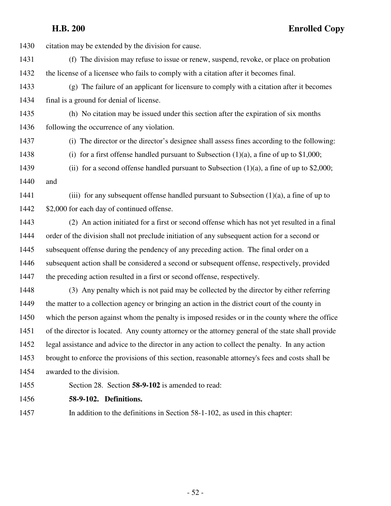1430 citation may be extended by the division for cause. 1431 (f) The division may refuse to issue or renew, suspend, revoke, or place on probation 1432 the license of a licensee who fails to comply with a citation after it becomes final. 1433 (g) The failure of an applicant for licensure to comply with a citation after it becomes 1434 final is a ground for denial of license. 1435 (h) No citation may be issued under this section after the expiration of six months 1436 following the occurrence of any violation. 1437 (i) The director or the director's designee shall assess fines according to the following: 1438 (i) for a first offense handled pursuant to Subsection (1)(a), a fine of up to \$1,000; 1439 (ii) for a second offense handled pursuant to Subsection  $(1)(a)$ , a fine of up to \$2,000; 1440 and 1441 (iii) for any subsequent offense handled pursuant to Subsection (1)(a), a fine of up to 1442 \$2,000 for each day of continued offense. 1443 (2) An action initiated for a first or second offense which has not yet resulted in a final 1444 order of the division shall not preclude initiation of any subsequent action for a second or 1445 subsequent offense during the pendency of any preceding action. The final order on a 1446 subsequent action shall be considered a second or subsequent offense, respectively, provided 1447 the preceding action resulted in a first or second offense, respectively. 1448 (3) Any penalty which is not paid may be collected by the director by either referring 1449 the matter to a collection agency or bringing an action in the district court of the county in 1450 which the person against whom the penalty is imposed resides or in the county where the office 1451 of the director is located. Any county attorney or the attorney general of the state shall provide 1452 legal assistance and advice to the director in any action to collect the penalty. In any action 1453 brought to enforce the provisions of this section, reasonable attorney's fees and costs shall be 1454 awarded to the division. 1455 Section 28. Section **58-9-102** is amended to read:

1456 **58-9-102. Definitions.**

1457 In addition to the definitions in Section 58-1-102, as used in this chapter:

- 52 -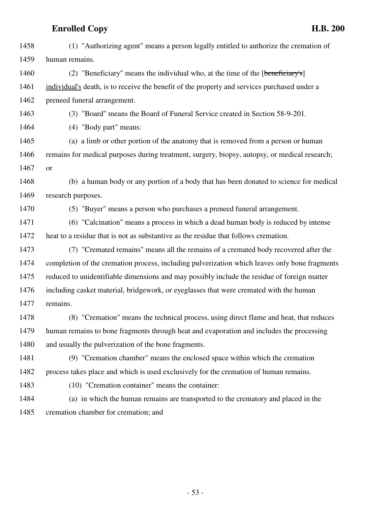1458 (1) "Authorizing agent" means a person legally entitled to authorize the cremation of 1459 human remains. 1460 (2) "Beneficiary" means the individual who, at the time of the [beneficiary's] 1461 individual's death, is to receive the benefit of the property and services purchased under a 1462 preneed funeral arrangement. 1463 (3) "Board" means the Board of Funeral Service created in Section 58-9-201. 1464 (4) "Body part" means: 1465 (a) a limb or other portion of the anatomy that is removed from a person or human 1466 remains for medical purposes during treatment, surgery, biopsy, autopsy, or medical research; 1467 or 1468 (b) a human body or any portion of a body that has been donated to science for medical 1469 research purposes. 1470 (5) "Buyer" means a person who purchases a preneed funeral arrangement. 1471 (6) "Calcination" means a process in which a dead human body is reduced by intense 1472 heat to a residue that is not as substantive as the residue that follows cremation. 1473 (7) "Cremated remains" means all the remains of a cremated body recovered after the 1474 completion of the cremation process, including pulverization which leaves only bone fragments 1475 reduced to unidentifiable dimensions and may possibly include the residue of foreign matter 1476 including casket material, bridgework, or eyeglasses that were cremated with the human 1477 remains. 1478 (8) "Cremation" means the technical process, using direct flame and heat, that reduces 1479 human remains to bone fragments through heat and evaporation and includes the processing 1480 and usually the pulverization of the bone fragments. 1481 (9) "Cremation chamber" means the enclosed space within which the cremation 1482 process takes place and which is used exclusively for the cremation of human remains. 1483 (10) "Cremation container" means the container: 1484 (a) in which the human remains are transported to the crematory and placed in the 1485 cremation chamber for cremation; and

- 53 -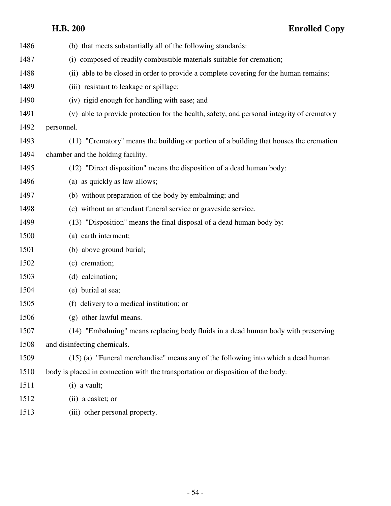| 1486 | (b) that meets substantially all of the following standards:                               |
|------|--------------------------------------------------------------------------------------------|
| 1487 | (i) composed of readily combustible materials suitable for cremation;                      |
| 1488 | (ii) able to be closed in order to provide a complete covering for the human remains;      |
| 1489 | (iii) resistant to leakage or spillage;                                                    |
| 1490 | (iv) rigid enough for handling with ease; and                                              |
| 1491 | (v) able to provide protection for the health, safety, and personal integrity of crematory |
| 1492 | personnel.                                                                                 |
| 1493 | (11) "Crematory" means the building or portion of a building that houses the cremation     |
| 1494 | chamber and the holding facility.                                                          |
| 1495 | (12) "Direct disposition" means the disposition of a dead human body:                      |
| 1496 | (a) as quickly as law allows;                                                              |
| 1497 | (b) without preparation of the body by embalming; and                                      |
| 1498 | (c) without an attendant funeral service or graveside service.                             |
| 1499 | (13) "Disposition" means the final disposal of a dead human body by:                       |
| 1500 | (a) earth interment;                                                                       |
| 1501 | (b) above ground burial;                                                                   |
| 1502 | (c) cremation;                                                                             |
| 1503 | (d) calcination;                                                                           |
| 1504 | (e) burial at sea;                                                                         |
| 1505 | (f) delivery to a medical institution; or                                                  |
| 1506 | (g) other lawful means.                                                                    |
| 1507 | (14) "Embalming" means replacing body fluids in a dead human body with preserving          |
| 1508 | and disinfecting chemicals.                                                                |
| 1509 | (15) (a) "Funeral merchandise" means any of the following into which a dead human          |
| 1510 | body is placed in connection with the transportation or disposition of the body:           |
| 1511 | $(i)$ a vault;                                                                             |
| 1512 | (ii) a casket; or                                                                          |
| 1513 | (iii) other personal property.                                                             |
|      |                                                                                            |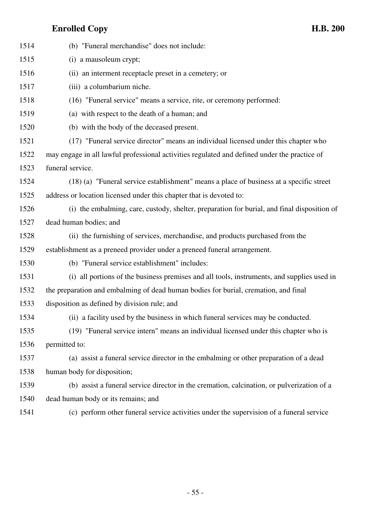| 1514 | (b) "Funeral merchandise" does not include:                                                  |
|------|----------------------------------------------------------------------------------------------|
| 1515 | (i) a mausoleum crypt;                                                                       |
| 1516 | (ii) an interment receptacle preset in a cemetery; or                                        |
| 1517 | (iii) a columbarium niche.                                                                   |
| 1518 | (16) "Funeral service" means a service, rite, or ceremony performed:                         |
| 1519 | (a) with respect to the death of a human; and                                                |
| 1520 | (b) with the body of the deceased present.                                                   |
| 1521 | (17) "Funeral service director" means an individual licensed under this chapter who          |
| 1522 | may engage in all lawful professional activities regulated and defined under the practice of |
| 1523 | funeral service.                                                                             |
| 1524 | (18) (a) "Funeral service establishment" means a place of business at a specific street      |
| 1525 | address or location licensed under this chapter that is devoted to:                          |
| 1526 | (i) the embalming, care, custody, shelter, preparation for burial, and final disposition of  |
| 1527 | dead human bodies; and                                                                       |
| 1528 | (ii) the furnishing of services, merchandise, and products purchased from the                |
| 1529 | establishment as a preneed provider under a preneed funeral arrangement.                     |
| 1530 | (b) "Funeral service establishment" includes:                                                |
| 1531 | (i) all portions of the business premises and all tools, instruments, and supplies used in   |
| 1532 | the preparation and embalming of dead human bodies for burial, cremation, and final          |
| 1533 | disposition as defined by division rule; and                                                 |
| 1534 | (ii) a facility used by the business in which funeral services may be conducted.             |
| 1535 | (19) "Funeral service intern" means an individual licensed under this chapter who is         |
| 1536 | permitted to:                                                                                |
| 1537 | (a) assist a funeral service director in the embalming or other preparation of a dead        |
| 1538 | human body for disposition;                                                                  |
| 1539 | (b) assist a funeral service director in the cremation, calcination, or pulverization of a   |
| 1540 | dead human body or its remains; and                                                          |
| 1541 | (c) perform other funeral service activities under the supervision of a funeral service      |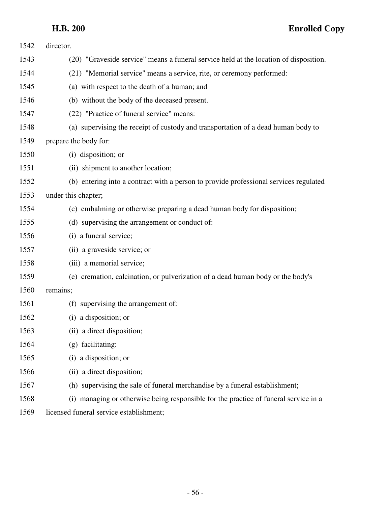| 1542 | director.                                                                             |
|------|---------------------------------------------------------------------------------------|
| 1543 | (20) "Graveside service" means a funeral service held at the location of disposition. |
| 1544 | (21) "Memorial service" means a service, rite, or ceremony performed:                 |
| 1545 | (a) with respect to the death of a human; and                                         |
| 1546 | (b) without the body of the deceased present.                                         |
| 1547 | (22) "Practice of funeral service" means:                                             |
| 1548 | (a) supervising the receipt of custody and transportation of a dead human body to     |
| 1549 | prepare the body for:                                                                 |
| 1550 | (i) disposition; or                                                                   |
| 1551 | (ii) shipment to another location;                                                    |
| 1552 | (b) entering into a contract with a person to provide professional services regulated |
| 1553 | under this chapter;                                                                   |
| 1554 | (c) embalming or otherwise preparing a dead human body for disposition;               |
| 1555 | (d) supervising the arrangement or conduct of:                                        |
| 1556 | (i) a funeral service;                                                                |
| 1557 | (ii) a graveside service; or                                                          |
| 1558 | (iii) a memorial service;                                                             |
| 1559 | (e) cremation, calcination, or pulverization of a dead human body or the body's       |
| 1560 | remains;                                                                              |
| 1561 | (f) supervising the arrangement of:                                                   |
| 1562 | (i) a disposition; or                                                                 |
| 1563 | (ii) a direct disposition;                                                            |
| 1564 | (g) facilitating:                                                                     |
| 1565 | a disposition; or<br>$\left( 1\right)$                                                |
| 1566 | (ii) a direct disposition;                                                            |
| 1567 | (h) supervising the sale of funeral merchandise by a funeral establishment;           |
| 1568 | (i) managing or otherwise being responsible for the practice of funeral service in a  |
|      |                                                                                       |

1569 licensed funeral service establishment;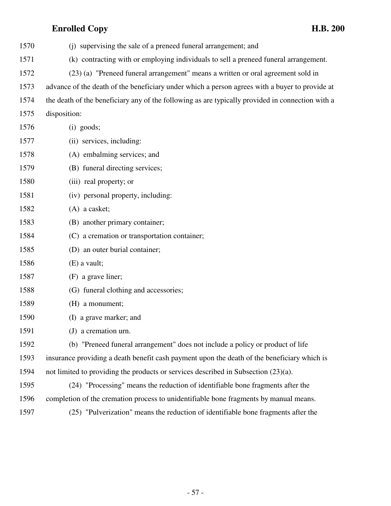| 1570 | (j) supervising the sale of a preneed funeral arrangement; and                                   |
|------|--------------------------------------------------------------------------------------------------|
| 1571 | (k) contracting with or employing individuals to sell a preneed funeral arrangement.             |
| 1572 | (23) (a) "Preneed funeral arrangement" means a written or oral agreement sold in                 |
| 1573 | advance of the death of the beneficiary under which a person agrees with a buyer to provide at   |
| 1574 | the death of the beneficiary any of the following as are typically provided in connection with a |
| 1575 | disposition:                                                                                     |
| 1576 | (i) goods;                                                                                       |
| 1577 | (ii) services, including:                                                                        |
| 1578 | (A) embalming services; and                                                                      |
| 1579 | (B) funeral directing services;                                                                  |
| 1580 | (iii) real property; or                                                                          |
| 1581 | (iv) personal property, including:                                                               |
| 1582 | $(A)$ a casket;                                                                                  |
| 1583 | (B) another primary container;                                                                   |
| 1584 | (C) a cremation or transportation container;                                                     |
| 1585 | (D) an outer burial container;                                                                   |
| 1586 | $(E)$ a vault;                                                                                   |
| 1587 | (F) a grave liner;                                                                               |
| 1588 | (G) funeral clothing and accessories;                                                            |
| 1589 | (H) a monument;                                                                                  |
| 1590 | (I) a grave marker; and                                                                          |
| 1591 | (J) a cremation urn.                                                                             |
| 1592 | (b) "Preneed funeral arrangement" does not include a policy or product of life                   |
| 1593 | insurance providing a death benefit cash payment upon the death of the beneficiary which is      |
| 1594 | not limited to providing the products or services described in Subsection (23)(a).               |
| 1595 | (24) "Processing" means the reduction of identifiable bone fragments after the                   |
| 1596 | completion of the cremation process to unidentifiable bone fragments by manual means.            |
| 1597 | (25) "Pulverization" means the reduction of identifiable bone fragments after the                |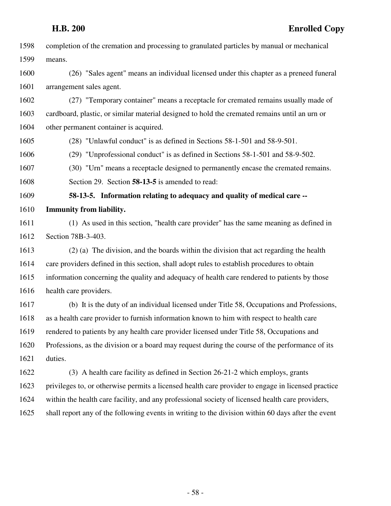| 1598 | completion of the cremation and processing to granulated particles by manual or mechanical         |
|------|----------------------------------------------------------------------------------------------------|
| 1599 | means.                                                                                             |
| 1600 | (26) "Sales agent" means an individual licensed under this chapter as a preneed funeral            |
| 1601 | arrangement sales agent.                                                                           |
| 1602 | (27) "Temporary container" means a receptacle for cremated remains usually made of                 |
| 1603 | cardboard, plastic, or similar material designed to hold the cremated remains until an urn or      |
| 1604 | other permanent container is acquired.                                                             |
| 1605 | (28) "Unlawful conduct" is as defined in Sections 58-1-501 and 58-9-501.                           |
| 1606 | (29) "Unprofessional conduct" is as defined in Sections 58-1-501 and 58-9-502.                     |
| 1607 | (30) "Urn" means a receptacle designed to permanently encase the cremated remains.                 |
| 1608 | Section 29. Section 58-13-5 is amended to read:                                                    |
| 1609 | 58-13-5. Information relating to adequacy and quality of medical care --                           |
| 1610 | <b>Immunity from liability.</b>                                                                    |
| 1611 | (1) As used in this section, "health care provider" has the same meaning as defined in             |
| 1612 | Section 78B-3-403.                                                                                 |
| 1613 | (2) (a) The division, and the boards within the division that act regarding the health             |
| 1614 | care providers defined in this section, shall adopt rules to establish procedures to obtain        |
| 1615 | information concerning the quality and adequacy of health care rendered to patients by those       |
| 1616 | health care providers.                                                                             |
| 1617 | (b) It is the duty of an individual licensed under Title 58, Occupations and Professions,          |
| 1618 | as a health care provider to furnish information known to him with respect to health care          |
| 1619 | rendered to patients by any health care provider licensed under Title 58, Occupations and          |
| 1620 | Professions, as the division or a board may request during the course of the performance of its    |
| 1621 | duties.                                                                                            |
| 1622 | (3) A health care facility as defined in Section 26-21-2 which employs, grants                     |
| 1623 | privileges to, or otherwise permits a licensed health care provider to engage in licensed practice |
| 1624 | within the health care facility, and any professional society of licensed health care providers,   |
| 1625 | shall report any of the following events in writing to the division within 60 days after the event |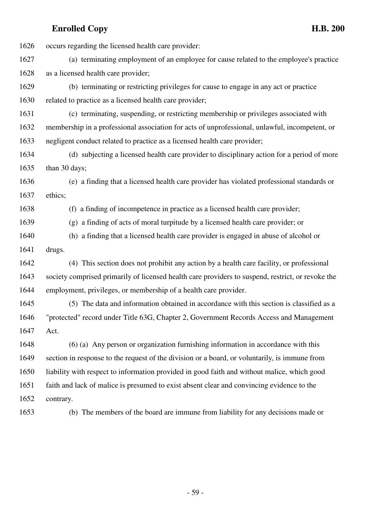1626 occurs regarding the licensed health care provider: 1627 (a) terminating employment of an employee for cause related to the employee's practice 1628 as a licensed health care provider; 1629 (b) terminating or restricting privileges for cause to engage in any act or practice 1630 related to practice as a licensed health care provider; 1631 (c) terminating, suspending, or restricting membership or privileges associated with 1632 membership in a professional association for acts of unprofessional, unlawful, incompetent, or 1633 negligent conduct related to practice as a licensed health care provider; 1634 (d) subjecting a licensed health care provider to disciplinary action for a period of more 1635 than 30 days; 1636 (e) a finding that a licensed health care provider has violated professional standards or 1637 ethics; 1638 (f) a finding of incompetence in practice as a licensed health care provider; 1639 (g) a finding of acts of moral turpitude by a licensed health care provider; or 1640 (h) a finding that a licensed health care provider is engaged in abuse of alcohol or 1641 drugs. 1642 (4) This section does not prohibit any action by a health care facility, or professional 1643 society comprised primarily of licensed health care providers to suspend, restrict, or revoke the 1644 employment, privileges, or membership of a health care provider. 1645 (5) The data and information obtained in accordance with this section is classified as a 1646 "protected" record under Title 63G, Chapter 2, Government Records Access and Management 1647 Act. 1648 (6) (a) Any person or organization furnishing information in accordance with this 1649 section in response to the request of the division or a board, or voluntarily, is immune from 1650 liability with respect to information provided in good faith and without malice, which good 1651 faith and lack of malice is presumed to exist absent clear and convincing evidence to the 1652 contrary. 1653 (b) The members of the board are immune from liability for any decisions made or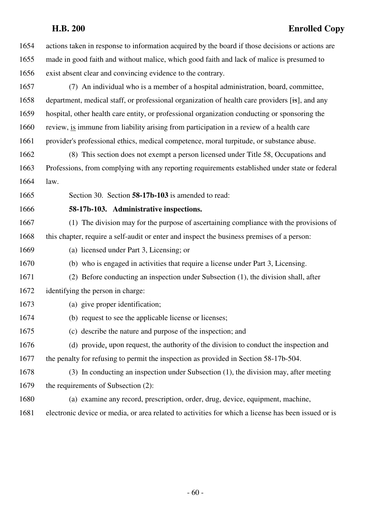| 1654 | actions taken in response to information acquired by the board if those decisions or actions are    |
|------|-----------------------------------------------------------------------------------------------------|
| 1655 | made in good faith and without malice, which good faith and lack of malice is presumed to           |
| 1656 | exist absent clear and convincing evidence to the contrary.                                         |
| 1657 | (7) An individual who is a member of a hospital administration, board, committee,                   |
| 1658 | department, medical staff, or professional organization of health care providers [is], and any      |
| 1659 | hospital, other health care entity, or professional organization conducting or sponsoring the       |
| 1660 | review, is immune from liability arising from participation in a review of a health care            |
| 1661 | provider's professional ethics, medical competence, moral turpitude, or substance abuse.            |
| 1662 | (8) This section does not exempt a person licensed under Title 58, Occupations and                  |
| 1663 | Professions, from complying with any reporting requirements established under state or federal      |
| 1664 | law.                                                                                                |
| 1665 | Section 30. Section 58-17b-103 is amended to read:                                                  |
| 1666 | 58-17b-103. Administrative inspections.                                                             |
| 1667 | (1) The division may for the purpose of ascertaining compliance with the provisions of              |
| 1668 | this chapter, require a self-audit or enter and inspect the business premises of a person:          |
| 1669 | (a) licensed under Part 3, Licensing; or                                                            |
| 1670 | (b) who is engaged in activities that require a license under Part 3, Licensing.                    |
| 1671 | (2) Before conducting an inspection under Subsection (1), the division shall, after                 |
| 1672 | identifying the person in charge:                                                                   |
| 1673 | (a) give proper identification;                                                                     |
| 1674 | (b) request to see the applicable license or licenses;                                              |
| 1675 | (c) describe the nature and purpose of the inspection; and                                          |
| 1676 | (d) provide, upon request, the authority of the division to conduct the inspection and              |
| 1677 | the penalty for refusing to permit the inspection as provided in Section 58-17b-504.                |
| 1678 | (3) In conducting an inspection under Subsection (1), the division may, after meeting               |
| 1679 | the requirements of Subsection (2):                                                                 |
| 1680 | (a) examine any record, prescription, order, drug, device, equipment, machine,                      |
| 1681 | electronic device or media, or area related to activities for which a license has been issued or is |
|      |                                                                                                     |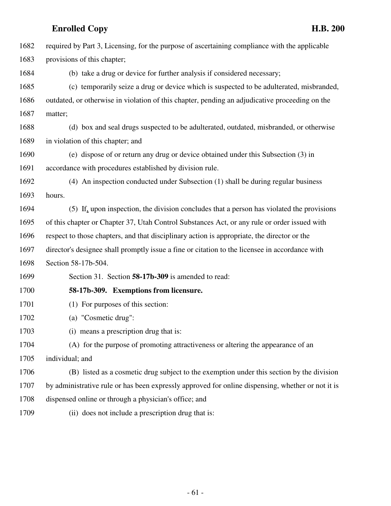| 1682 | required by Part 3, Licensing, for the purpose of ascertaining compliance with the applicable     |
|------|---------------------------------------------------------------------------------------------------|
| 1683 | provisions of this chapter;                                                                       |
| 1684 | (b) take a drug or device for further analysis if considered necessary;                           |
| 1685 | (c) temporarily seize a drug or device which is suspected to be adulterated, misbranded,          |
| 1686 | outdated, or otherwise in violation of this chapter, pending an adjudicative proceeding on the    |
| 1687 | matter;                                                                                           |
| 1688 | (d) box and seal drugs suspected to be adulterated, outdated, misbranded, or otherwise            |
| 1689 | in violation of this chapter; and                                                                 |
| 1690 | (e) dispose of or return any drug or device obtained under this Subsection (3) in                 |
| 1691 | accordance with procedures established by division rule.                                          |
| 1692 | (4) An inspection conducted under Subsection (1) shall be during regular business                 |
| 1693 | hours.                                                                                            |
| 1694 | (5) If, upon inspection, the division concludes that a person has violated the provisions         |
| 1695 | of this chapter or Chapter 37, Utah Control Substances Act, or any rule or order issued with      |
| 1696 | respect to those chapters, and that disciplinary action is appropriate, the director or the       |
| 1697 | director's designee shall promptly issue a fine or citation to the licensee in accordance with    |
| 1698 | Section 58-17b-504.                                                                               |
| 1699 | Section 31. Section 58-17b-309 is amended to read:                                                |
| 1700 | 58-17b-309. Exemptions from licensure.                                                            |
| 1701 | (1) For purposes of this section:                                                                 |
| 1702 | (a) "Cosmetic drug":                                                                              |
| 1703 | (i) means a prescription drug that is:                                                            |
| 1704 | (A) for the purpose of promoting attractiveness or altering the appearance of an                  |
| 1705 | individual; and                                                                                   |
| 1706 | (B) listed as a cosmetic drug subject to the exemption under this section by the division         |
| 1707 | by administrative rule or has been expressly approved for online dispensing, whether or not it is |
| 1708 | dispensed online or through a physician's office; and                                             |
| 1709 | (ii) does not include a prescription drug that is:                                                |
|      |                                                                                                   |
|      |                                                                                                   |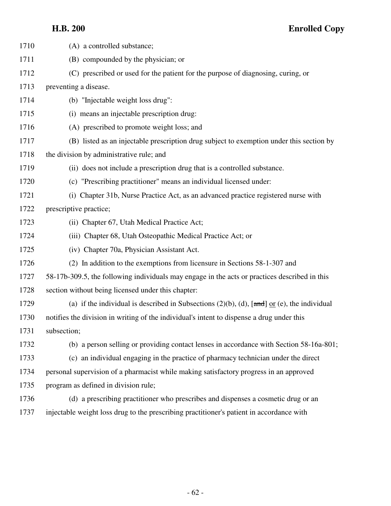| 1710 | (A) a controlled substance;                                                                          |
|------|------------------------------------------------------------------------------------------------------|
| 1711 | (B) compounded by the physician; or                                                                  |
| 1712 | (C) prescribed or used for the patient for the purpose of diagnosing, curing, or                     |
| 1713 | preventing a disease.                                                                                |
| 1714 | (b) "Injectable weight loss drug":                                                                   |
| 1715 | (i) means an injectable prescription drug:                                                           |
| 1716 | (A) prescribed to promote weight loss; and                                                           |
| 1717 | (B) listed as an injectable prescription drug subject to exemption under this section by             |
| 1718 | the division by administrative rule; and                                                             |
| 1719 | (ii) does not include a prescription drug that is a controlled substance.                            |
| 1720 | (c) "Prescribing practitioner" means an individual licensed under:                                   |
| 1721 | (i) Chapter 31b, Nurse Practice Act, as an advanced practice registered nurse with                   |
| 1722 | prescriptive practice;                                                                               |
| 1723 | (ii) Chapter 67, Utah Medical Practice Act;                                                          |
| 1724 | (iii) Chapter 68, Utah Osteopathic Medical Practice Act; or                                          |
| 1725 | (iv) Chapter 70a, Physician Assistant Act.                                                           |
| 1726 | (2) In addition to the exemptions from licensure in Sections 58-1-307 and                            |
| 1727 | 58-17b-309.5, the following individuals may engage in the acts or practices described in this        |
| 1728 | section without being licensed under this chapter:                                                   |
| 1729 | (a) if the individual is described in Subsections (2)(b), (d), $[\text{and}]$ or (e), the individual |
| 1730 | notifies the division in writing of the individual's intent to dispense a drug under this            |
| 1731 | subsection;                                                                                          |
| 1732 | (b) a person selling or providing contact lenses in accordance with Section 58-16a-801;              |
| 1733 | (c) an individual engaging in the practice of pharmacy technician under the direct                   |
| 1734 | personal supervision of a pharmacist while making satisfactory progress in an approved               |
| 1735 | program as defined in division rule;                                                                 |
| 1736 | (d) a prescribing practitioner who prescribes and dispenses a cosmetic drug or an                    |
| 1737 | injectable weight loss drug to the prescribing practitioner's patient in accordance with             |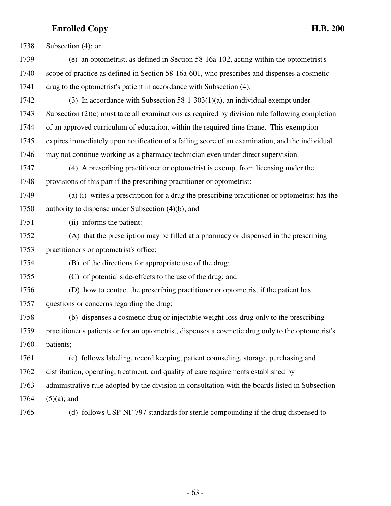| 1738 | Subsection $(4)$ ; or                                                                              |
|------|----------------------------------------------------------------------------------------------------|
| 1739 | (e) an optometrist, as defined in Section 58-16a-102, acting within the optometrist's              |
| 1740 | scope of practice as defined in Section 58-16a-601, who prescribes and dispenses a cosmetic        |
| 1741 | drug to the optometrist's patient in accordance with Subsection (4).                               |
| 1742 | (3) In accordance with Subsection $58-1-303(1)(a)$ , an individual exempt under                    |
| 1743 | Subsection $(2)(c)$ must take all examinations as required by division rule following completion   |
| 1744 | of an approved curriculum of education, within the required time frame. This exemption             |
| 1745 | expires immediately upon notification of a failing score of an examination, and the individual     |
| 1746 | may not continue working as a pharmacy technician even under direct supervision.                   |
| 1747 | (4) A prescribing practitioner or optometrist is exempt from licensing under the                   |
| 1748 | provisions of this part if the prescribing practitioner or optometrist:                            |
| 1749 | (a) (i) writes a prescription for a drug the prescribing practitioner or optometrist has the       |
| 1750 | authority to dispense under Subsection $(4)(b)$ ; and                                              |
| 1751 | (ii) informs the patient:                                                                          |
| 1752 | (A) that the prescription may be filled at a pharmacy or dispensed in the prescribing              |
| 1753 | practitioner's or optometrist's office;                                                            |
| 1754 | (B) of the directions for appropriate use of the drug;                                             |
| 1755 | (C) of potential side-effects to the use of the drug; and                                          |
| 1756 | (D) how to contact the prescribing practitioner or optometrist if the patient has                  |
| 1757 | questions or concerns regarding the drug;                                                          |
| 1758 | (b) dispenses a cosmetic drug or injectable weight loss drug only to the prescribing               |
| 1759 | practitioner's patients or for an optometrist, dispenses a cosmetic drug only to the optometrist's |
| 1760 | patients;                                                                                          |
| 1761 | (c) follows labeling, record keeping, patient counseling, storage, purchasing and                  |
| 1762 | distribution, operating, treatment, and quality of care requirements established by                |
| 1763 | administrative rule adopted by the division in consultation with the boards listed in Subsection   |
| 1764 | $(5)(a)$ ; and                                                                                     |
| 1765 | (d) follows USP-NF 797 standards for sterile compounding if the drug dispensed to                  |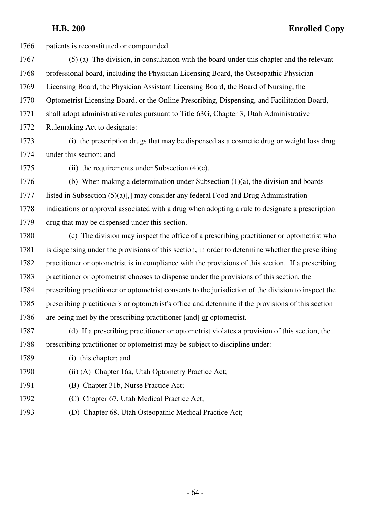1766 patients is reconstituted or compounded. 1767 (5) (a) The division, in consultation with the board under this chapter and the relevant 1768 professional board, including the Physician Licensing Board, the Osteopathic Physician 1769 Licensing Board, the Physician Assistant Licensing Board, the Board of Nursing, the 1770 Optometrist Licensing Board, or the Online Prescribing, Dispensing, and Facilitation Board, 1771 shall adopt administrative rules pursuant to Title 63G, Chapter 3, Utah Administrative 1772 Rulemaking Act to designate: 1773 (i) the prescription drugs that may be dispensed as a cosmetic drug or weight loss drug 1774 under this section; and 1775 (ii) the requirements under Subsection (4)(c). 1776 (b) When making a determination under Subsection  $(1)(a)$ , the division and boards 1777 listed in Subsection  $(5)(a)$ . may consider any federal Food and Drug Administration 1778 indications or approval associated with a drug when adopting a rule to designate a prescription 1779 drug that may be dispensed under this section. 1780 (c) The division may inspect the office of a prescribing practitioner or optometrist who 1781 is dispensing under the provisions of this section, in order to determine whether the prescribing 1782 practitioner or optometrist is in compliance with the provisions of this section. If a prescribing 1783 practitioner or optometrist chooses to dispense under the provisions of this section, the 1784 prescribing practitioner or optometrist consents to the jurisdiction of the division to inspect the 1785 prescribing practitioner's or optometrist's office and determine if the provisions of this section 1786 are being met by the prescribing practitioner  $[\text{and}]$  or optometrist. 1787 (d) If a prescribing practitioner or optometrist violates a provision of this section, the 1788 prescribing practitioner or optometrist may be subject to discipline under: 1789 (i) this chapter; and 1790 (ii) (A) Chapter 16a, Utah Optometry Practice Act; 1791 (B) Chapter 31b, Nurse Practice Act; 1792 (C) Chapter 67, Utah Medical Practice Act;

1793 (D) Chapter 68, Utah Osteopathic Medical Practice Act;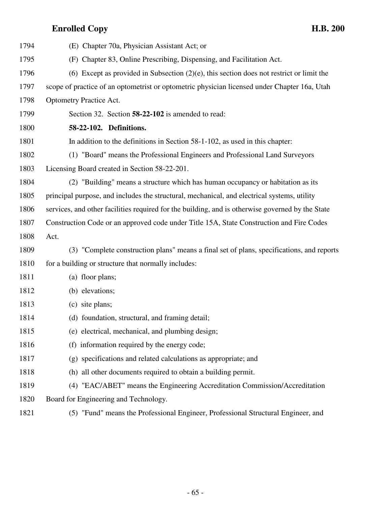| 1794 | (E) Chapter 70a, Physician Assistant Act; or                                                     |
|------|--------------------------------------------------------------------------------------------------|
| 1795 | (F) Chapter 83, Online Prescribing, Dispensing, and Facilitation Act.                            |
| 1796 | (6) Except as provided in Subsection $(2)(e)$ , this section does not restrict or limit the      |
| 1797 | scope of practice of an optometrist or optometric physician licensed under Chapter 16a, Utah     |
| 1798 | <b>Optometry Practice Act.</b>                                                                   |
| 1799 | Section 32. Section 58-22-102 is amended to read:                                                |
| 1800 | 58-22-102. Definitions.                                                                          |
| 1801 | In addition to the definitions in Section 58-1-102, as used in this chapter:                     |
| 1802 | (1) "Board" means the Professional Engineers and Professional Land Surveyors                     |
| 1803 | Licensing Board created in Section 58-22-201.                                                    |
| 1804 | (2) "Building" means a structure which has human occupancy or habitation as its                  |
| 1805 | principal purpose, and includes the structural, mechanical, and electrical systems, utility      |
| 1806 | services, and other facilities required for the building, and is otherwise governed by the State |
|      |                                                                                                  |
| 1807 | Construction Code or an approved code under Title 15A, State Construction and Fire Codes         |
| 1808 | Act.                                                                                             |
| 1809 | (3) "Complete construction plans" means a final set of plans, specifications, and reports        |
| 1810 | for a building or structure that normally includes:                                              |
| 1811 | (a) floor plans;                                                                                 |
| 1812 | (b) elevations;                                                                                  |
| 1813 | (c) site plans;                                                                                  |
| 1814 | (d) foundation, structural, and framing detail;                                                  |
| 1815 | (e) electrical, mechanical, and plumbing design;                                                 |
| 1816 | (f) information required by the energy code;                                                     |
| 1817 | (g) specifications and related calculations as appropriate; and                                  |
| 1818 | (h) all other documents required to obtain a building permit.                                    |
| 1819 | (4) "EAC/ABET" means the Engineering Accreditation Commission/Accreditation                      |
| 1820 | Board for Engineering and Technology.                                                            |
|      |                                                                                                  |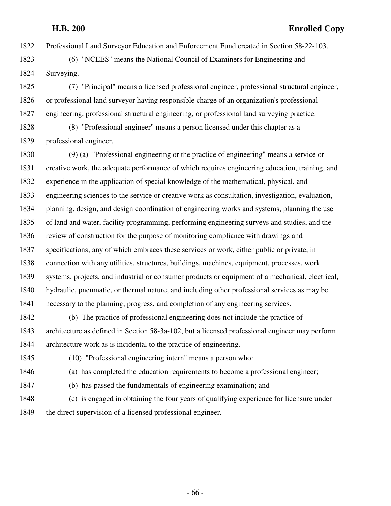1822 Professional Land Surveyor Education and Enforcement Fund created in Section 58-22-103.

1823 (6) "NCEES" means the National Council of Examiners for Engineering and 1824 Surveying.

1825 (7) "Principal" means a licensed professional engineer, professional structural engineer, 1826 or professional land surveyor having responsible charge of an organization's professional 1827 engineering, professional structural engineering, or professional land surveying practice.

1828 (8) "Professional engineer" means a person licensed under this chapter as a 1829 professional engineer.

1830 (9) (a) "Professional engineering or the practice of engineering" means a service or 1831 creative work, the adequate performance of which requires engineering education, training, and 1832 experience in the application of special knowledge of the mathematical, physical, and 1833 engineering sciences to the service or creative work as consultation, investigation, evaluation, 1834 planning, design, and design coordination of engineering works and systems, planning the use 1835 of land and water, facility programming, performing engineering surveys and studies, and the 1836 review of construction for the purpose of monitoring compliance with drawings and 1837 specifications; any of which embraces these services or work, either public or private, in 1838 connection with any utilities, structures, buildings, machines, equipment, processes, work 1839 systems, projects, and industrial or consumer products or equipment of a mechanical, electrical, 1840 hydraulic, pneumatic, or thermal nature, and including other professional services as may be 1841 necessary to the planning, progress, and completion of any engineering services.

1842 (b) The practice of professional engineering does not include the practice of 1843 architecture as defined in Section 58-3a-102, but a licensed professional engineer may perform 1844 architecture work as is incidental to the practice of engineering.

1845 (10) "Professional engineering intern" means a person who:

1846 (a) has completed the education requirements to become a professional engineer;

1847 (b) has passed the fundamentals of engineering examination; and

1848 (c) is engaged in obtaining the four years of qualifying experience for licensure under 1849 the direct supervision of a licensed professional engineer.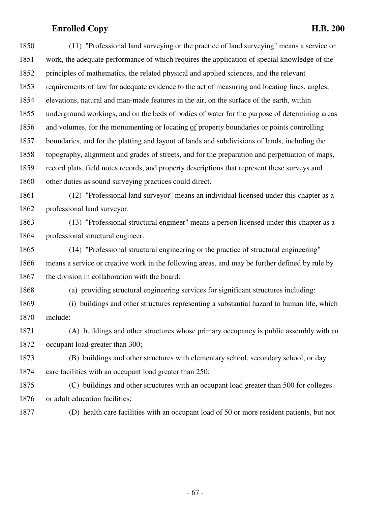1850 (11) "Professional land surveying or the practice of land surveying" means a service or 1851 work, the adequate performance of which requires the application of special knowledge of the 1852 principles of mathematics, the related physical and applied sciences, and the relevant 1853 requirements of law for adequate evidence to the act of measuring and locating lines, angles, 1854 elevations, natural and man-made features in the air, on the surface of the earth, within 1855 underground workings, and on the beds of bodies of water for the purpose of determining areas 1856 and volumes, for the monumenting or locating of property boundaries or points controlling 1857 boundaries, and for the platting and layout of lands and subdivisions of lands, including the 1858 topography, alignment and grades of streets, and for the preparation and perpetuation of maps, 1859 record plats, field notes records, and property descriptions that represent these surveys and 1860 other duties as sound surveying practices could direct.

1861 (12) "Professional land surveyor" means an individual licensed under this chapter as a 1862 professional land surveyor.

1863 (13) "Professional structural engineer" means a person licensed under this chapter as a 1864 professional structural engineer.

1865 (14) "Professional structural engineering or the practice of structural engineering" 1866 means a service or creative work in the following areas, and may be further defined by rule by 1867 the division in collaboration with the board:

1868 (a) providing structural engineering services for significant structures including:

1869 (i) buildings and other structures representing a substantial hazard to human life, which 1870 include:

1871 (A) buildings and other structures whose primary occupancy is public assembly with an 1872 occupant load greater than 300;

1873 (B) buildings and other structures with elementary school, secondary school, or day 1874 care facilities with an occupant load greater than 250;

1875 (C) buildings and other structures with an occupant load greater than 500 for colleges 1876 or adult education facilities;

1877 (D) health care facilities with an occupant load of 50 or more resident patients, but not

- 67 -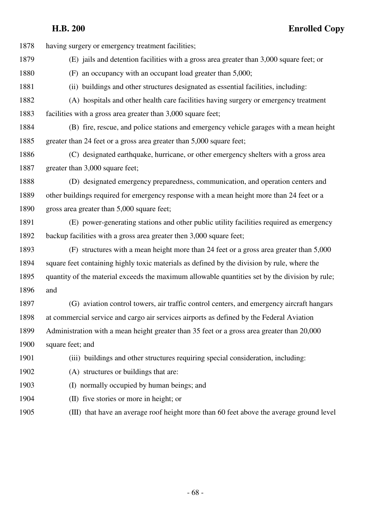| 1878 | having surgery or emergency treatment facilities;                                              |
|------|------------------------------------------------------------------------------------------------|
| 1879 | (E) jails and detention facilities with a gross area greater than 3,000 square feet; or        |
| 1880 | (F) an occupancy with an occupant load greater than 5,000;                                     |
| 1881 | (ii) buildings and other structures designated as essential facilities, including:             |
| 1882 | (A) hospitals and other health care facilities having surgery or emergency treatment           |
| 1883 | facilities with a gross area greater than 3,000 square feet;                                   |
| 1884 | (B) fire, rescue, and police stations and emergency vehicle garages with a mean height         |
| 1885 | greater than 24 feet or a gross area greater than 5,000 square feet;                           |
| 1886 | (C) designated earthquake, hurricane, or other emergency shelters with a gross area            |
| 1887 | greater than 3,000 square feet;                                                                |
| 1888 | (D) designated emergency preparedness, communication, and operation centers and                |
| 1889 | other buildings required for emergency response with a mean height more than 24 feet or a      |
| 1890 | gross area greater than 5,000 square feet;                                                     |
| 1891 | (E) power-generating stations and other public utility facilities required as emergency        |
| 1892 | backup facilities with a gross area greater then 3,000 square feet;                            |
| 1893 | (F) structures with a mean height more than 24 feet or a gross area greater than 5,000         |
| 1894 | square feet containing highly toxic materials as defined by the division by rule, where the    |
| 1895 | quantity of the material exceeds the maximum allowable quantities set by the division by rule; |
| 1896 | and                                                                                            |
| 1897 | (G) aviation control towers, air traffic control centers, and emergency aircraft hangars       |
| 1898 | at commercial service and cargo air services airports as defined by the Federal Aviation       |
| 1899 | Administration with a mean height greater than 35 feet or a gross area greater than 20,000     |
| 1900 | square feet; and                                                                               |
| 1901 | (iii) buildings and other structures requiring special consideration, including:               |
| 1902 | (A) structures or buildings that are:                                                          |
| 1903 | (I) normally occupied by human beings; and                                                     |
| 1904 | (II) five stories or more in height; or                                                        |
| 1905 | (III) that have an average roof height more than 60 feet above the average ground level        |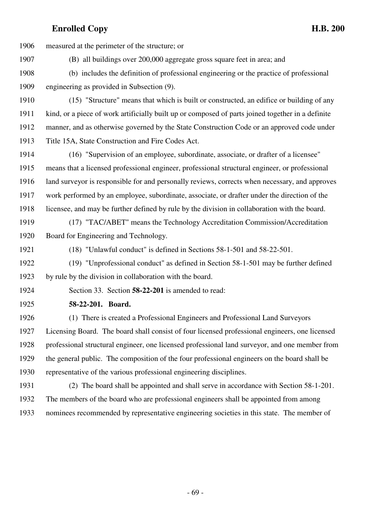| 1906 | measured at the perimeter of the structure; or                                                    |
|------|---------------------------------------------------------------------------------------------------|
| 1907 | (B) all buildings over 200,000 aggregate gross square feet in area; and                           |
| 1908 | (b) includes the definition of professional engineering or the practice of professional           |
| 1909 | engineering as provided in Subsection (9).                                                        |
| 1910 | (15) "Structure" means that which is built or constructed, an edifice or building of any          |
| 1911 | kind, or a piece of work artificially built up or composed of parts joined together in a definite |
| 1912 | manner, and as otherwise governed by the State Construction Code or an approved code under        |
| 1913 | Title 15A, State Construction and Fire Codes Act.                                                 |
| 1914 | (16) "Supervision of an employee, subordinate, associate, or drafter of a licensee"               |
| 1915 | means that a licensed professional engineer, professional structural engineer, or professional    |
| 1916 | land surveyor is responsible for and personally reviews, corrects when necessary, and approves    |
| 1917 | work performed by an employee, subordinate, associate, or drafter under the direction of the      |
| 1918 | licensee, and may be further defined by rule by the division in collaboration with the board.     |
| 1919 | (17) "TAC/ABET" means the Technology Accreditation Commission/Accreditation                       |
| 1920 | Board for Engineering and Technology.                                                             |
| 1921 | (18) "Unlawful conduct" is defined in Sections 58-1-501 and 58-22-501.                            |
| 1922 | (19) "Unprofessional conduct" as defined in Section 58-1-501 may be further defined               |
| 1923 | by rule by the division in collaboration with the board.                                          |
| 1924 | Section 33. Section 58-22-201 is amended to read:                                                 |
| 1925 | 58-22-201. Board.                                                                                 |
| 1926 | (1) There is created a Professional Engineers and Professional Land Surveyors                     |
| 1927 | Licensing Board. The board shall consist of four licensed professional engineers, one licensed    |
| 1928 | professional structural engineer, one licensed professional land surveyor, and one member from    |
| 1929 | the general public. The composition of the four professional engineers on the board shall be      |
| 1930 | representative of the various professional engineering disciplines.                               |
| 1931 | (2) The board shall be appointed and shall serve in accordance with Section 58-1-201.             |
| 1932 | The members of the board who are professional engineers shall be appointed from among             |

1933 nominees recommended by representative engineering societies in this state. The member of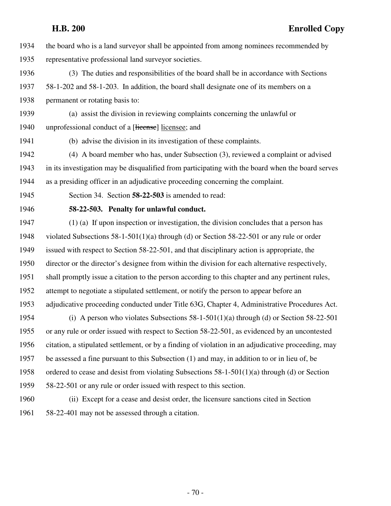1934 the board who is a land surveyor shall be appointed from among nominees recommended by 1935 representative professional land surveyor societies.

- 1936 (3) The duties and responsibilities of the board shall be in accordance with Sections 1937 58-1-202 and 58-1-203. In addition, the board shall designate one of its members on a 1938 permanent or rotating basis to:
- 1939 (a) assist the division in reviewing complaints concerning the unlawful or 1940 unprofessional conduct of a [Herense] licensee; and
- 

1941 (b) advise the division in its investigation of these complaints.

1942 (4) A board member who has, under Subsection (3), reviewed a complaint or advised 1943 in its investigation may be disqualified from participating with the board when the board serves 1944 as a presiding officer in an adjudicative proceeding concerning the complaint.

1945 Section 34. Section **58-22-503** is amended to read:

### 1946 **58-22-503. Penalty for unlawful conduct.**

1947 (1) (a) If upon inspection or investigation, the division concludes that a person has 1948 violated Subsections 58-1-501(1)(a) through (d) or Section 58-22-501 or any rule or order 1949 issued with respect to Section 58-22-501, and that disciplinary action is appropriate, the 1950 director or the director's designee from within the division for each alternative respectively, 1951 shall promptly issue a citation to the person according to this chapter and any pertinent rules, 1952 attempt to negotiate a stipulated settlement, or notify the person to appear before an 1953 adjudicative proceeding conducted under Title 63G, Chapter 4, Administrative Procedures Act. 1954 (i) A person who violates Subsections 58-1-501(1)(a) through (d) or Section 58-22-501 1955 or any rule or order issued with respect to Section 58-22-501, as evidenced by an uncontested 1956 citation, a stipulated settlement, or by a finding of violation in an adjudicative proceeding, may

1957 be assessed a fine pursuant to this Subsection (1) and may, in addition to or in lieu of, be 1958 ordered to cease and desist from violating Subsections  $58-1-501(1)(a)$  through (d) or Section

- 1959 58-22-501 or any rule or order issued with respect to this section.
- 1960 (ii) Except for a cease and desist order, the licensure sanctions cited in Section 1961 58-22-401 may not be assessed through a citation.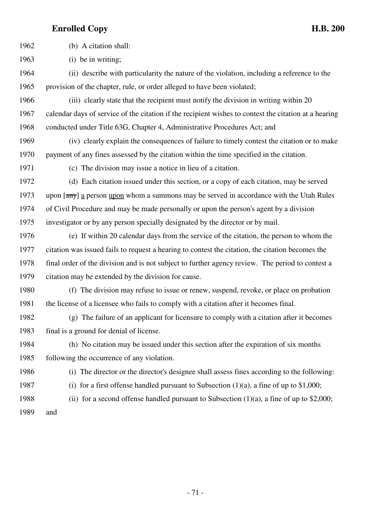1962 (b) A citation shall: 1963 (i) be in writing; 1964 (ii) describe with particularity the nature of the violation, including a reference to the 1965 provision of the chapter, rule, or order alleged to have been violated; 1966 (iii) clearly state that the recipient must notify the division in writing within 20 1967 calendar days of service of the citation if the recipient wishes to contest the citation at a hearing 1968 conducted under Title 63G, Chapter 4, Administrative Procedures Act; and 1969 (iv) clearly explain the consequences of failure to timely contest the citation or to make 1970 payment of any fines assessed by the citation within the time specified in the citation. 1971 (c) The division may issue a notice in lieu of a citation. 1972 (d) Each citation issued under this section, or a copy of each citation, may be served 1973 upon  $\left[\frac{amy}{\text{m}y}\right]$  a person upon whom a summons may be served in accordance with the Utah Rules 1974 of Civil Procedure and may be made personally or upon the person's agent by a division 1975 investigator or by any person specially designated by the director or by mail. 1976 (e) If within 20 calendar days from the service of the citation, the person to whom the 1977 citation was issued fails to request a hearing to contest the citation, the citation becomes the 1978 final order of the division and is not subject to further agency review. The period to contest a 1979 citation may be extended by the division for cause. 1980 (f) The division may refuse to issue or renew, suspend, revoke, or place on probation 1981 the license of a licensee who fails to comply with a citation after it becomes final. 1982 (g) The failure of an applicant for licensure to comply with a citation after it becomes 1983 final is a ground for denial of license. 1984 (h) No citation may be issued under this section after the expiration of six months 1985 following the occurrence of any violation. 1986 (i) The director or the director's designee shall assess fines according to the following: 1987 (i) for a first offense handled pursuant to Subsection  $(1)(a)$ , a fine of up to \$1,000; 1988 (ii) for a second offense handled pursuant to Subsection  $(1)(a)$ , a fine of up to \$2,000; 1989 and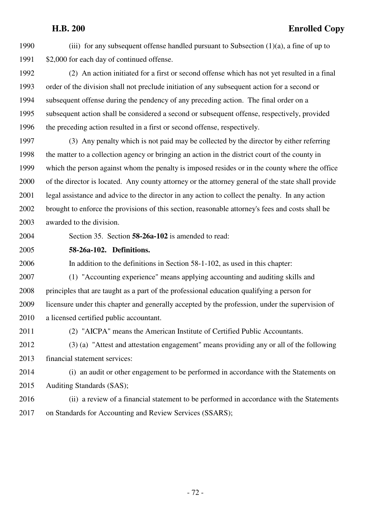1990 (iii) for any subsequent offense handled pursuant to Subsection  $(1)(a)$ , a fine of up to 1991 \$2,000 for each day of continued offense.

1992 (2) An action initiated for a first or second offense which has not yet resulted in a final 1993 order of the division shall not preclude initiation of any subsequent action for a second or 1994 subsequent offense during the pendency of any preceding action. The final order on a 1995 subsequent action shall be considered a second or subsequent offense, respectively, provided 1996 the preceding action resulted in a first or second offense, respectively.

1997 (3) Any penalty which is not paid may be collected by the director by either referring 1998 the matter to a collection agency or bringing an action in the district court of the county in 1999 which the person against whom the penalty is imposed resides or in the county where the office 2000 of the director is located. Any county attorney or the attorney general of the state shall provide 2001 legal assistance and advice to the director in any action to collect the penalty. In any action 2002 brought to enforce the provisions of this section, reasonable attorney's fees and costs shall be 2003 awarded to the division.

2004 Section 35. Section **58-26a-102** is amended to read:

2005 **58-26a-102. Definitions.**

2006 In addition to the definitions in Section 58-1-102, as used in this chapter:

2007 (1) "Accounting experience" means applying accounting and auditing skills and 2008 principles that are taught as a part of the professional education qualifying a person for 2009 licensure under this chapter and generally accepted by the profession, under the supervision of 2010 a licensed certified public accountant.

2011 (2) "AICPA" means the American Institute of Certified Public Accountants.

2012 (3) (a) "Attest and attestation engagement" means providing any or all of the following 2013 financial statement services:

2014 (i) an audit or other engagement to be performed in accordance with the Statements on 2015 Auditing Standards (SAS);

2016 (ii) a review of a financial statement to be performed in accordance with the Statements 2017 on Standards for Accounting and Review Services (SSARS);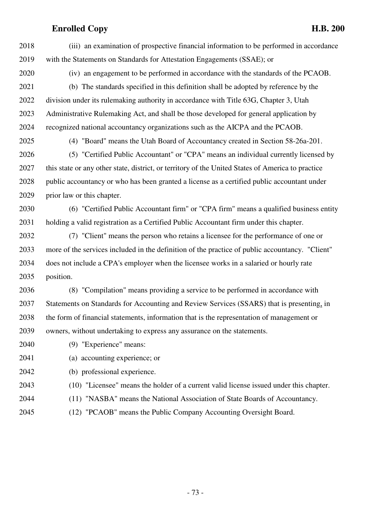2018 (iii) an examination of prospective financial information to be performed in accordance 2019 with the Statements on Standards for Attestation Engagements (SSAE); or

2020 (iv) an engagement to be performed in accordance with the standards of the PCAOB. 2021 (b) The standards specified in this definition shall be adopted by reference by the 2022 division under its rulemaking authority in accordance with Title 63G, Chapter 3, Utah 2023 Administrative Rulemaking Act, and shall be those developed for general application by 2024 recognized national accountancy organizations such as the AICPA and the PCAOB.

2025 (4) "Board" means the Utah Board of Accountancy created in Section 58-26a-201.

2026 (5) "Certified Public Accountant" or "CPA" means an individual currently licensed by 2027 this state or any other state, district, or territory of the United States of America to practice 2028 public accountancy or who has been granted a license as a certified public accountant under 2029 prior law or this chapter.

2030 (6) "Certified Public Accountant firm" or "CPA firm" means a qualified business entity 2031 holding a valid registration as a Certified Public Accountant firm under this chapter.

2032 (7) "Client" means the person who retains a licensee for the performance of one or 2033 more of the services included in the definition of the practice of public accountancy. "Client" 2034 does not include a CPA's employer when the licensee works in a salaried or hourly rate 2035 position.

2036 (8) "Compilation" means providing a service to be performed in accordance with 2037 Statements on Standards for Accounting and Review Services (SSARS) that is presenting, in 2038 the form of financial statements, information that is the representation of management or 2039 owners, without undertaking to express any assurance on the statements.

2040 (9) "Experience" means:

- 2041 (a) accounting experience; or
- 2042 (b) professional experience.
- 2043 (10) "Licensee" means the holder of a current valid license issued under this chapter.
- 2044 (11) "NASBA" means the National Association of State Boards of Accountancy.
- 2045 (12) "PCAOB" means the Public Company Accounting Oversight Board.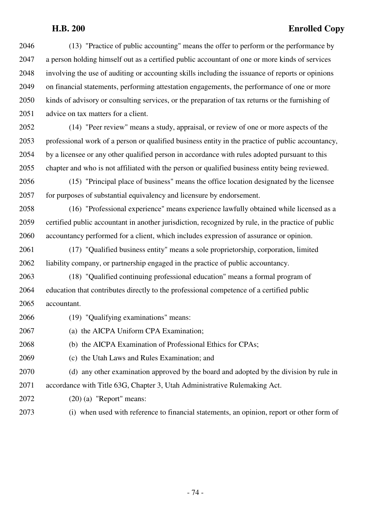2046 (13) "Practice of public accounting" means the offer to perform or the performance by 2047 a person holding himself out as a certified public accountant of one or more kinds of services 2048 involving the use of auditing or accounting skills including the issuance of reports or opinions 2049 on financial statements, performing attestation engagements, the performance of one or more 2050 kinds of advisory or consulting services, or the preparation of tax returns or the furnishing of 2051 advice on tax matters for a client.

2052 (14) "Peer review" means a study, appraisal, or review of one or more aspects of the 2053 professional work of a person or qualified business entity in the practice of public accountancy, 2054 by a licensee or any other qualified person in accordance with rules adopted pursuant to this 2055 chapter and who is not affiliated with the person or qualified business entity being reviewed.

2056 (15) "Principal place of business" means the office location designated by the licensee 2057 for purposes of substantial equivalency and licensure by endorsement.

2058 (16) "Professional experience" means experience lawfully obtained while licensed as a 2059 certified public accountant in another jurisdiction, recognized by rule, in the practice of public 2060 accountancy performed for a client, which includes expression of assurance or opinion.

2061 (17) "Qualified business entity" means a sole proprietorship, corporation, limited 2062 liability company, or partnership engaged in the practice of public accountancy.

2063 (18) "Qualified continuing professional education" means a formal program of 2064 education that contributes directly to the professional competence of a certified public 2065 accountant.

- 2066 (19) "Qualifying examinations" means:
- 2067 (a) the AICPA Uniform CPA Examination;

2068 (b) the AICPA Examination of Professional Ethics for CPAs;

2069 (c) the Utah Laws and Rules Examination; and

2070 (d) any other examination approved by the board and adopted by the division by rule in 2071 accordance with Title 63G, Chapter 3, Utah Administrative Rulemaking Act.

- 2072 (20) (a) "Report" means:
- 2073 (i) when used with reference to financial statements, an opinion, report or other form of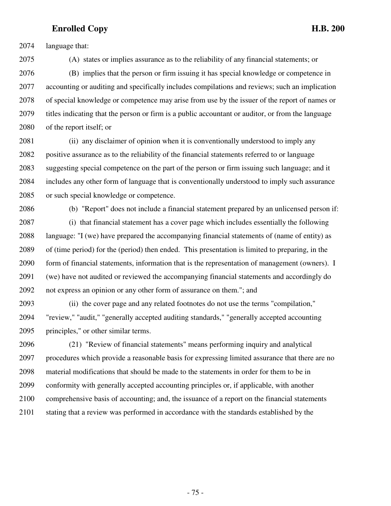2074 language that:

2075 (A) states or implies assurance as to the reliability of any financial statements; or 2076 (B) implies that the person or firm issuing it has special knowledge or competence in 2077 accounting or auditing and specifically includes compilations and reviews; such an implication 2078 of special knowledge or competence may arise from use by the issuer of the report of names or 2079 titles indicating that the person or firm is a public accountant or auditor, or from the language 2080 of the report itself; or

2081 (ii) any disclaimer of opinion when it is conventionally understood to imply any 2082 positive assurance as to the reliability of the financial statements referred to or language 2083 suggesting special competence on the part of the person or firm issuing such language; and it 2084 includes any other form of language that is conventionally understood to imply such assurance 2085 or such special knowledge or competence.

2086 (b) "Report" does not include a financial statement prepared by an unlicensed person if:

2087 (i) that financial statement has a cover page which includes essentially the following 2088 language: "I (we) have prepared the accompanying financial statements of (name of entity) as 2089 of (time period) for the (period) then ended. This presentation is limited to preparing, in the 2090 form of financial statements, information that is the representation of management (owners). I 2091 (we) have not audited or reviewed the accompanying financial statements and accordingly do 2092 not express an opinion or any other form of assurance on them."; and

2093 (ii) the cover page and any related footnotes do not use the terms "compilation," 2094 "review," "audit," "generally accepted auditing standards," "generally accepted accounting 2095 principles," or other similar terms.

2096 (21) "Review of financial statements" means performing inquiry and analytical 2097 procedures which provide a reasonable basis for expressing limited assurance that there are no 2098 material modifications that should be made to the statements in order for them to be in 2099 conformity with generally accepted accounting principles or, if applicable, with another 2100 comprehensive basis of accounting; and, the issuance of a report on the financial statements 2101 stating that a review was performed in accordance with the standards established by the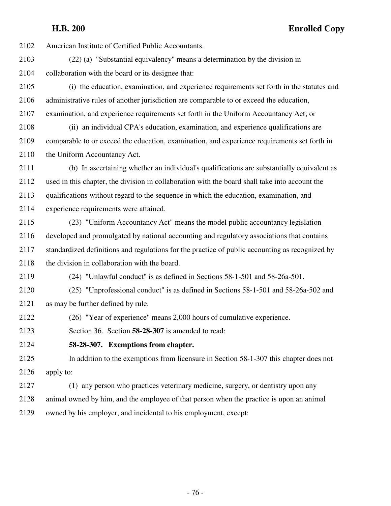2102 American Institute of Certified Public Accountants.

- 2103 (22) (a) "Substantial equivalency" means a determination by the division in 2104 collaboration with the board or its designee that:
- 2105 (i) the education, examination, and experience requirements set forth in the statutes and 2106 administrative rules of another jurisdiction are comparable to or exceed the education, 2107 examination, and experience requirements set forth in the Uniform Accountancy Act; or
- 2108 (ii) an individual CPA's education, examination, and experience qualifications are 2109 comparable to or exceed the education, examination, and experience requirements set forth in 2110 the Uniform Accountancy Act.
- 2111 (b) In ascertaining whether an individual's qualifications are substantially equivalent as 2112 used in this chapter, the division in collaboration with the board shall take into account the 2113 qualifications without regard to the sequence in which the education, examination, and 2114 experience requirements were attained.
- 2115 (23) "Uniform Accountancy Act" means the model public accountancy legislation 2116 developed and promulgated by national accounting and regulatory associations that contains 2117 standardized definitions and regulations for the practice of public accounting as recognized by 2118 the division in collaboration with the board.
- 2119 (24) "Unlawful conduct" is as defined in Sections 58-1-501 and 58-26a-501.
- 2120 (25) "Unprofessional conduct" is as defined in Sections 58-1-501 and 58-26a-502 and 2121 as may be further defined by rule.
- 2122 (26) "Year of experience" means 2,000 hours of cumulative experience.

2123 Section 36. Section **58-28-307** is amended to read:

2124 **58-28-307. Exemptions from chapter.**

2125 In addition to the exemptions from licensure in Section 58-1-307 this chapter does not 2126 apply to:

2127 (1) any person who practices veterinary medicine, surgery, or dentistry upon any 2128 animal owned by him, and the employee of that person when the practice is upon an animal 2129 owned by his employer, and incidental to his employment, except: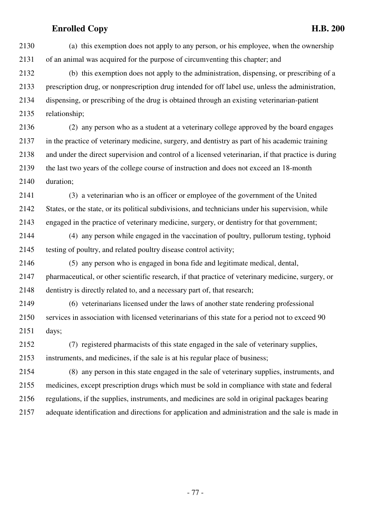2130 (a) this exemption does not apply to any person, or his employee, when the ownership 2131 of an animal was acquired for the purpose of circumventing this chapter; and 2132 (b) this exemption does not apply to the administration, dispensing, or prescribing of a 2133 prescription drug, or nonprescription drug intended for off label use, unless the administration, 2134 dispensing, or prescribing of the drug is obtained through an existing veterinarian-patient 2135 relationship; 2136 (2) any person who as a student at a veterinary college approved by the board engages 2137 in the practice of veterinary medicine, surgery, and dentistry as part of his academic training 2138 and under the direct supervision and control of a licensed veterinarian, if that practice is during 2139 the last two years of the college course of instruction and does not exceed an 18-month 2140 duration; 2141 (3) a veterinarian who is an officer or employee of the government of the United 2142 States, or the state, or its political subdivisions, and technicians under his supervision, while 2143 engaged in the practice of veterinary medicine, surgery, or dentistry for that government; 2144 (4) any person while engaged in the vaccination of poultry, pullorum testing, typhoid 2145 testing of poultry, and related poultry disease control activity; 2146 (5) any person who is engaged in bona fide and legitimate medical, dental, 2147 pharmaceutical, or other scientific research, if that practice of veterinary medicine, surgery, or 2148 dentistry is directly related to, and a necessary part of, that research; 2149 (6) veterinarians licensed under the laws of another state rendering professional 2150 services in association with licensed veterinarians of this state for a period not to exceed 90 2151 days; 2152 (7) registered pharmacists of this state engaged in the sale of veterinary supplies, 2153 instruments, and medicines, if the sale is at his regular place of business; 2154 (8) any person in this state engaged in the sale of veterinary supplies, instruments, and 2155 medicines, except prescription drugs which must be sold in compliance with state and federal 2156 regulations, if the supplies, instruments, and medicines are sold in original packages bearing 2157 adequate identification and directions for application and administration and the sale is made in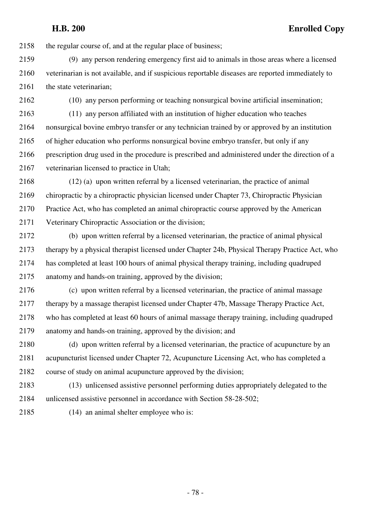2158 the regular course of, and at the regular place of business;

2159 (9) any person rendering emergency first aid to animals in those areas where a licensed 2160 veterinarian is not available, and if suspicious reportable diseases are reported immediately to 2161 the state veterinarian;

2162 (10) any person performing or teaching nonsurgical bovine artificial insemination;

2163 (11) any person affiliated with an institution of higher education who teaches 2164 nonsurgical bovine embryo transfer or any technician trained by or approved by an institution 2165 of higher education who performs nonsurgical bovine embryo transfer, but only if any 2166 prescription drug used in the procedure is prescribed and administered under the direction of a 2167 veterinarian licensed to practice in Utah;

2168 (12) (a) upon written referral by a licensed veterinarian, the practice of animal 2169 chiropractic by a chiropractic physician licensed under Chapter 73, Chiropractic Physician 2170 Practice Act, who has completed an animal chiropractic course approved by the American 2171 Veterinary Chiropractic Association or the division;

2172 (b) upon written referral by a licensed veterinarian, the practice of animal physical 2173 therapy by a physical therapist licensed under Chapter 24b, Physical Therapy Practice Act, who 2174 has completed at least 100 hours of animal physical therapy training, including quadruped 2175 anatomy and hands-on training, approved by the division;

2176 (c) upon written referral by a licensed veterinarian, the practice of animal massage 2177 therapy by a massage therapist licensed under Chapter 47b, Massage Therapy Practice Act, 2178 who has completed at least 60 hours of animal massage therapy training, including quadruped 2179 anatomy and hands-on training, approved by the division; and

2180 (d) upon written referral by a licensed veterinarian, the practice of acupuncture by an 2181 acupuncturist licensed under Chapter 72, Acupuncture Licensing Act, who has completed a 2182 course of study on animal acupuncture approved by the division;

2183 (13) unlicensed assistive personnel performing duties appropriately delegated to the 2184 unlicensed assistive personnel in accordance with Section 58-28-502;

2185 (14) an animal shelter employee who is: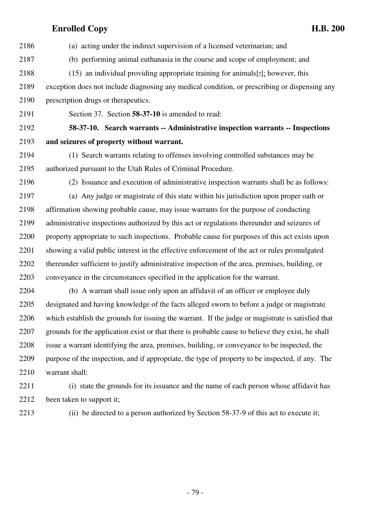| 2186 | (a) acting under the indirect supervision of a licensed veterinarian; and                         |
|------|---------------------------------------------------------------------------------------------------|
| 2187 | (b) performing animal euthanasia in the course and scope of employment; and                       |
| 2188 | $(15)$ an individual providing appropriate training for animals[ $\frac{1}{2}$ ]; however, this   |
| 2189 | exception does not include diagnosing any medical condition, or prescribing or dispensing any     |
| 2190 | prescription drugs or therapeutics.                                                               |
| 2191 | Section 37. Section 58-37-10 is amended to read:                                                  |
| 2192 | 58-37-10. Search warrants -- Administrative inspection warrants -- Inspections                    |
| 2193 | and seizures of property without warrant.                                                         |
| 2194 | (1) Search warrants relating to offenses involving controlled substances may be                   |
| 2195 | authorized pursuant to the Utah Rules of Criminal Procedure.                                      |
| 2196 | (2) Issuance and execution of administrative inspection warrants shall be as follows:             |
| 2197 | (a) Any judge or magistrate of this state within his jurisdiction upon proper oath or             |
| 2198 | affirmation showing probable cause, may issue warrants for the purpose of conducting              |
| 2199 | administrative inspections authorized by this act or regulations thereunder and seizures of       |
| 2200 | property appropriate to such inspections. Probable cause for purposes of this act exists upon     |
| 2201 | showing a valid public interest in the effective enforcement of the act or rules promulgated      |
| 2202 | thereunder sufficient to justify administrative inspection of the area, premises, building, or    |
| 2203 | conveyance in the circumstances specified in the application for the warrant.                     |
| 2204 | (b) A warrant shall issue only upon an affidavit of an officer or employee duly                   |
| 2205 | designated and having knowledge of the facts alleged sworn to before a judge or magistrate        |
| 2206 | which establish the grounds for issuing the warrant. If the judge or magistrate is satisfied that |
| 2207 | grounds for the application exist or that there is probable cause to believe they exist, he shall |
| 2208 | issue a warrant identifying the area, premises, building, or conveyance to be inspected, the      |
| 2209 | purpose of the inspection, and if appropriate, the type of property to be inspected, if any. The  |
| 2210 | warrant shall:                                                                                    |

- 2211 (i) state the grounds for its issuance and the name of each person whose affidavit has 2212 been taken to support it;
- 

2213 (ii) be directed to a person authorized by Section 58-37-9 of this act to execute it;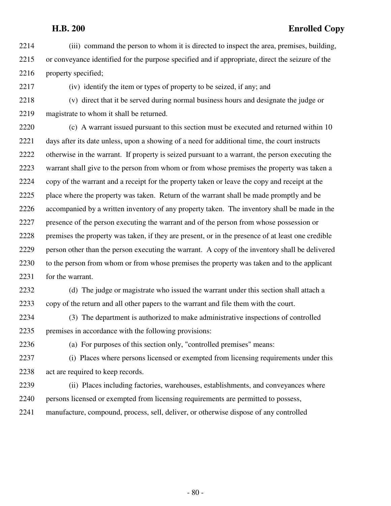2214 (iii) command the person to whom it is directed to inspect the area, premises, building, 2215 or conveyance identified for the purpose specified and if appropriate, direct the seizure of the 2216 property specified;

2217 (iv) identify the item or types of property to be seized, if any; and

2218 (v) direct that it be served during normal business hours and designate the judge or 2219 magistrate to whom it shall be returned.

2220 (c) A warrant issued pursuant to this section must be executed and returned within 10 2221 days after its date unless, upon a showing of a need for additional time, the court instructs 2222 otherwise in the warrant. If property is seized pursuant to a warrant, the person executing the 2223 warrant shall give to the person from whom or from whose premises the property was taken a 2224 copy of the warrant and a receipt for the property taken or leave the copy and receipt at the 2225 place where the property was taken. Return of the warrant shall be made promptly and be 2226 accompanied by a written inventory of any property taken. The inventory shall be made in the 2227 presence of the person executing the warrant and of the person from whose possession or 2228 premises the property was taken, if they are present, or in the presence of at least one credible 2229 person other than the person executing the warrant. A copy of the inventory shall be delivered 2230 to the person from whom or from whose premises the property was taken and to the applicant 2231 for the warrant.

2232 (d) The judge or magistrate who issued the warrant under this section shall attach a 2233 copy of the return and all other papers to the warrant and file them with the court.

2234 (3) The department is authorized to make administrative inspections of controlled 2235 premises in accordance with the following provisions:

2236 (a) For purposes of this section only, "controlled premises" means:

2237 (i) Places where persons licensed or exempted from licensing requirements under this 2238 act are required to keep records.

2239 (ii) Places including factories, warehouses, establishments, and conveyances where 2240 persons licensed or exempted from licensing requirements are permitted to possess,

2241 manufacture, compound, process, sell, deliver, or otherwise dispose of any controlled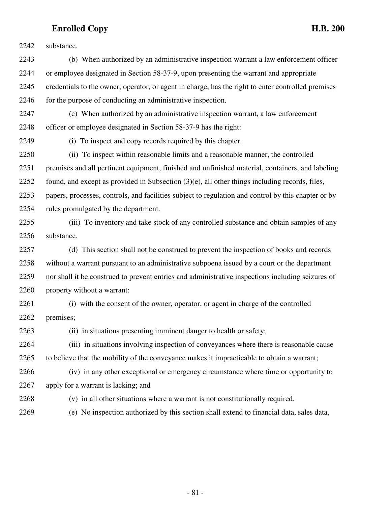2242 substance. 2243 (b) When authorized by an administrative inspection warrant a law enforcement officer 2244 or employee designated in Section 58-37-9, upon presenting the warrant and appropriate 2245 credentials to the owner, operator, or agent in charge, has the right to enter controlled premises 2246 for the purpose of conducting an administrative inspection. 2247 (c) When authorized by an administrative inspection warrant, a law enforcement 2248 officer or employee designated in Section 58-37-9 has the right: 2249 (i) To inspect and copy records required by this chapter. 2250 (ii) To inspect within reasonable limits and a reasonable manner, the controlled 2251 premises and all pertinent equipment, finished and unfinished material, containers, and labeling 2252 found, and except as provided in Subsection (3)(e), all other things including records, files, 2253 papers, processes, controls, and facilities subject to regulation and control by this chapter or by 2254 rules promulgated by the department. 2255 (iii) To inventory and take stock of any controlled substance and obtain samples of any 2256 substance. 2257 (d) This section shall not be construed to prevent the inspection of books and records 2258 without a warrant pursuant to an administrative subpoena issued by a court or the department 2259 nor shall it be construed to prevent entries and administrative inspections including seizures of 2260 property without a warrant: 2261 (i) with the consent of the owner, operator, or agent in charge of the controlled 2262 premises; 2263 (ii) in situations presenting imminent danger to health or safety; 2264 (iii) in situations involving inspection of conveyances where there is reasonable cause 2265 to believe that the mobility of the conveyance makes it impracticable to obtain a warrant; 2266 (iv) in any other exceptional or emergency circumstance where time or opportunity to 2267 apply for a warrant is lacking; and 2268 (v) in all other situations where a warrant is not constitutionally required. 2269 (e) No inspection authorized by this section shall extend to financial data, sales data,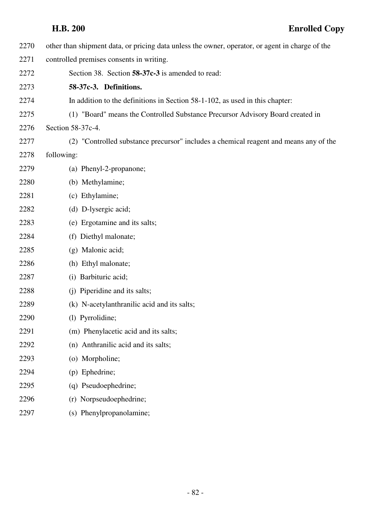| 2270 | other than shipment data, or pricing data unless the owner, operator, or agent in charge of the |
|------|-------------------------------------------------------------------------------------------------|
| 2271 | controlled premises consents in writing.                                                        |
| 2272 | Section 38. Section 58-37c-3 is amended to read:                                                |
| 2273 | 58-37c-3. Definitions.                                                                          |
| 2274 | In addition to the definitions in Section 58-1-102, as used in this chapter:                    |
| 2275 | (1) "Board" means the Controlled Substance Precursor Advisory Board created in                  |
| 2276 | Section 58-37c-4.                                                                               |
| 2277 | (2) "Controlled substance precursor" includes a chemical reagent and means any of the           |
| 2278 | following:                                                                                      |
| 2279 | (a) Phenyl-2-propanone;                                                                         |
| 2280 | (b) Methylamine;                                                                                |
| 2281 | (c) Ethylamine;                                                                                 |
| 2282 | (d) D-lysergic acid;                                                                            |
| 2283 | (e) Ergotamine and its salts;                                                                   |
| 2284 | (f) Diethyl malonate;                                                                           |
| 2285 | (g) Malonic acid;                                                                               |
| 2286 | (h) Ethyl malonate;                                                                             |
| 2287 | (i) Barbituric acid;                                                                            |
| 2288 | (j) Piperidine and its salts;                                                                   |
| 2289 | (k) N-acetylanthranilic acid and its salts;                                                     |
| 2290 | (l) Pyrrolidine;                                                                                |
| 2291 | (m) Phenylacetic acid and its salts;                                                            |
| 2292 | (n) Anthranilic acid and its salts;                                                             |
| 2293 | (o) Morpholine;                                                                                 |
| 2294 | (p) Ephedrine;                                                                                  |
| 2295 | (q) Pseudoephedrine;                                                                            |
| 2296 | Norpseudoephedrine;<br>(r)                                                                      |
| 2297 | (s) Phenylpropanolamine;                                                                        |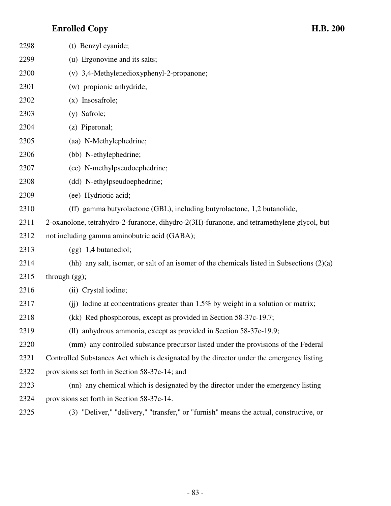| 2298 | (t) Benzyl cyanide;                                                                         |
|------|---------------------------------------------------------------------------------------------|
| 2299 | (u) Ergonovine and its salts;                                                               |
| 2300 | (v) 3,4-Methylenedioxyphenyl-2-propanone;                                                   |
| 2301 | (w) propionic anhydride;                                                                    |
| 2302 | $(x)$ Insosafrole;                                                                          |
| 2303 | (y) Safrole;                                                                                |
| 2304 | (z) Piperonal;                                                                              |
| 2305 | (aa) N-Methylephedrine;                                                                     |
| 2306 | (bb) N-ethylephedrine;                                                                      |
| 2307 | (cc) N-methylpseudoephedrine;                                                               |
| 2308 | (dd) N-ethylpseudoephedrine;                                                                |
| 2309 | (ee) Hydriotic acid;                                                                        |
| 2310 | (ff) gamma butyrolactone (GBL), including butyrolactone, 1,2 butanolide,                    |
| 2311 | 2-oxanolone, tetrahydro-2-furanone, dihydro-2(3H)-furanone, and tetramethylene glycol, but  |
| 2312 | not including gamma aminobutric acid (GABA);                                                |
| 2313 | $(gg)$ 1,4 butanediol;                                                                      |
| 2314 | (hh) any salt, isomer, or salt of an isomer of the chemicals listed in Subsections $(2)(a)$ |
| 2315 | through $(gg)$ ;                                                                            |
| 2316 | (ii) Crystal iodine;                                                                        |
| 2317 | (ii) Iodine at concentrations greater than $1.5\%$ by weight in a solution or matrix;       |
| 2318 | (kk) Red phosphorous, except as provided in Section 58-37c-19.7;                            |
| 2319 | (ll) anhydrous ammonia, except as provided in Section 58-37c-19.9;                          |
| 2320 | (mm) any controlled substance precursor listed under the provisions of the Federal          |
| 2321 | Controlled Substances Act which is designated by the director under the emergency listing   |
| 2322 | provisions set forth in Section 58-37c-14; and                                              |
| 2323 | (nn) any chemical which is designated by the director under the emergency listing           |
| 2324 | provisions set forth in Section 58-37c-14.                                                  |
| 2325 | (3) "Deliver," "delivery," "transfer," or "furnish" means the actual, constructive, or      |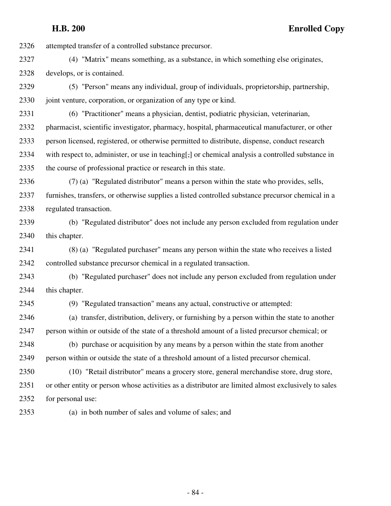2326 attempted transfer of a controlled substance precursor.

- 2327 (4) "Matrix" means something, as a substance, in which something else originates, 2328 develops, or is contained.
- 2329 (5) "Person" means any individual, group of individuals, proprietorship, partnership, 2330 joint venture, corporation, or organization of any type or kind.
- 2331 (6) "Practitioner" means a physician, dentist, podiatric physician, veterinarian, 2332 pharmacist, scientific investigator, pharmacy, hospital, pharmaceutical manufacturer, or other 2333 person licensed, registered, or otherwise permitted to distribute, dispense, conduct research 2334 with respect to, administer, or use in teaching[,] or chemical analysis a controlled substance in 2335 the course of professional practice or research in this state.
- 2336 (7) (a) "Regulated distributor" means a person within the state who provides, sells, 2337 furnishes, transfers, or otherwise supplies a listed controlled substance precursor chemical in a 2338 regulated transaction.
- 2339 (b) "Regulated distributor" does not include any person excluded from regulation under 2340 this chapter.
- 2341 (8) (a) "Regulated purchaser" means any person within the state who receives a listed 2342 controlled substance precursor chemical in a regulated transaction.
- 2343 (b) "Regulated purchaser" does not include any person excluded from regulation under 2344 this chapter.
- 

2345 (9) "Regulated transaction" means any actual, constructive or attempted:

2346 (a) transfer, distribution, delivery, or furnishing by a person within the state to another 2347 person within or outside of the state of a threshold amount of a listed precursor chemical; or

2348 (b) purchase or acquisition by any means by a person within the state from another 2349 person within or outside the state of a threshold amount of a listed precursor chemical.

2350 (10) "Retail distributor" means a grocery store, general merchandise store, drug store, 2351 or other entity or person whose activities as a distributor are limited almost exclusively to sales 2352 for personal use:

2353 (a) in both number of sales and volume of sales; and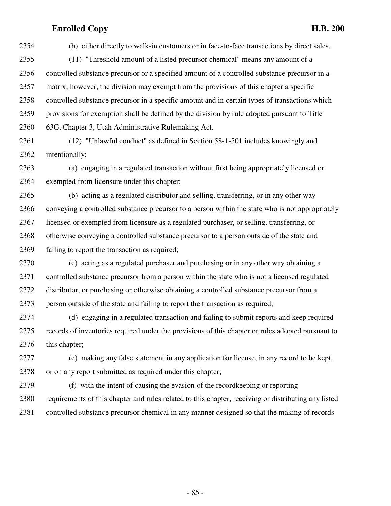2354 (b) either directly to walk-in customers or in face-to-face transactions by direct sales. 2355 (11) "Threshold amount of a listed precursor chemical" means any amount of a 2356 controlled substance precursor or a specified amount of a controlled substance precursor in a 2357 matrix; however, the division may exempt from the provisions of this chapter a specific 2358 controlled substance precursor in a specific amount and in certain types of transactions which 2359 provisions for exemption shall be defined by the division by rule adopted pursuant to Title 2360 63G, Chapter 3, Utah Administrative Rulemaking Act.

2361 (12) "Unlawful conduct" as defined in Section 58-1-501 includes knowingly and 2362 intentionally:

2363 (a) engaging in a regulated transaction without first being appropriately licensed or 2364 exempted from licensure under this chapter;

2365 (b) acting as a regulated distributor and selling, transferring, or in any other way 2366 conveying a controlled substance precursor to a person within the state who is not appropriately 2367 licensed or exempted from licensure as a regulated purchaser, or selling, transferring, or 2368 otherwise conveying a controlled substance precursor to a person outside of the state and 2369 failing to report the transaction as required;

2370 (c) acting as a regulated purchaser and purchasing or in any other way obtaining a 2371 controlled substance precursor from a person within the state who is not a licensed regulated 2372 distributor, or purchasing or otherwise obtaining a controlled substance precursor from a 2373 person outside of the state and failing to report the transaction as required;

2374 (d) engaging in a regulated transaction and failing to submit reports and keep required 2375 records of inventories required under the provisions of this chapter or rules adopted pursuant to 2376 this chapter;

2377 (e) making any false statement in any application for license, in any record to be kept, 2378 or on any report submitted as required under this chapter;

2379 (f) with the intent of causing the evasion of the recordkeeping or reporting 2380 requirements of this chapter and rules related to this chapter, receiving or distributing any listed 2381 controlled substance precursor chemical in any manner designed so that the making of records

- 85 -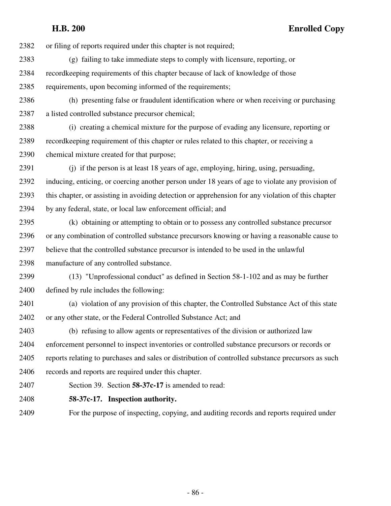2382 or filing of reports required under this chapter is not required;

- 2383 (g) failing to take immediate steps to comply with licensure, reporting, or 2384 recordkeeping requirements of this chapter because of lack of knowledge of those 2385 requirements, upon becoming informed of the requirements;
- 2386 (h) presenting false or fraudulent identification where or when receiving or purchasing 2387 a listed controlled substance precursor chemical;

2388 (i) creating a chemical mixture for the purpose of evading any licensure, reporting or 2389 recordkeeping requirement of this chapter or rules related to this chapter, or receiving a 2390 chemical mixture created for that purpose;

2391 (j) if the person is at least 18 years of age, employing, hiring, using, persuading, 2392 inducing, enticing, or coercing another person under 18 years of age to violate any provision of 2393 this chapter, or assisting in avoiding detection or apprehension for any violation of this chapter 2394 by any federal, state, or local law enforcement official; and

2395 (k) obtaining or attempting to obtain or to possess any controlled substance precursor 2396 or any combination of controlled substance precursors knowing or having a reasonable cause to 2397 believe that the controlled substance precursor is intended to be used in the unlawful 2398 manufacture of any controlled substance.

2399 (13) "Unprofessional conduct" as defined in Section 58-1-102 and as may be further 2400 defined by rule includes the following:

2401 (a) violation of any provision of this chapter, the Controlled Substance Act of this state 2402 or any other state, or the Federal Controlled Substance Act; and

2403 (b) refusing to allow agents or representatives of the division or authorized law 2404 enforcement personnel to inspect inventories or controlled substance precursors or records or 2405 reports relating to purchases and sales or distribution of controlled substance precursors as such 2406 records and reports are required under this chapter.

2407 Section 39. Section **58-37c-17** is amended to read:

2408 **58-37c-17. Inspection authority.**

2409 For the purpose of inspecting, copying, and auditing records and reports required under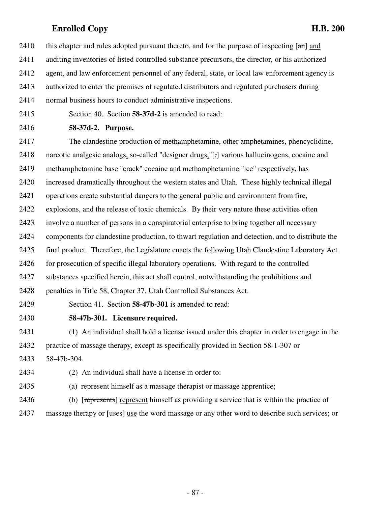- 2410 this chapter and rules adopted pursuant thereto, and for the purpose of inspecting  $[\text{am}]$  and
- 2411 auditing inventories of listed controlled substance precursors, the director, or his authorized
- 2412 agent, and law enforcement personnel of any federal, state, or local law enforcement agency is
- 2413 authorized to enter the premises of regulated distributors and regulated purchasers during
- 2414 normal business hours to conduct administrative inspections.
- 2415 Section 40. Section **58-37d-2** is amended to read:
- 2416 **58-37d-2. Purpose.**

2417 The clandestine production of methamphetamine, other amphetamines, phencyclidine, 2418 narcotic analgesic analogs, so-called "designer drugs,"[,] various hallucinogens, cocaine and 2419 methamphetamine base "crack" cocaine and methamphetamine "ice" respectively, has 2420 increased dramatically throughout the western states and Utah. These highly technical illegal 2421 operations create substantial dangers to the general public and environment from fire, 2422 explosions, and the release of toxic chemicals. By their very nature these activities often 2423 involve a number of persons in a conspiratorial enterprise to bring together all necessary 2424 components for clandestine production, to thwart regulation and detection, and to distribute the 2425 final product. Therefore, the Legislature enacts the following Utah Clandestine Laboratory Act 2426 for prosecution of specific illegal laboratory operations. With regard to the controlled 2427 substances specified herein, this act shall control, notwithstanding the prohibitions and 2428 penalties in Title 58, Chapter 37, Utah Controlled Substances Act.

2429 Section 41. Section **58-47b-301** is amended to read:

2430 **58-47b-301. Licensure required.**

2431 (1) An individual shall hold a license issued under this chapter in order to engage in the 2432 practice of massage therapy, except as specifically provided in Section 58-1-307 or 2433 58-47b-304.

- 2434 (2) An individual shall have a license in order to:
- 2435 (a) represent himself as a massage therapist or massage apprentice;

2436 (b) [represents] represent himself as providing a service that is within the practice of 2437 massage therapy or [uses] use the word massage or any other word to describe such services; or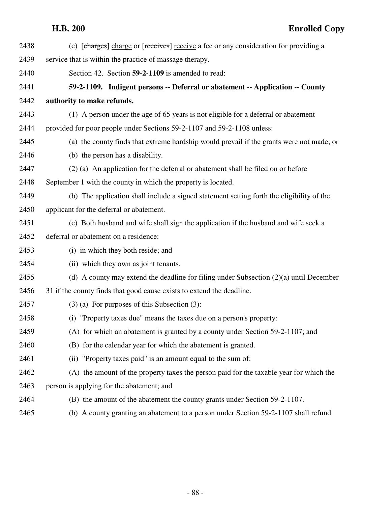| 2438 | (c) [charges] charge or [receives] receive a fee or any consideration for providing a     |
|------|-------------------------------------------------------------------------------------------|
| 2439 | service that is within the practice of massage therapy.                                   |
| 2440 | Section 42. Section 59-2-1109 is amended to read:                                         |
| 2441 | 59-2-1109. Indigent persons -- Deferral or abatement -- Application -- County             |
| 2442 | authority to make refunds.                                                                |
| 2443 | (1) A person under the age of 65 years is not eligible for a deferral or abatement        |
| 2444 | provided for poor people under Sections 59-2-1107 and 59-2-1108 unless:                   |
| 2445 | (a) the county finds that extreme hardship would prevail if the grants were not made; or  |
| 2446 | (b) the person has a disability.                                                          |
| 2447 | (2) (a) An application for the deferral or abatement shall be filed on or before          |
| 2448 | September 1 with the county in which the property is located.                             |
| 2449 | (b) The application shall include a signed statement setting forth the eligibility of the |
| 2450 | applicant for the deferral or abatement.                                                  |
| 2451 | (c) Both husband and wife shall sign the application if the husband and wife seek a       |
| 2452 | deferral or abatement on a residence:                                                     |
| 2453 | (i) in which they both reside; and                                                        |
| 2454 | (ii) which they own as joint tenants.                                                     |
| 2455 | (d) A county may extend the deadline for filing under Subsection $(2)(a)$ until December  |
| 2456 | 31 if the county finds that good cause exists to extend the deadline.                     |
| 2457 | $(3)$ (a) For purposes of this Subsection (3):                                            |
| 2458 | (i) "Property taxes due" means the taxes due on a person's property:                      |
| 2459 | (A) for which an abatement is granted by a county under Section 59-2-1107; and            |
| 2460 | (B) for the calendar year for which the abatement is granted.                             |
| 2461 | (ii) "Property taxes paid" is an amount equal to the sum of:                              |
| 2462 | (A) the amount of the property taxes the person paid for the taxable year for which the   |
| 2463 | person is applying for the abatement; and                                                 |
| 2464 | (B) the amount of the abatement the county grants under Section 59-2-1107.                |
| 2465 | (b) A county granting an abatement to a person under Section 59-2-1107 shall refund       |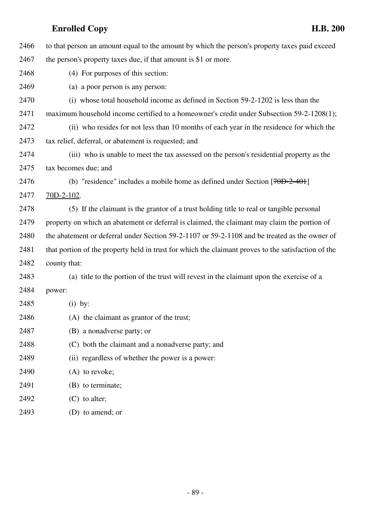| 2466 | to that person an amount equal to the amount by which the person's property taxes paid exceed       |
|------|-----------------------------------------------------------------------------------------------------|
| 2467 | the person's property taxes due, if that amount is \$1 or more.                                     |
| 2468 | (4) For purposes of this section:                                                                   |
| 2469 | (a) a poor person is any person:                                                                    |
| 2470 | (i) whose total household income as defined in Section 59-2-1202 is less than the                   |
| 2471 | maximum household income certified to a homeowner's credit under Subsection 59-2-1208(1);           |
| 2472 | (ii) who resides for not less than 10 months of each year in the residence for which the            |
| 2473 | tax relief, deferral, or abatement is requested; and                                                |
| 2474 | (iii) who is unable to meet the tax assessed on the person's residential property as the            |
| 2475 | tax becomes due; and                                                                                |
| 2476 | (b) "residence" includes a mobile home as defined under Section $[70D-2-40+]$                       |
| 2477 | $70D-2-102$ .                                                                                       |
| 2478 | (5) If the claimant is the grantor of a trust holding title to real or tangible personal            |
| 2479 | property on which an abatement or deferral is claimed, the claimant may claim the portion of        |
| 2480 | the abatement or deferral under Section 59-2-1107 or 59-2-1108 and be treated as the owner of       |
| 2481 | that portion of the property held in trust for which the claimant proves to the satisfaction of the |
| 2482 | county that:                                                                                        |
| 2483 | (a) title to the portion of the trust will revest in the claimant upon the exercise of a            |
| 2484 | power:                                                                                              |
| 2485 | $(i)$ by:                                                                                           |
| 2486 | (A) the claimant as grantor of the trust;                                                           |
| 2487 | (B) a nonadverse party; or                                                                          |
| 2488 | (C) both the claimant and a nonadverse party; and                                                   |
| 2489 | (ii) regardless of whether the power is a power:                                                    |
| 2490 | $(A)$ to revoke;                                                                                    |
| 2491 | (B) to terminate;                                                                                   |
| 2492 | $(C)$ to alter;                                                                                     |
| 2493 | (D) to amend; or                                                                                    |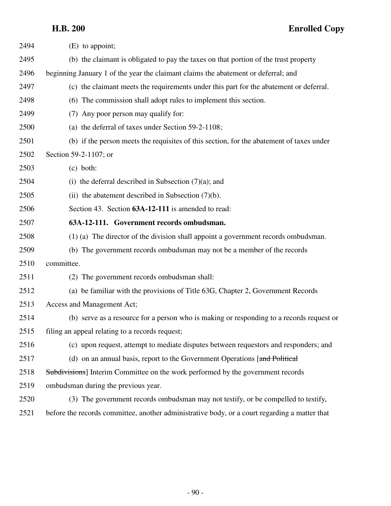| 2494 | $(E)$ to appoint;                                                                             |
|------|-----------------------------------------------------------------------------------------------|
| 2495 | (b) the claimant is obligated to pay the taxes on that portion of the trust property          |
| 2496 | beginning January 1 of the year the claimant claims the abatement or deferral; and            |
| 2497 | (c) the claimant meets the requirements under this part for the abatement or deferral.        |
| 2498 | (6) The commission shall adopt rules to implement this section.                               |
| 2499 | (7) Any poor person may qualify for:                                                          |
| 2500 | (a) the deferral of taxes under Section 59-2-1108;                                            |
| 2501 | (b) if the person meets the requisites of this section, for the abatement of taxes under      |
| 2502 | Section 59-2-1107; or                                                                         |
| 2503 | $(c)$ both:                                                                                   |
| 2504 | (i) the deferral described in Subsection $(7)(a)$ ; and                                       |
| 2505 | (ii) the abatement described in Subsection $(7)(b)$ .                                         |
| 2506 | Section 43. Section 63A-12-111 is amended to read:                                            |
| 2507 | 63A-12-111. Government records ombudsman.                                                     |
| 2508 | $(1)$ (a) The director of the division shall appoint a government records ombudsman.          |
| 2509 | (b) The government records ombudsman may not be a member of the records                       |
| 2510 | committee.                                                                                    |
| 2511 | (2) The government records ombudsman shall:                                                   |
| 2512 | (a) be familiar with the provisions of Title 63G, Chapter 2, Government Records               |
| 2513 | Access and Management Act;                                                                    |
| 2514 | (b) serve as a resource for a person who is making or responding to a records request or      |
| 2515 | filing an appeal relating to a records request;                                               |
| 2516 | (c) upon request, attempt to mediate disputes between requestors and responders; and          |
| 2517 | (d) on an annual basis, report to the Government Operations [and Political                    |
| 2518 | Subdivisions] Interim Committee on the work performed by the government records               |
| 2519 | ombudsman during the previous year.                                                           |
| 2520 | (3) The government records ombudsman may not testify, or be compelled to testify,             |
| 2521 | before the records committee, another administrative body, or a court regarding a matter that |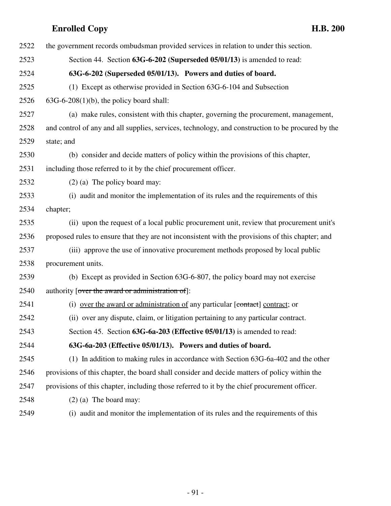| 2522 | the government records ombudsman provided services in relation to under this section.             |
|------|---------------------------------------------------------------------------------------------------|
| 2523 | Section 44. Section 63G-6-202 (Superseded 05/01/13) is amended to read:                           |
| 2524 | 63G-6-202 (Superseded 05/01/13). Powers and duties of board.                                      |
| 2525 | (1) Except as otherwise provided in Section 63G-6-104 and Subsection                              |
| 2526 | $63G-6-208(1)(b)$ , the policy board shall:                                                       |
| 2527 | (a) make rules, consistent with this chapter, governing the procurement, management,              |
| 2528 | and control of any and all supplies, services, technology, and construction to be procured by the |
| 2529 | state; and                                                                                        |
| 2530 | (b) consider and decide matters of policy within the provisions of this chapter,                  |
| 2531 | including those referred to it by the chief procurement officer.                                  |
| 2532 | $(2)$ (a) The policy board may:                                                                   |
| 2533 | (i) audit and monitor the implementation of its rules and the requirements of this                |
| 2534 | chapter;                                                                                          |
| 2535 | (ii) upon the request of a local public procurement unit, review that procurement unit's          |
| 2536 | proposed rules to ensure that they are not inconsistent with the provisions of this chapter; and  |
| 2537 | (iii) approve the use of innovative procurement methods proposed by local public                  |
| 2538 | procurement units.                                                                                |
| 2539 | (b) Except as provided in Section 63G-6-807, the policy board may not exercise                    |
| 2540 | authority [over the award or administration of]:                                                  |
| 2541 | (i) over the award or administration of any particular [contact] contract; or                     |
| 2542 | (ii) over any dispute, claim, or litigation pertaining to any particular contract.                |
| 2543 | Section 45. Section 63G-6a-203 (Effective 05/01/13) is amended to read:                           |
| 2544 | 63G-6a-203 (Effective 05/01/13). Powers and duties of board.                                      |
| 2545 | (1) In addition to making rules in accordance with Section 63G-6a-402 and the other               |
| 2546 | provisions of this chapter, the board shall consider and decide matters of policy within the      |
| 2547 | provisions of this chapter, including those referred to it by the chief procurement officer.      |
| 2548 | $(2)$ (a) The board may:                                                                          |
| 2549 | (i) audit and monitor the implementation of its rules and the requirements of this                |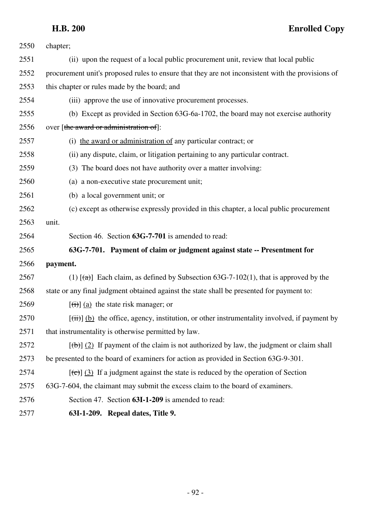| 2550 | chapter;                                                                                                        |
|------|-----------------------------------------------------------------------------------------------------------------|
| 2551 | (ii) upon the request of a local public procurement unit, review that local public                              |
| 2552 | procurement unit's proposed rules to ensure that they are not inconsistent with the provisions of               |
| 2553 | this chapter or rules made by the board; and                                                                    |
| 2554 | (iii) approve the use of innovative procurement processes.                                                      |
| 2555 | (b) Except as provided in Section 63G-6a-1702, the board may not exercise authority                             |
| 2556 | over [the award or administration of]:                                                                          |
| 2557 | (i) the award or administration of any particular contract; or                                                  |
| 2558 | (ii) any dispute, claim, or litigation pertaining to any particular contract.                                   |
| 2559 | (3) The board does not have authority over a matter involving:                                                  |
| 2560 | (a) a non-executive state procurement unit;                                                                     |
| 2561 | (b) a local government unit; or                                                                                 |
| 2562 | (c) except as otherwise expressly provided in this chapter, a local public procurement                          |
| 2563 | unit.                                                                                                           |
| 2564 | Section 46. Section 63G-7-701 is amended to read:                                                               |
| 2565 | 63G-7-701. Payment of claim or judgment against state -- Presentment for                                        |
| 2566 | payment.                                                                                                        |
| 2567 | (1) $[\frac{1}{(a)}]$ Each claim, as defined by Subsection 63G-7-102(1), that is approved by the                |
| 2568 | state or any final judgment obtained against the state shall be presented for payment to:                       |
| 2569 | $[\overrightarrow{(i)}]$ (a) the state risk manager; or                                                         |
| 2570 | $[\overrightarrow{t})]$ (b) the office, agency, institution, or other instrumentality involved, if payment by   |
| 2571 | that instrumentality is otherwise permitted by law.                                                             |
| 2572 | $[\frac{1}{\pm}(\mathbf{b})]$ (2) If payment of the claim is not authorized by law, the judgment or claim shall |
| 2573 | be presented to the board of examiners for action as provided in Section 63G-9-301.                             |
| 2574 | $[\text{(\text{c})}]$ (3) If a judgment against the state is reduced by the operation of Section                |
| 2575 | 63G-7-604, the claimant may submit the excess claim to the board of examiners.                                  |
| 2576 | Section 47. Section 63I-1-209 is amended to read:                                                               |
| 2577 | 63I-1-209. Repeal dates, Title 9.                                                                               |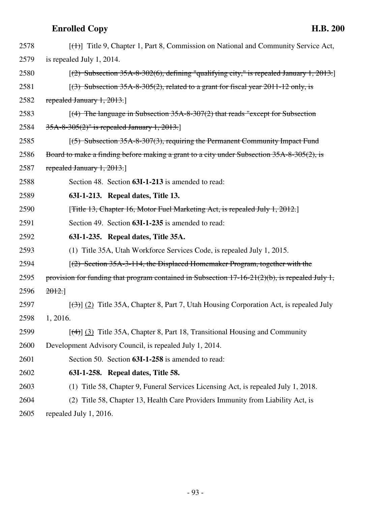| 2578 | $[\langle + \rangle]$ Title 9, Chapter 1, Part 8, Commission on National and Community Service Act,         |
|------|-------------------------------------------------------------------------------------------------------------|
| 2579 | is repealed July 1, 2014.                                                                                   |
| 2580 | $(2)$ Subsection 35A-8-302(6), defining "qualifying city," is repealed January 1, 2013.                     |
| 2581 | $(3)$ Subsection 35A-8-305(2), related to a grant for fiscal year 2011-12 only, is                          |
| 2582 | repealed January $1, 2013$ .                                                                                |
| 2583 | $(4)$ The language in Subsection 35A-8-307(2) that reads "except for Subsection"                            |
| 2584 | 35A-8-305(2)" is repealed January 1, 2013.                                                                  |
| 2585 | $(5)$ Subsection 35A-8-307(3), requiring the Permanent Community Impact Fund                                |
| 2586 | Board to make a finding before making a grant to a city under Subsection 35A-8-305(2), is                   |
| 2587 | repealed January $1, 2013$ .                                                                                |
| 2588 | Section 48. Section 63I-1-213 is amended to read:                                                           |
| 2589 | 63I-1-213. Repeal dates, Title 13.                                                                          |
| 2590 | [ <del>Title 13, Chapter 16, Motor Fuel Marketing Act, is repealed July 1, 2012.</del> ]                    |
| 2591 | Section 49. Section 63I-1-235 is amended to read:                                                           |
| 2592 | 63I-1-235. Repeal dates, Title 35A.                                                                         |
|      |                                                                                                             |
| 2593 | (1) Title 35A, Utah Workforce Services Code, is repealed July 1, 2015.                                      |
| 2594 | [(2) Section 35A-3-114, the Displaced Homemaker Program, together with the                                  |
| 2595 | provision for funding that program contained in Subsection $17-16-21(2)(b)$ , is repealed July 1,           |
| 2596 | 2012.                                                                                                       |
| 2597 | $\left[\frac{1}{2}\right]$ (2) Title 35A, Chapter 8, Part 7, Utah Housing Corporation Act, is repealed July |
| 2598 | 1, 2016.                                                                                                    |
| 2599 | $[\frac{4}{3}]$ (3) Title 35A, Chapter 8, Part 18, Transitional Housing and Community                       |
| 2600 | Development Advisory Council, is repealed July 1, 2014.                                                     |
| 2601 | Section 50. Section 63I-1-258 is amended to read:                                                           |
| 2602 | 63I-1-258. Repeal dates, Title 58.                                                                          |
| 2603 | (1) Title 58, Chapter 9, Funeral Services Licensing Act, is repealed July 1, 2018.                          |
| 2604 | (2) Title 58, Chapter 13, Health Care Providers Immunity from Liability Act, is                             |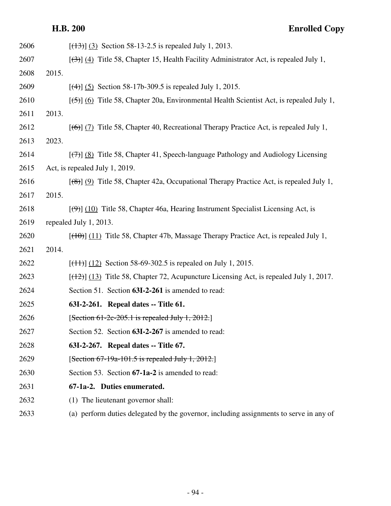| 2606 | $[ (13) ]$ (3) Section 58-13-2.5 is repealed July 1, 2013.                                                       |
|------|------------------------------------------------------------------------------------------------------------------|
| 2607 | $[\langle 3\rangle]$ (4) Title 58, Chapter 15, Health Facility Administrator Act, is repealed July 1,            |
| 2608 | 2015.                                                                                                            |
| 2609 | $[$ (4) $]$ (5) Section 58-17b-309.5 is repealed July 1, 2015.                                                   |
| 2610 | $[56]$ (6) Title 58, Chapter 20a, Environmental Health Scientist Act, is repealed July 1,                        |
| 2611 | 2013.                                                                                                            |
| 2612 | $[(6)]$ (7) Title 58, Chapter 40, Recreational Therapy Practice Act, is repealed July 1,                         |
| 2613 | 2023.                                                                                                            |
| 2614 | $[\langle \overline{\tau} \rangle]$ (8) Title 58, Chapter 41, Speech-language Pathology and Audiology Licensing  |
| 2615 | Act, is repealed July 1, 2019.                                                                                   |
| 2616 | $[({8})]$ (9) Title 58, Chapter 42a, Occupational Therapy Practice Act, is repealed July 1,                      |
| 2617 | 2015.                                                                                                            |
| 2618 | $[\left(\frac{4}{9}\right)]$ (10) Title 58, Chapter 46a, Hearing Instrument Specialist Licensing Act, is         |
| 2619 | repealed July 1, 2013.                                                                                           |
| 2620 | $[(10)(11)]$ Title 58, Chapter 47b, Massage Therapy Practice Act, is repealed July 1,                            |
| 2621 | 2014.                                                                                                            |
| 2622 | $[ (11) ] (12)$ Section 58-69-302.5 is repealed on July 1, 2015.                                                 |
| 2623 | $[$ ( $\frac{12}{2}$ ) $\frac{13}{2}$ Title 58, Chapter 72, Acupuncture Licensing Act, is repealed July 1, 2017. |
| 2624 | Section 51. Section 63I-2-261 is amended to read:                                                                |
| 2625 | 63I-2-261. Repeal dates -- Title 61.                                                                             |
| 2626 | $[Section 61-2c-205.1$ is repealed July 1, 2012.]                                                                |
| 2627 | Section 52. Section 63I-2-267 is amended to read:                                                                |
| 2628 | 63I-2-267. Repeal dates -- Title 67.                                                                             |
| 2629 | $[Section 67-19a-101.5$ is repealed July 1, 2012.                                                                |
| 2630 | Section 53. Section 67-1a-2 is amended to read:                                                                  |
| 2631 | 67-1a-2. Duties enumerated.                                                                                      |
| 2632 | (1) The lieutenant governor shall:                                                                               |
| 2633 | (a) perform duties delegated by the governor, including assignments to serve in any of                           |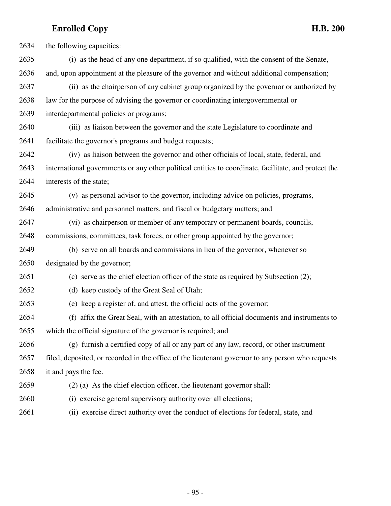2634 the following capacities: 2635 (i) as the head of any one department, if so qualified, with the consent of the Senate, 2636 and, upon appointment at the pleasure of the governor and without additional compensation; 2637 (ii) as the chairperson of any cabinet group organized by the governor or authorized by 2638 law for the purpose of advising the governor or coordinating intergovernmental or 2639 interdepartmental policies or programs; 2640 (iii) as liaison between the governor and the state Legislature to coordinate and 2641 facilitate the governor's programs and budget requests; 2642 (iv) as liaison between the governor and other officials of local, state, federal, and 2643 international governments or any other political entities to coordinate, facilitate, and protect the 2644 interests of the state; 2645 (v) as personal advisor to the governor, including advice on policies, programs, 2646 administrative and personnel matters, and fiscal or budgetary matters; and 2647 (vi) as chairperson or member of any temporary or permanent boards, councils, 2648 commissions, committees, task forces, or other group appointed by the governor; 2649 (b) serve on all boards and commissions in lieu of the governor, whenever so 2650 designated by the governor; 2651 (c) serve as the chief election officer of the state as required by Subsection (2); 2652 (d) keep custody of the Great Seal of Utah; 2653 (e) keep a register of, and attest, the official acts of the governor; 2654 (f) affix the Great Seal, with an attestation, to all official documents and instruments to 2655 which the official signature of the governor is required; and 2656 (g) furnish a certified copy of all or any part of any law, record, or other instrument 2657 filed, deposited, or recorded in the office of the lieutenant governor to any person who requests 2658 it and pays the fee. 2659 (2) (a) As the chief election officer, the lieutenant governor shall: 2660 (i) exercise general supervisory authority over all elections; 2661 (ii) exercise direct authority over the conduct of elections for federal, state, and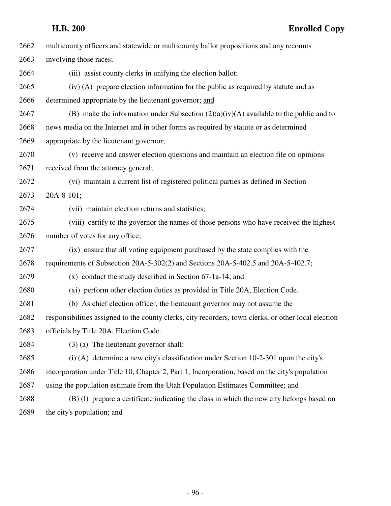| 2662 | multicounty officers and statewide or multicounty ballot propositions and any recounts               |
|------|------------------------------------------------------------------------------------------------------|
| 2663 | involving those races;                                                                               |
| 2664 | (iii) assist county clerks in unifying the election ballot;                                          |
| 2665 | (iv) (A) prepare election information for the public as required by statute and as                   |
| 2666 | determined appropriate by the lieutenant governor; and                                               |
| 2667 | (B) make the information under Subsection $(2)(a)(iv)(A)$ available to the public and to             |
| 2668 | news media on the Internet and in other forms as required by statute or as determined                |
| 2669 | appropriate by the lieutenant governor;                                                              |
| 2670 | (v) receive and answer election questions and maintain an election file on opinions                  |
| 2671 | received from the attorney general;                                                                  |
| 2672 | (vi) maintain a current list of registered political parties as defined in Section                   |
| 2673 | $20A-8-101;$                                                                                         |
| 2674 | (vii) maintain election returns and statistics;                                                      |
| 2675 | (viii) certify to the governor the names of those persons who have received the highest              |
| 2676 | number of votes for any office;                                                                      |
| 2677 | (ix) ensure that all voting equipment purchased by the state complies with the                       |
| 2678 | requirements of Subsection 20A-5-302(2) and Sections 20A-5-402.5 and 20A-5-402.7;                    |
| 2679 | $(x)$ conduct the study described in Section 67-1a-14; and                                           |
| 2680 | (xi) perform other election duties as provided in Title 20A, Election Code.                          |
| 2681 | (b) As chief election officer, the lieutenant governor may not assume the                            |
| 2682 | responsibilities assigned to the county clerks, city recorders, town clerks, or other local election |
| 2683 | officials by Title 20A, Election Code.                                                               |
| 2684 | $(3)$ (a) The lieutenant governor shall:                                                             |
| 2685 | $(i)$ (A) determine a new city's classification under Section 10-2-301 upon the city's               |
| 2686 | incorporation under Title 10, Chapter 2, Part 1, Incorporation, based on the city's population       |
| 2687 | using the population estimate from the Utah Population Estimates Committee; and                      |
| 2688 | (B) (I) prepare a certificate indicating the class in which the new city belongs based on            |
| 2689 | the city's population; and                                                                           |
|      |                                                                                                      |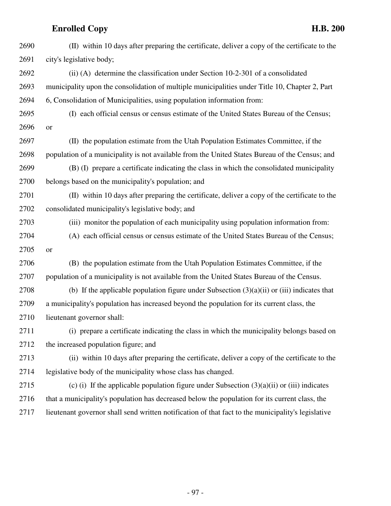| 2690 | (II) within 10 days after preparing the certificate, deliver a copy of the certificate to the      |
|------|----------------------------------------------------------------------------------------------------|
| 2691 | city's legislative body;                                                                           |
| 2692 | (ii) (A) determine the classification under Section 10-2-301 of a consolidated                     |
| 2693 | municipality upon the consolidation of multiple municipalities under Title 10, Chapter 2, Part     |
| 2694 | 6, Consolidation of Municipalities, using population information from:                             |
| 2695 | (I) each official census or census estimate of the United States Bureau of the Census;             |
| 2696 | or                                                                                                 |
| 2697 | (II) the population estimate from the Utah Population Estimates Committee, if the                  |
| 2698 | population of a municipality is not available from the United States Bureau of the Census; and     |
| 2699 | (B) (I) prepare a certificate indicating the class in which the consolidated municipality          |
| 2700 | belongs based on the municipality's population; and                                                |
| 2701 | (II) within 10 days after preparing the certificate, deliver a copy of the certificate to the      |
| 2702 | consolidated municipality's legislative body; and                                                  |
| 2703 | (iii) monitor the population of each municipality using population information from:               |
| 2704 | (A) each official census or census estimate of the United States Bureau of the Census;             |
| 2705 | or                                                                                                 |
| 2706 | (B) the population estimate from the Utah Population Estimates Committee, if the                   |
| 2707 | population of a municipality is not available from the United States Bureau of the Census.         |
| 2708 | (b) If the applicable population figure under Subsection $(3)(a)(ii)$ or (iii) indicates that      |
| 2709 | a municipality's population has increased beyond the population for its current class, the         |
| 2710 | lieutenant governor shall:                                                                         |
| 2711 | (i) prepare a certificate indicating the class in which the municipality belongs based on          |
| 2712 | the increased population figure; and                                                               |
| 2713 | (ii) within 10 days after preparing the certificate, deliver a copy of the certificate to the      |
| 2714 | legislative body of the municipality whose class has changed.                                      |
| 2715 | (c) (i) If the applicable population figure under Subsection $(3)(a)(ii)$ or (iii) indicates       |
| 2716 | that a municipality's population has decreased below the population for its current class, the     |
| 2717 | lieutenant governor shall send written notification of that fact to the municipality's legislative |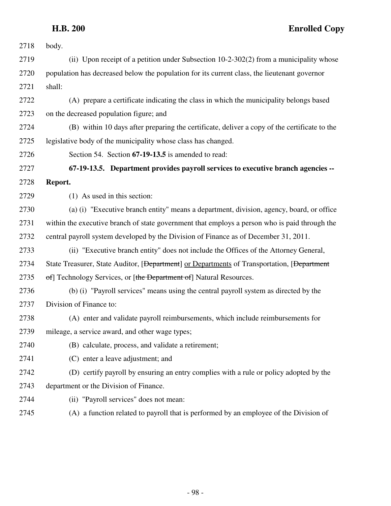| 2718 | body.                                                                                                   |
|------|---------------------------------------------------------------------------------------------------------|
| 2719 | (ii) Upon receipt of a petition under Subsection 10-2-302(2) from a municipality whose                  |
| 2720 | population has decreased below the population for its current class, the lieutenant governor            |
| 2721 | shall:                                                                                                  |
| 2722 | (A) prepare a certificate indicating the class in which the municipality belongs based                  |
| 2723 | on the decreased population figure; and                                                                 |
| 2724 | (B) within 10 days after preparing the certificate, deliver a copy of the certificate to the            |
| 2725 | legislative body of the municipality whose class has changed.                                           |
| 2726 | Section 54. Section 67-19-13.5 is amended to read:                                                      |
| 2727 | 67-19-13.5. Department provides payroll services to executive branch agencies --                        |
| 2728 | Report.                                                                                                 |
| 2729 | (1) As used in this section:                                                                            |
| 2730 | (a) (i) "Executive branch entity" means a department, division, agency, board, or office                |
| 2731 | within the executive branch of state government that employs a person who is paid through the           |
| 2732 | central payroll system developed by the Division of Finance as of December 31, 2011.                    |
| 2733 | (ii) "Executive branch entity" does not include the Offices of the Attorney General,                    |
| 2734 | State Treasurer, State Auditor, [ <del>Department</del> ] or Departments of Transportation, [Department |
| 2735 | of] Technology Services, or [the Department of] Natural Resources.                                      |
| 2736 | (b) (i) "Payroll services" means using the central payroll system as directed by the                    |
| 2737 | Division of Finance to:                                                                                 |
| 2738 | (A) enter and validate payroll reimbursements, which include reimbursements for                         |
| 2739 | mileage, a service award, and other wage types;                                                         |
| 2740 | (B) calculate, process, and validate a retirement;                                                      |
| 2741 | (C) enter a leave adjustment; and                                                                       |
| 2742 | (D) certify payroll by ensuring an entry complies with a rule or policy adopted by the                  |
| 2743 | department or the Division of Finance.                                                                  |
| 2744 | (ii) "Payroll services" does not mean:                                                                  |
| 2745 | (A) a function related to payroll that is performed by an employee of the Division of                   |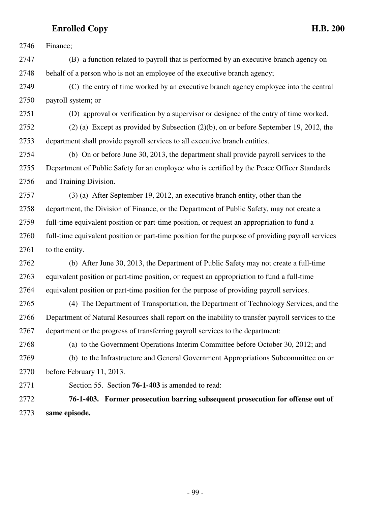2746 Finance;

2747 (B) a function related to payroll that is performed by an executive branch agency on 2748 behalf of a person who is not an employee of the executive branch agency;

2749 (C) the entry of time worked by an executive branch agency employee into the central 2750 payroll system; or

2751 (D) approval or verification by a supervisor or designee of the entry of time worked.

2752 (2) (a) Except as provided by Subsection (2)(b), on or before September 19, 2012, the 2753 department shall provide payroll services to all executive branch entities.

2754 (b) On or before June 30, 2013, the department shall provide payroll services to the 2755 Department of Public Safety for an employee who is certified by the Peace Officer Standards 2756 and Training Division.

2757 (3) (a) After September 19, 2012, an executive branch entity, other than the 2758 department, the Division of Finance, or the Department of Public Safety, may not create a 2759 full-time equivalent position or part-time position, or request an appropriation to fund a 2760 full-time equivalent position or part-time position for the purpose of providing payroll services 2761 to the entity.

2762 (b) After June 30, 2013, the Department of Public Safety may not create a full-time 2763 equivalent position or part-time position, or request an appropriation to fund a full-time 2764 equivalent position or part-time position for the purpose of providing payroll services.

2765 (4) The Department of Transportation, the Department of Technology Services, and the 2766 Department of Natural Resources shall report on the inability to transfer payroll services to the 2767 department or the progress of transferring payroll services to the department:

2768 (a) to the Government Operations Interim Committee before October 30, 2012; and 2769 (b) to the Infrastructure and General Government Appropriations Subcommittee on or 2770 before February 11, 2013.

2771 Section 55. Section **76-1-403** is amended to read:

2772 **76-1-403. Former prosecution barring subsequent prosecution for offense out of** 2773 **same episode.**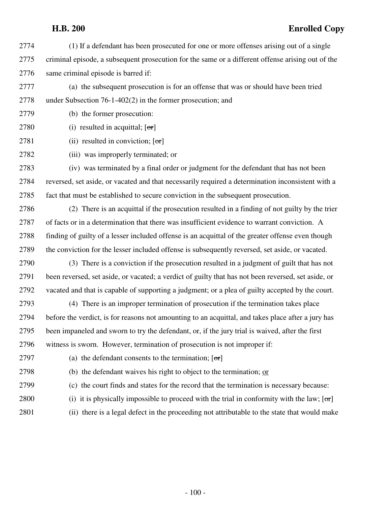- 2774 (1) If a defendant has been prosecuted for one or more offenses arising out of a single 2775 criminal episode, a subsequent prosecution for the same or a different offense arising out of the 2776 same criminal episode is barred if:
- 2777 (a) the subsequent prosecution is for an offense that was or should have been tried 2778 under Subsection 76-1-402(2) in the former prosecution; and
- 2779 (b) the former prosecution:
- 2780 (i) resulted in acquittal;  $[\sigma r]$
- 2781 (ii) resulted in conviction;  $\lceil \sigma r \rceil$
- 2782 (iii) was improperly terminated; or

2783 (iv) was terminated by a final order or judgment for the defendant that has not been 2784 reversed, set aside, or vacated and that necessarily required a determination inconsistent with a 2785 fact that must be established to secure conviction in the subsequent prosecution.

2786 (2) There is an acquittal if the prosecution resulted in a finding of not guilty by the trier 2787 of facts or in a determination that there was insufficient evidence to warrant conviction. A 2788 finding of guilty of a lesser included offense is an acquittal of the greater offense even though 2789 the conviction for the lesser included offense is subsequently reversed, set aside, or vacated.

2790 (3) There is a conviction if the prosecution resulted in a judgment of guilt that has not 2791 been reversed, set aside, or vacated; a verdict of guilty that has not been reversed, set aside, or 2792 vacated and that is capable of supporting a judgment; or a plea of guilty accepted by the court.

2793 (4) There is an improper termination of prosecution if the termination takes place 2794 before the verdict, is for reasons not amounting to an acquittal, and takes place after a jury has 2795 been impaneled and sworn to try the defendant, or, if the jury trial is waived, after the first 2796 witness is sworn. However, termination of prosecution is not improper if:

2797 (a) the defendant consents to the termination;  $[\sigma r]$ 

2798 (b) the defendant waives his right to object to the termination; or

2799 (c) the court finds and states for the record that the termination is necessary because:

- 2800 (i) it is physically impossible to proceed with the trial in conformity with the law;  $\sigma$
- 2801 (ii) there is a legal defect in the proceeding not attributable to the state that would make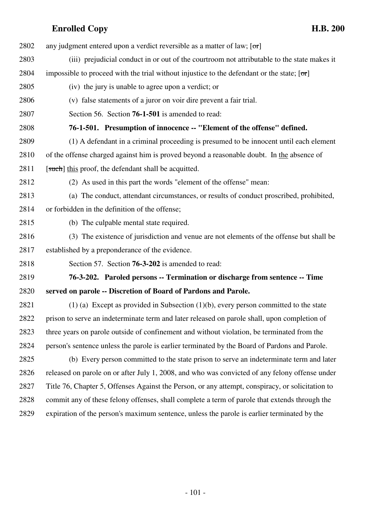2802 any judgment entered upon a verdict reversible as a matter of law;  $[\sigma r]$ 2803 (iii) prejudicial conduct in or out of the courtroom not attributable to the state makes it 2804 impossible to proceed with the trial without injustice to the defendant or the state;  $[\sigma r]$ 2805 (iv) the jury is unable to agree upon a verdict; or 2806 (v) false statements of a juror on voir dire prevent a fair trial. 2807 Section 56. Section **76-1-501** is amended to read: 2808 **76-1-501. Presumption of innocence -- "Element of the offense" defined.** 2809 (1) A defendant in a criminal proceeding is presumed to be innocent until each element 2810 of the offense charged against him is proved beyond a reasonable doubt. In the absence of 2811 [such] this proof, the defendant shall be acquitted. 2812 (2) As used in this part the words "element of the offense" mean: 2813 (a) The conduct, attendant circumstances, or results of conduct proscribed, prohibited, 2814 or forbidden in the definition of the offense; 2815 (b) The culpable mental state required. 2816 (3) The existence of jurisdiction and venue are not elements of the offense but shall be 2817 established by a preponderance of the evidence. 2818 Section 57. Section **76-3-202** is amended to read: 2819 **76-3-202. Paroled persons -- Termination or discharge from sentence -- Time** 2820 **served on parole -- Discretion of Board of Pardons and Parole.** 2821 (1) (a) Except as provided in Subsection (1)(b), every person committed to the state 2822 prison to serve an indeterminate term and later released on parole shall, upon completion of 2823 three years on parole outside of confinement and without violation, be terminated from the 2824 person's sentence unless the parole is earlier terminated by the Board of Pardons and Parole. 2825 (b) Every person committed to the state prison to serve an indeterminate term and later 2826 released on parole on or after July 1, 2008, and who was convicted of any felony offense under 2827 Title 76, Chapter 5, Offenses Against the Person, or any attempt, conspiracy, or solicitation to 2828 commit any of these felony offenses, shall complete a term of parole that extends through the 2829 expiration of the person's maximum sentence, unless the parole is earlier terminated by the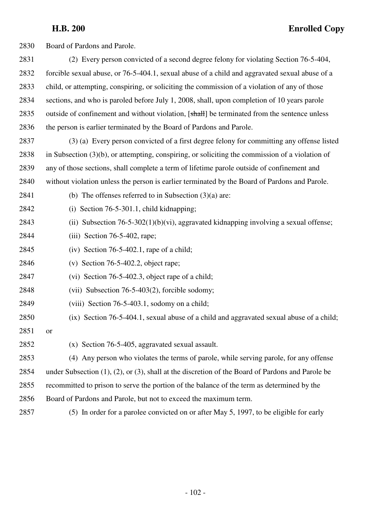| 2830 | Board of Pardons and Parole.                                                                              |
|------|-----------------------------------------------------------------------------------------------------------|
| 2831 | (2) Every person convicted of a second degree felony for violating Section 76-5-404,                      |
| 2832 | forcible sexual abuse, or 76-5-404.1, sexual abuse of a child and aggravated sexual abuse of a            |
| 2833 | child, or attempting, conspiring, or soliciting the commission of a violation of any of those             |
| 2834 | sections, and who is paroled before July 1, 2008, shall, upon completion of 10 years parole               |
| 2835 | outside of confinement and without violation, [shall] be terminated from the sentence unless              |
| 2836 | the person is earlier terminated by the Board of Pardons and Parole.                                      |
| 2837 | (3) (a) Every person convicted of a first degree felony for committing any offense listed                 |
| 2838 | in Subsection $(3)(b)$ , or attempting, conspiring, or soliciting the commission of a violation of        |
| 2839 | any of those sections, shall complete a term of lifetime parole outside of confinement and                |
| 2840 | without violation unless the person is earlier terminated by the Board of Pardons and Parole.             |
| 2841 | (b) The offenses referred to in Subsection $(3)(a)$ are:                                                  |
| 2842 | (i) Section $76-5-301.1$ , child kidnapping;                                                              |
| 2843 | (ii) Subsection $76-5-302(1)(b)(vi)$ , aggravated kidnapping involving a sexual offense;                  |
| 2844 | $(iii)$ Section 76-5-402, rape;                                                                           |
| 2845 | (iv) Section $76-5-402.1$ , rape of a child;                                                              |
| 2846 | (v) Section 76-5-402.2, object rape;                                                                      |
| 2847 | (vi) Section 76-5-402.3, object rape of a child;                                                          |
| 2848 | (vii) Subsection 76-5-403(2), forcible sodomy;                                                            |
| 2849 | (viii) Section 76-5-403.1, sodomy on a child;                                                             |
| 2850 | (ix) Section 76-5-404.1, sexual abuse of a child and aggravated sexual abuse of a child;                  |
| 2851 | <b>or</b>                                                                                                 |
| 2852 | (x) Section 76-5-405, aggravated sexual assault.                                                          |
| 2853 | (4) Any person who violates the terms of parole, while serving parole, for any offense                    |
| 2854 | under Subsection $(1)$ , $(2)$ , or $(3)$ , shall at the discretion of the Board of Pardons and Parole be |
| 2855 | recommitted to prison to serve the portion of the balance of the term as determined by the                |
| 2856 | Board of Pardons and Parole, but not to exceed the maximum term.                                          |
| 2857 | (5) In order for a parolee convicted on or after May 5, 1997, to be eligible for early                    |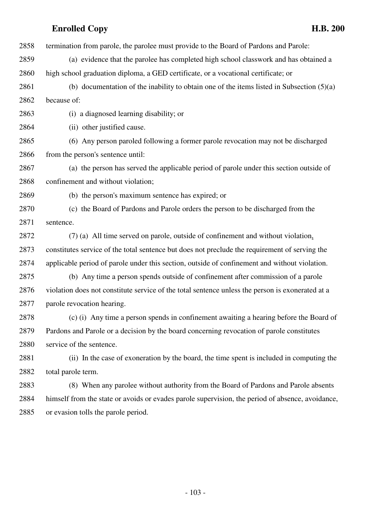2858 termination from parole, the parolee must provide to the Board of Pardons and Parole: 2859 (a) evidence that the parolee has completed high school classwork and has obtained a 2860 high school graduation diploma, a GED certificate, or a vocational certificate; or 2861 (b) documentation of the inability to obtain one of the items listed in Subsection (5)(a) 2862 because of: 2863 (i) a diagnosed learning disability; or 2864 (ii) other justified cause. 2865 (6) Any person paroled following a former parole revocation may not be discharged 2866 from the person's sentence until: 2867 (a) the person has served the applicable period of parole under this section outside of 2868 confinement and without violation; 2869 (b) the person's maximum sentence has expired; or 2870 (c) the Board of Pardons and Parole orders the person to be discharged from the 2871 sentence. 2872 (7) (a) All time served on parole, outside of confinement and without violation, 2873 constitutes service of the total sentence but does not preclude the requirement of serving the 2874 applicable period of parole under this section, outside of confinement and without violation. 2875 (b) Any time a person spends outside of confinement after commission of a parole 2876 violation does not constitute service of the total sentence unless the person is exonerated at a 2877 parole revocation hearing. 2878 (c) (i) Any time a person spends in confinement awaiting a hearing before the Board of 2879 Pardons and Parole or a decision by the board concerning revocation of parole constitutes 2880 service of the sentence. 2881 (ii) In the case of exoneration by the board, the time spent is included in computing the 2882 total parole term. 2883 (8) When any parolee without authority from the Board of Pardons and Parole absents 2884 himself from the state or avoids or evades parole supervision, the period of absence, avoidance, 2885 or evasion tolls the parole period.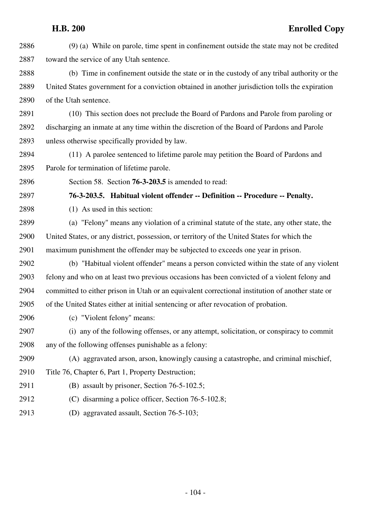| 2886 | (9) (a) While on parole, time spent in confinement outside the state may not be credited         |
|------|--------------------------------------------------------------------------------------------------|
| 2887 | toward the service of any Utah sentence.                                                         |
| 2888 | (b) Time in confinement outside the state or in the custody of any tribal authority or the       |
| 2889 | United States government for a conviction obtained in another jurisdiction tolls the expiration  |
| 2890 | of the Utah sentence.                                                                            |
| 2891 | (10) This section does not preclude the Board of Pardons and Parole from paroling or             |
| 2892 | discharging an inmate at any time within the discretion of the Board of Pardons and Parole       |
| 2893 | unless otherwise specifically provided by law.                                                   |
| 2894 | (11) A parolee sentenced to lifetime parole may petition the Board of Pardons and                |
| 2895 | Parole for termination of lifetime parole.                                                       |
| 2896 | Section 58. Section 76-3-203.5 is amended to read:                                               |
| 2897 | 76-3-203.5. Habitual violent offender -- Definition -- Procedure -- Penalty.                     |
| 2898 | (1) As used in this section:                                                                     |
| 2899 | (a) "Felony" means any violation of a criminal statute of the state, any other state, the        |
| 2900 | United States, or any district, possession, or territory of the United States for which the      |
| 2901 | maximum punishment the offender may be subjected to exceeds one year in prison.                  |
| 2902 | (b) "Habitual violent offender" means a person convicted within the state of any violent         |
| 2903 | felony and who on at least two previous occasions has been convicted of a violent felony and     |
| 2904 | committed to either prison in Utah or an equivalent correctional institution of another state or |
| 2905 | of the United States either at initial sentencing or after revocation of probation.              |
| 2906 | (c) "Violent felony" means:                                                                      |
| 2907 | (i) any of the following offenses, or any attempt, solicitation, or conspiracy to commit         |
| 2908 | any of the following offenses punishable as a felony:                                            |
| 2909 | (A) aggravated arson, arson, knowingly causing a catastrophe, and criminal mischief,             |
| 2910 | Title 76, Chapter 6, Part 1, Property Destruction;                                               |
| 2911 | (B) assault by prisoner, Section 76-5-102.5;                                                     |
| 2912 | (C) disarming a police officer, Section 76-5-102.8;                                              |
| 2913 | (D) aggravated assault, Section 76-5-103;                                                        |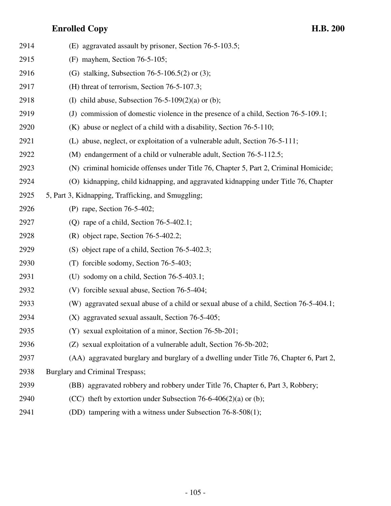| 2914 | (E) aggravated assault by prisoner, Section 76-5-103.5;                                |
|------|----------------------------------------------------------------------------------------|
| 2915 | $(F)$ mayhem, Section 76-5-105;                                                        |
| 2916 | (G) stalking, Subsection 76-5-106.5(2) or (3);                                         |
| 2917 | (H) threat of terrorism, Section 76-5-107.3;                                           |
| 2918 | (I) child abuse, Subsection 76-5-109(2)(a) or (b);                                     |
| 2919 | (J) commission of domestic violence in the presence of a child, Section 76-5-109.1;    |
| 2920 | $(K)$ abuse or neglect of a child with a disability, Section 76-5-110;                 |
| 2921 | (L) abuse, neglect, or exploitation of a vulnerable adult, Section 76-5-111;           |
| 2922 | (M) endangerment of a child or vulnerable adult, Section 76-5-112.5;                   |
| 2923 | (N) criminal homicide offenses under Title 76, Chapter 5, Part 2, Criminal Homicide;   |
| 2924 | (O) kidnapping, child kidnapping, and aggravated kidnapping under Title 76, Chapter    |
| 2925 | 5, Part 3, Kidnapping, Trafficking, and Smuggling;                                     |
| 2926 | (P) rape, Section 76-5-402;                                                            |
| 2927 | (Q) rape of a child, Section $76-5-402.1$ ;                                            |
| 2928 | $(R)$ object rape, Section 76-5-402.2;                                                 |
| 2929 | (S) object rape of a child, Section 76-5-402.3;                                        |
| 2930 | (T) forcible sodomy, Section 76-5-403;                                                 |
| 2931 | (U) sodomy on a child, Section $76-5-403.1$ ;                                          |
| 2932 | (V) forcible sexual abuse, Section 76-5-404;                                           |
| 2933 | (W) aggravated sexual abuse of a child or sexual abuse of a child, Section 76-5-404.1; |
| 2934 | (X) aggravated sexual assault, Section 76-5-405;                                       |
| 2935 | (Y) sexual exploitation of a minor, Section 76-5b-201;                                 |
| 2936 | (Z) sexual exploitation of a vulnerable adult, Section 76-5b-202;                      |
| 2937 | (AA) aggravated burglary and burglary of a dwelling under Title 76, Chapter 6, Part 2, |
| 2938 | Burglary and Criminal Trespass;                                                        |
| 2939 | (BB) aggravated robbery and robbery under Title 76, Chapter 6, Part 3, Robbery;        |
| 2940 | (CC) theft by extortion under Subsection 76-6-406(2)(a) or (b);                        |
| 2941 | (DD) tampering with a witness under Subsection 76-8-508(1);                            |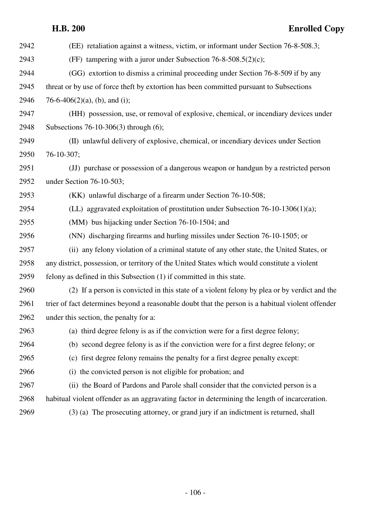# **H.B. 200 Enrolled Copy** 2942 (EE) retaliation against a witness, victim, or informant under Section 76-8-508.3; 2943 (FF) tampering with a juror under Subsection 76-8-508.5(2)(c); 2944 (GG) extortion to dismiss a criminal proceeding under Section 76-8-509 if by any 2945 threat or by use of force theft by extortion has been committed pursuant to Subsections 2946  $76-6-406(2)(a)$ , (b), and (i); 2947 (HH) possession, use, or removal of explosive, chemical, or incendiary devices under 2948 Subsections 76-10-306(3) through (6); 2949 (II) unlawful delivery of explosive, chemical, or incendiary devices under Section 2950 76-10-307; 2951 (JJ) purchase or possession of a dangerous weapon or handgun by a restricted person 2952 under Section 76-10-503; 2953 (KK) unlawful discharge of a firearm under Section 76-10-508; 2954 (LL) aggravated exploitation of prostitution under Subsection 76-10-1306(1)(a); 2955 (MM) bus hijacking under Section 76-10-1504; and 2956 (NN) discharging firearms and hurling missiles under Section 76-10-1505; or 2957 (ii) any felony violation of a criminal statute of any other state, the United States, or 2958 any district, possession, or territory of the United States which would constitute a violent 2959 felony as defined in this Subsection (1) if committed in this state. 2960 (2) If a person is convicted in this state of a violent felony by plea or by verdict and the 2961 trier of fact determines beyond a reasonable doubt that the person is a habitual violent offender 2962 under this section, the penalty for a: 2963 (a) third degree felony is as if the conviction were for a first degree felony; 2964 (b) second degree felony is as if the conviction were for a first degree felony; or 2965 (c) first degree felony remains the penalty for a first degree penalty except: 2966 (i) the convicted person is not eligible for probation; and 2967 (ii) the Board of Pardons and Parole shall consider that the convicted person is a 2968 habitual violent offender as an aggravating factor in determining the length of incarceration. 2969 (3) (a) The prosecuting attorney, or grand jury if an indictment is returned, shall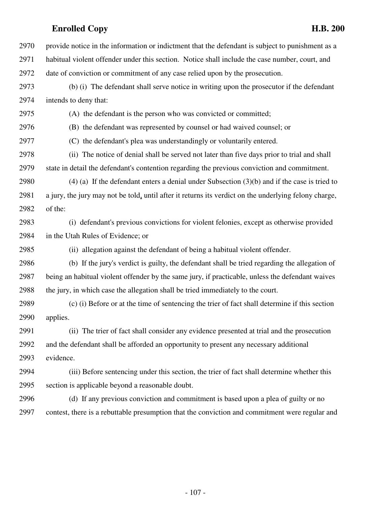2970 provide notice in the information or indictment that the defendant is subject to punishment as a 2971 habitual violent offender under this section. Notice shall include the case number, court, and 2972 date of conviction or commitment of any case relied upon by the prosecution. 2973 (b) (i) The defendant shall serve notice in writing upon the prosecutor if the defendant 2974 intends to deny that: 2975 (A) the defendant is the person who was convicted or committed; 2976 (B) the defendant was represented by counsel or had waived counsel; or 2977 (C) the defendant's plea was understandingly or voluntarily entered. 2978 (ii) The notice of denial shall be served not later than five days prior to trial and shall 2979 state in detail the defendant's contention regarding the previous conviction and commitment. 2980 (4) (a) If the defendant enters a denial under Subsection  $(3)(b)$  and if the case is tried to 2981 a jury, the jury may not be told, until after it returns its verdict on the underlying felony charge, 2982 of the: 2983 (i) defendant's previous convictions for violent felonies, except as otherwise provided 2984 in the Utah Rules of Evidence; or 2985 (ii) allegation against the defendant of being a habitual violent offender. 2986 (b) If the jury's verdict is guilty, the defendant shall be tried regarding the allegation of 2987 being an habitual violent offender by the same jury, if practicable, unless the defendant waives 2988 the jury, in which case the allegation shall be tried immediately to the court. 2989 (c) (i) Before or at the time of sentencing the trier of fact shall determine if this section 2990 applies. 2991 (ii) The trier of fact shall consider any evidence presented at trial and the prosecution 2992 and the defendant shall be afforded an opportunity to present any necessary additional 2993 evidence. 2994 (iii) Before sentencing under this section, the trier of fact shall determine whether this 2995 section is applicable beyond a reasonable doubt. 2996 (d) If any previous conviction and commitment is based upon a plea of guilty or no 2997 contest, there is a rebuttable presumption that the conviction and commitment were regular and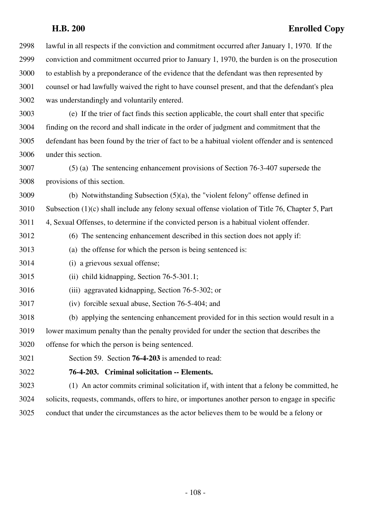2998 lawful in all respects if the conviction and commitment occurred after January 1, 1970. If the 2999 conviction and commitment occurred prior to January 1, 1970, the burden is on the prosecution 3000 to establish by a preponderance of the evidence that the defendant was then represented by 3001 counsel or had lawfully waived the right to have counsel present, and that the defendant's plea 3002 was understandingly and voluntarily entered.

3003 (e) If the trier of fact finds this section applicable, the court shall enter that specific 3004 finding on the record and shall indicate in the order of judgment and commitment that the 3005 defendant has been found by the trier of fact to be a habitual violent offender and is sentenced 3006 under this section.

3007 (5) (a) The sentencing enhancement provisions of Section 76-3-407 supersede the 3008 provisions of this section.

3009 (b) Notwithstanding Subsection (5)(a), the "violent felony" offense defined in 3010 Subsection (1)(c) shall include any felony sexual offense violation of Title 76, Chapter 5, Part 3011 4, Sexual Offenses, to determine if the convicted person is a habitual violent offender.

3012 (6) The sentencing enhancement described in this section does not apply if:

3013 (a) the offense for which the person is being sentenced is:

3014 (i) a grievous sexual offense;

3015 (ii) child kidnapping, Section 76-5-301.1;

3016 (iii) aggravated kidnapping, Section 76-5-302; or

3017 (iv) forcible sexual abuse, Section 76-5-404; and

3018 (b) applying the sentencing enhancement provided for in this section would result in a 3019 lower maximum penalty than the penalty provided for under the section that describes the 3020 offense for which the person is being sentenced.

3021 Section 59. Section **76-4-203** is amended to read:

### 3022 **76-4-203. Criminal solicitation -- Elements.**

3023 (1) An actor commits criminal solicitation if, with intent that a felony be committed, he 3024 solicits, requests, commands, offers to hire, or importunes another person to engage in specific 3025 conduct that under the circumstances as the actor believes them to be would be a felony or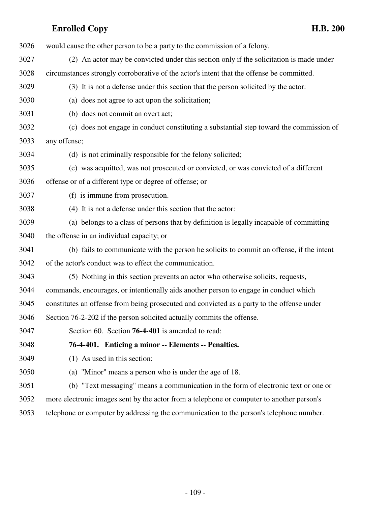| 3026 | would cause the other person to be a party to the commission of a felony.                  |
|------|--------------------------------------------------------------------------------------------|
| 3027 | (2) An actor may be convicted under this section only if the solicitation is made under    |
| 3028 | circumstances strongly corroborative of the actor's intent that the offense be committed.  |
| 3029 | (3) It is not a defense under this section that the person solicited by the actor:         |
| 3030 | (a) does not agree to act upon the solicitation;                                           |
| 3031 | (b) does not commit an overt act;                                                          |
| 3032 | (c) does not engage in conduct constituting a substantial step toward the commission of    |
| 3033 | any offense;                                                                               |
| 3034 | (d) is not criminally responsible for the felony solicited;                                |
| 3035 | (e) was acquitted, was not prosecuted or convicted, or was convicted of a different        |
| 3036 | offense or of a different type or degree of offense; or                                    |
| 3037 | (f) is immune from prosecution.                                                            |
| 3038 | (4) It is not a defense under this section that the actor:                                 |
| 3039 | (a) belongs to a class of persons that by definition is legally incapable of committing    |
| 3040 | the offense in an individual capacity; or                                                  |
| 3041 | (b) fails to communicate with the person he solicits to commit an offense, if the intent   |
| 3042 | of the actor's conduct was to effect the communication.                                    |
| 3043 | (5) Nothing in this section prevents an actor who otherwise solicits, requests,            |
| 3044 | commands, encourages, or intentionally aids another person to engage in conduct which      |
| 3045 | constitutes an offense from being prosecuted and convicted as a party to the offense under |
| 3046 | Section 76-2-202 if the person solicited actually commits the offense.                     |
| 3047 | Section 60. Section <b>76-4-401</b> is amended to read:                                    |
| 3048 | 76-4-401. Enticing a minor -- Elements -- Penalties.                                       |
| 3049 | (1) As used in this section:                                                               |
| 3050 | (a) "Minor" means a person who is under the age of 18.                                     |
| 3051 | (b) "Text messaging" means a communication in the form of electronic text or one or        |
| 3052 | more electronic images sent by the actor from a telephone or computer to another person's  |
|      |                                                                                            |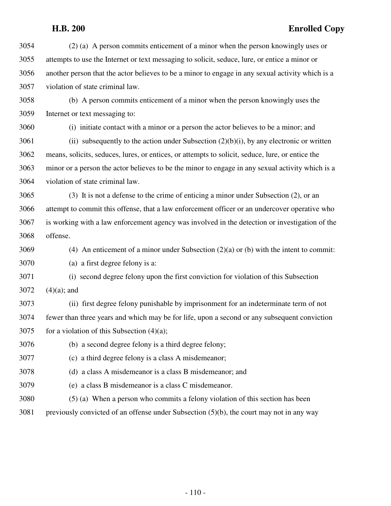3054 (2) (a) A person commits enticement of a minor when the person knowingly uses or 3055 attempts to use the Internet or text messaging to solicit, seduce, lure, or entice a minor or 3056 another person that the actor believes to be a minor to engage in any sexual activity which is a 3057 violation of state criminal law.

3058 (b) A person commits enticement of a minor when the person knowingly uses the 3059 Internet or text messaging to:

3060 (i) initiate contact with a minor or a person the actor believes to be a minor; and

 $3061$  (ii) subsequently to the action under Subsection  $(2)(b)(i)$ , by any electronic or written 3062 means, solicits, seduces, lures, or entices, or attempts to solicit, seduce, lure, or entice the 3063 minor or a person the actor believes to be the minor to engage in any sexual activity which is a 3064 violation of state criminal law.

3065 (3) It is not a defense to the crime of enticing a minor under Subsection (2), or an 3066 attempt to commit this offense, that a law enforcement officer or an undercover operative who 3067 is working with a law enforcement agency was involved in the detection or investigation of the 3068 offense.

3069 (4) An enticement of a minor under Subsection (2)(a) or (b) with the intent to commit:

3070 (a) a first degree felony is a:

3071 (i) second degree felony upon the first conviction for violation of this Subsection 3072  $(4)(a)$ ; and

3073 (ii) first degree felony punishable by imprisonment for an indeterminate term of not 3074 fewer than three years and which may be for life, upon a second or any subsequent conviction  $3075$  for a violation of this Subsection (4)(a);

3076 (b) a second degree felony is a third degree felony;

- 3077 (c) a third degree felony is a class A misdemeanor;
- 3078 (d) a class A misdemeanor is a class B misdemeanor; and
- 3079 (e) a class B misdemeanor is a class C misdemeanor.
- 3080 (5) (a) When a person who commits a felony violation of this section has been
- 3081 previously convicted of an offense under Subsection (5)(b), the court may not in any way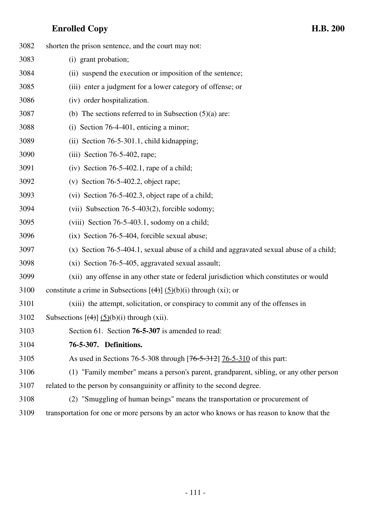| 3082 | shorten the prison sentence, and the court may not:                                         |
|------|---------------------------------------------------------------------------------------------|
| 3083 | (i) grant probation;                                                                        |
| 3084 | (ii) suspend the execution or imposition of the sentence;                                   |
| 3085 | (iii) enter a judgment for a lower category of offense; or                                  |
| 3086 | (iv) order hospitalization.                                                                 |
| 3087 | (b) The sections referred to in Subsection $(5)(a)$ are:                                    |
| 3088 | (i) Section $76-4-401$ , enticing a minor;                                                  |
| 3089 | (ii) Section 76-5-301.1, child kidnapping;                                                  |
| 3090 | $(iii)$ Section 76-5-402, rape;                                                             |
| 3091 | (iv) Section $76-5-402.1$ , rape of a child;                                                |
| 3092 | (v) Section 76-5-402.2, object rape;                                                        |
| 3093 | (vi) Section 76-5-402.3, object rape of a child;                                            |
| 3094 | (vii) Subsection $76-5-403(2)$ , forcible sodomy;                                           |
| 3095 | (viii) Section 76-5-403.1, sodomy on a child;                                               |
| 3096 | (ix) Section 76-5-404, forcible sexual abuse;                                               |
| 3097 | (x) Section 76-5-404.1, sexual abuse of a child and aggravated sexual abuse of a child;     |
| 3098 | (xi) Section 76-5-405, aggravated sexual assault;                                           |
| 3099 | (xii) any offense in any other state or federal jurisdiction which constitutes or would     |
| 3100 | constitute a crime in Subsections $[\left(4\right)] (5)(b)(i)$ through (xi); or             |
| 3101 | (xiii) the attempt, solicitation, or conspiracy to commit any of the offenses in            |
| 3102 | Subsections $[\left(4\right)] \left(5\right)(b)(i)$ through (xii).                          |
| 3103 | Section 61. Section 76-5-307 is amended to read:                                            |
| 3104 | 76-5-307. Definitions.                                                                      |
| 3105 | As used in Sections 76-5-308 through [76-5-312] 76-5-310 of this part:                      |
| 3106 | (1) "Family member" means a person's parent, grandparent, sibling, or any other person      |
| 3107 | related to the person by consanguinity or affinity to the second degree.                    |
| 3108 | (2) "Smuggling of human beings" means the transportation or procurement of                  |
| 3109 | transportation for one or more persons by an actor who knows or has reason to know that the |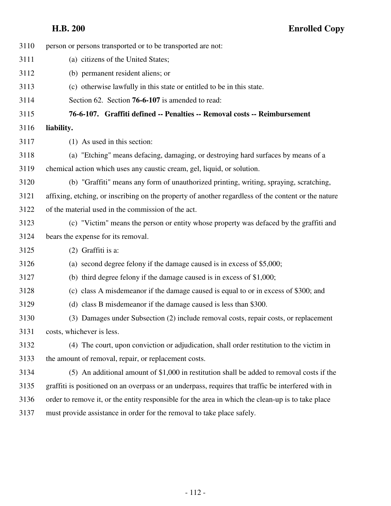| person or persons transported or to be transported are not:                                         |
|-----------------------------------------------------------------------------------------------------|
| (a) citizens of the United States;                                                                  |
| (b) permanent resident aliens; or                                                                   |
| (c) otherwise lawfully in this state or entitled to be in this state.                               |
| Section 62. Section 76-6-107 is amended to read:                                                    |
| 76-6-107. Graffiti defined -- Penalties -- Removal costs -- Reimbursement                           |
| liability.                                                                                          |
| (1) As used in this section:                                                                        |
| (a) "Etching" means defacing, damaging, or destroying hard surfaces by means of a                   |
| chemical action which uses any caustic cream, gel, liquid, or solution.                             |
| (b) "Graffiti" means any form of unauthorized printing, writing, spraying, scratching,              |
| affixing, etching, or inscribing on the property of another regardless of the content or the nature |
| of the material used in the commission of the act.                                                  |
| (c) "Victim" means the person or entity whose property was defaced by the graffiti and              |
| bears the expense for its removal.                                                                  |
| (2) Graffiti is a:                                                                                  |
| (a) second degree felony if the damage caused is in excess of \$5,000;                              |
| (b) third degree felony if the damage caused is in excess of $$1,000$ ;                             |
| (c) class A misdemeanor if the damage caused is equal to or in excess of \$300; and                 |
| (d) class B misdemeanor if the damage caused is less than \$300.                                    |
| (3) Damages under Subsection (2) include removal costs, repair costs, or replacement                |
| costs, whichever is less.                                                                           |
| (4) The court, upon conviction or adjudication, shall order restitution to the victim in            |
| the amount of removal, repair, or replacement costs.                                                |
| (5) An additional amount of \$1,000 in restitution shall be added to removal costs if the           |
| graffiti is positioned on an overpass or an underpass, requires that traffic be interfered with in  |
| order to remove it, or the entity responsible for the area in which the clean-up is to take place   |
| must provide assistance in order for the removal to take place safely.                              |
|                                                                                                     |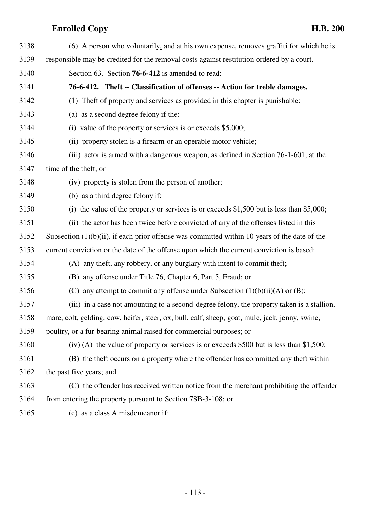| 3138 | (6) A person who voluntarily, and at his own expense, removes graffiti for which he is           |
|------|--------------------------------------------------------------------------------------------------|
| 3139 | responsible may be credited for the removal costs against restitution ordered by a court.        |
| 3140 | Section 63. Section 76-6-412 is amended to read:                                                 |
| 3141 | 76-6-412. Theft -- Classification of offenses -- Action for treble damages.                      |
| 3142 | (1) The ft of property and services as provided in this chapter is punishable:                   |
| 3143 | (a) as a second degree felony if the:                                                            |
| 3144 | (i) value of the property or services is or exceeds \$5,000;                                     |
| 3145 | (ii) property stolen is a firearm or an operable motor vehicle;                                  |
| 3146 | (iii) actor is armed with a dangerous weapon, as defined in Section 76-1-601, at the             |
| 3147 | time of the theft; or                                                                            |
| 3148 | (iv) property is stolen from the person of another;                                              |
| 3149 | (b) as a third degree felony if:                                                                 |
| 3150 | (i) the value of the property or services is or exceeds $$1,500$ but is less than $$5,000$ ;     |
| 3151 | (ii) the actor has been twice before convicted of any of the offenses listed in this             |
| 3152 | Subsection $(1)(b)(ii)$ , if each prior offense was committed within 10 years of the date of the |
| 3153 | current conviction or the date of the offense upon which the current conviction is based:        |
| 3154 | (A) any theft, any robbery, or any burglary with intent to commit theft;                         |
| 3155 | (B) any offense under Title 76, Chapter 6, Part 5, Fraud; or                                     |
| 3156 | (C) any attempt to commit any offense under Subsection $(1)(b)(ii)(A)$ or $(B)$ ;                |
| 3157 | (iii) in a case not amounting to a second-degree felony, the property taken is a stallion,       |
| 3158 | mare, colt, gelding, cow, heifer, steer, ox, bull, calf, sheep, goat, mule, jack, jenny, swine,  |
| 3159 | poultry, or a fur-bearing animal raised for commercial purposes; or                              |
| 3160 | $(iv)$ (A) the value of property or services is or exceeds \$500 but is less than \$1,500;       |
| 3161 | (B) the theft occurs on a property where the offender has committed any theft within             |
| 3162 | the past five years; and                                                                         |
| 3163 | (C) the offender has received written notice from the merchant prohibiting the offender          |
| 3164 | from entering the property pursuant to Section 78B-3-108; or                                     |
| 3165 | (c) as a class A misdemeanor if:                                                                 |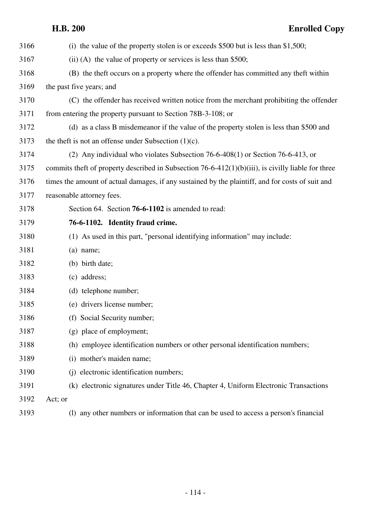| 3166 | (i) the value of the property stolen is or exceeds $$500$ but is less than \$1,500;                |
|------|----------------------------------------------------------------------------------------------------|
| 3167 | $(ii)$ (A) the value of property or services is less than \$500;                                   |
| 3168 | (B) the theft occurs on a property where the offender has committed any theft within               |
| 3169 | the past five years; and                                                                           |
| 3170 | (C) the offender has received written notice from the merchant prohibiting the offender            |
| 3171 | from entering the property pursuant to Section 78B-3-108; or                                       |
| 3172 | (d) as a class B misdemeanor if the value of the property stolen is less than \$500 and            |
| 3173 | the theft is not an offense under Subsection $(1)(c)$ .                                            |
| 3174 | (2) Any individual who violates Subsection $76-6-408(1)$ or Section $76-6-413$ , or                |
| 3175 | commits theft of property described in Subsection 76-6-412(1)(b)(iii), is civilly liable for three |
| 3176 | times the amount of actual damages, if any sustained by the plaintiff, and for costs of suit and   |
| 3177 | reasonable attorney fees.                                                                          |
| 3178 | Section 64. Section 76-6-1102 is amended to read:                                                  |
| 3179 | 76-6-1102. Identity fraud crime.                                                                   |
| 3180 | (1) As used in this part, "personal identifying information" may include:                          |
| 3181 | $(a)$ name;                                                                                        |
| 3182 | (b) birth date;                                                                                    |
| 3183 | (c) address;                                                                                       |
| 3184 | (d) telephone number;                                                                              |
| 3185 | (e) drivers license number;                                                                        |
| 3186 | (f) Social Security number;                                                                        |
| 3187 | (g) place of employment;                                                                           |
| 3188 | (h) employee identification numbers or other personal identification numbers;                      |
| 3189 | (i) mother's maiden name;                                                                          |
| 3190 | (j) electronic identification numbers;                                                             |
| 3191 | (k) electronic signatures under Title 46, Chapter 4, Uniform Electronic Transactions               |
| 3192 | Act; or                                                                                            |
| 3193 | any other numbers or information that can be used to access a person's financial<br>(1)            |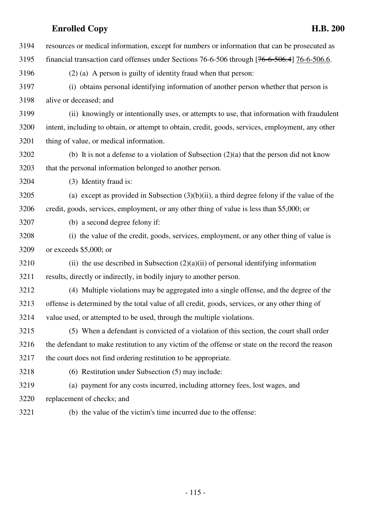| 3194 | resources or medical information, except for numbers or information that can be prosecuted as     |
|------|---------------------------------------------------------------------------------------------------|
| 3195 | financial transaction card offenses under Sections 76-6-506 through [76-6-506.4] 76-6-506.6.      |
| 3196 | $(2)$ (a) A person is guilty of identity fraud when that person:                                  |
| 3197 | (i) obtains personal identifying information of another person whether that person is             |
| 3198 | alive or deceased; and                                                                            |
| 3199 | (ii) knowingly or intentionally uses, or attempts to use, that information with fraudulent        |
| 3200 | intent, including to obtain, or attempt to obtain, credit, goods, services, employment, any other |
| 3201 | thing of value, or medical information.                                                           |
| 3202 | (b) It is not a defense to a violation of Subsection $(2)(a)$ that the person did not know        |
| 3203 | that the personal information belonged to another person.                                         |
| 3204 | (3) Identity fraud is:                                                                            |
| 3205 | (a) except as provided in Subsection $(3)(b)(ii)$ , a third degree felony if the value of the     |
| 3206 | credit, goods, services, employment, or any other thing of value is less than \$5,000; or         |
| 3207 | (b) a second degree felony if:                                                                    |
| 3208 | (i) the value of the credit, goods, services, employment, or any other thing of value is          |
| 3209 | or exceeds $$5,000$ ; or                                                                          |
| 3210 | (ii) the use described in Subsection $(2)(a)(ii)$ of personal identifying information             |
| 3211 | results, directly or indirectly, in bodily injury to another person.                              |
| 3212 | (4) Multiple violations may be aggregated into a single offense, and the degree of the            |
| 3213 | offense is determined by the total value of all credit, goods, services, or any other thing of    |
| 3214 | value used, or attempted to be used, through the multiple violations.                             |
| 3215 | (5) When a defendant is convicted of a violation of this section, the court shall order           |
| 3216 | the defendant to make restitution to any victim of the offense or state on the record the reason  |
| 3217 | the court does not find ordering restitution to be appropriate.                                   |
| 3218 | (6) Restitution under Subsection (5) may include:                                                 |
| 3219 | (a) payment for any costs incurred, including attorney fees, lost wages, and                      |
| 3220 | replacement of checks; and                                                                        |
| 3221 | (b) the value of the victim's time incurred due to the offense:                                   |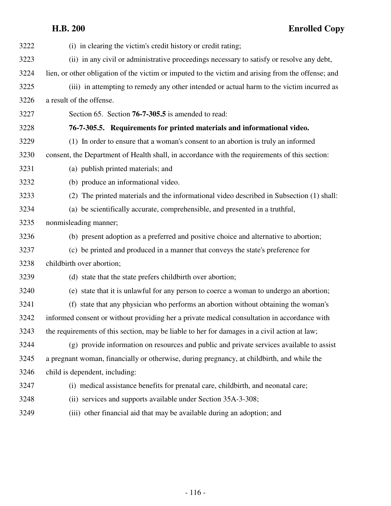| 3222 | (i) in clearing the victim's credit history or credit rating;                                      |
|------|----------------------------------------------------------------------------------------------------|
| 3223 | (ii) in any civil or administrative proceedings necessary to satisfy or resolve any debt,          |
| 3224 | lien, or other obligation of the victim or imputed to the victim and arising from the offense; and |
| 3225 | (iii) in attempting to remedy any other intended or actual harm to the victim incurred as          |
| 3226 | a result of the offense.                                                                           |
| 3227 | Section 65. Section 76-7-305.5 is amended to read:                                                 |
| 3228 | 76-7-305.5. Requirements for printed materials and informational video.                            |
| 3229 | (1) In order to ensure that a woman's consent to an abortion is truly an informed                  |
| 3230 | consent, the Department of Health shall, in accordance with the requirements of this section:      |
| 3231 | (a) publish printed materials; and                                                                 |
| 3232 | (b) produce an informational video.                                                                |
| 3233 | (2) The printed materials and the informational video described in Subsection (1) shall:           |
| 3234 | (a) be scientifically accurate, comprehensible, and presented in a truthful,                       |
| 3235 | nonmisleading manner;                                                                              |
| 3236 | (b) present adoption as a preferred and positive choice and alternative to abortion;               |
| 3237 | (c) be printed and produced in a manner that conveys the state's preference for                    |
| 3238 | childbirth over abortion;                                                                          |
| 3239 | (d) state that the state prefers childbirth over abortion;                                         |
| 3240 | (e) state that it is unlawful for any person to coerce a woman to undergo an abortion;             |
| 3241 | (f) state that any physician who performs an abortion without obtaining the woman's                |
| 3242 | informed consent or without providing her a private medical consultation in accordance with        |
| 3243 | the requirements of this section, may be liable to her for damages in a civil action at law;       |
| 3244 | (g) provide information on resources and public and private services available to assist           |
| 3245 | a pregnant woman, financially or otherwise, during pregnancy, at childbirth, and while the         |
| 3246 | child is dependent, including:                                                                     |
| 3247 | (i) medical assistance benefits for prenatal care, childbirth, and neonatal care;                  |
| 3248 | (ii) services and supports available under Section 35A-3-308;                                      |
| 3249 | (iii) other financial aid that may be available during an adoption; and                            |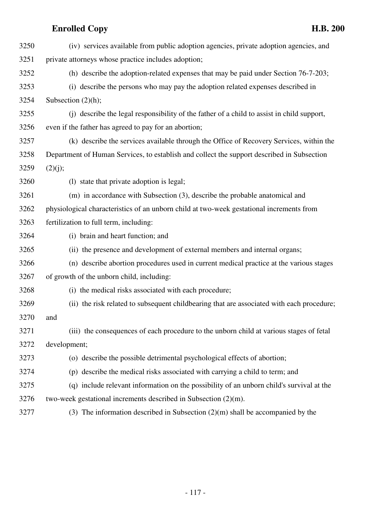| 3250 | (iv) services available from public adoption agencies, private adoption agencies, and      |
|------|--------------------------------------------------------------------------------------------|
| 3251 | private attorneys whose practice includes adoption;                                        |
| 3252 | (h) describe the adoption-related expenses that may be paid under Section 76-7-203;        |
| 3253 | (i) describe the persons who may pay the adoption related expenses described in            |
| 3254 | Subsection $(2)(h)$ ;                                                                      |
| 3255 | (i) describe the legal responsibility of the father of a child to assist in child support, |
| 3256 | even if the father has agreed to pay for an abortion;                                      |
| 3257 | (k) describe the services available through the Office of Recovery Services, within the    |
| 3258 | Department of Human Services, to establish and collect the support described in Subsection |
| 3259 | (2)(j);                                                                                    |
| 3260 | (1) state that private adoption is legal;                                                  |
| 3261 | (m) in accordance with Subsection (3), describe the probable anatomical and                |
| 3262 | physiological characteristics of an unborn child at two-week gestational increments from   |
| 3263 | fertilization to full term, including:                                                     |
| 3264 | (i) brain and heart function; and                                                          |
| 3265 | (ii) the presence and development of external members and internal organs;                 |
| 3266 | (n) describe abortion procedures used in current medical practice at the various stages    |
| 3267 | of growth of the unborn child, including:                                                  |
| 3268 | (i) the medical risks associated with each procedure;                                      |
| 3269 | (ii) the risk related to subsequent childbearing that are associated with each procedure;  |
| 3270 | and                                                                                        |
| 3271 | (iii) the consequences of each procedure to the unborn child at various stages of fetal    |
| 3272 | development;                                                                               |
| 3273 | (o) describe the possible detrimental psychological effects of abortion;                   |
| 3274 | (p) describe the medical risks associated with carrying a child to term; and               |
| 3275 | (q) include relevant information on the possibility of an unborn child's survival at the   |
| 3276 | two-week gestational increments described in Subsection $(2)(m)$ .                         |
| 3277 | (3) The information described in Subsection $(2)(m)$ shall be accompanied by the           |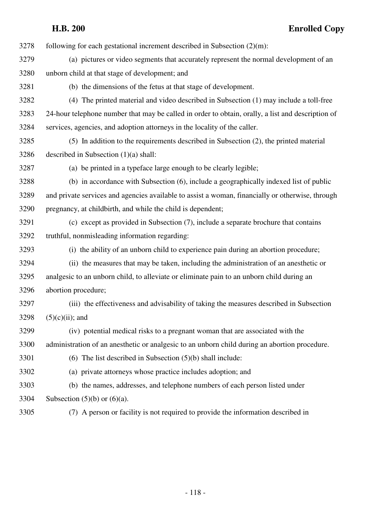$3278$  following for each gestational increment described in Subsection  $(2)(m)$ :

- 3279 (a) pictures or video segments that accurately represent the normal development of an 3280 unborn child at that stage of development; and
- 

3281 (b) the dimensions of the fetus at that stage of development.

- 3282 (4) The printed material and video described in Subsection (1) may include a toll-free 3283 24-hour telephone number that may be called in order to obtain, orally, a list and description of 3284 services, agencies, and adoption attorneys in the locality of the caller.
- 3285 (5) In addition to the requirements described in Subsection (2), the printed material 3286 described in Subsection (1)(a) shall:

3287 (a) be printed in a typeface large enough to be clearly legible;

3288 (b) in accordance with Subsection (6), include a geographically indexed list of public 3289 and private services and agencies available to assist a woman, financially or otherwise, through 3290 pregnancy, at childbirth, and while the child is dependent;

- 3291 (c) except as provided in Subsection (7), include a separate brochure that contains 3292 truthful, nonmisleading information regarding:
- 3293 (i) the ability of an unborn child to experience pain during an abortion procedure;
- 3294 (ii) the measures that may be taken, including the administration of an anesthetic or 3295 analgesic to an unborn child, to alleviate or eliminate pain to an unborn child during an 3296 abortion procedure;
- 3297 (iii) the effectiveness and advisability of taking the measures described in Subsection 3298  $(5)(c)(ii)$ ; and
- 3299 (iv) potential medical risks to a pregnant woman that are associated with the
- 3300 administration of an anesthetic or analgesic to an unborn child during an abortion procedure.
- 3301 (6) The list described in Subsection (5)(b) shall include:
- 3302 (a) private attorneys whose practice includes adoption; and
- 3303 (b) the names, addresses, and telephone numbers of each person listed under 3304 Subsection (5)(b) or (6)(a).
- 

3305 (7) A person or facility is not required to provide the information described in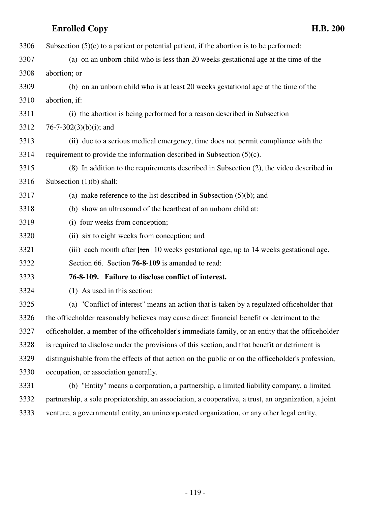| 3306 | Subsection $(5)(c)$ to a patient or potential patient, if the abortion is to be performed:         |
|------|----------------------------------------------------------------------------------------------------|
| 3307 | (a) on an unborn child who is less than 20 weeks gestational age at the time of the                |
| 3308 | abortion; or                                                                                       |
| 3309 | (b) on an unborn child who is at least 20 weeks gestational age at the time of the                 |
| 3310 | abortion, if:                                                                                      |
| 3311 | (i) the abortion is being performed for a reason described in Subsection                           |
| 3312 | 76-7-302 $(3)(b)(i)$ ; and                                                                         |
| 3313 | (ii) due to a serious medical emergency, time does not permit compliance with the                  |
| 3314 | requirement to provide the information described in Subsection $(5)(c)$ .                          |
| 3315 | (8) In addition to the requirements described in Subsection (2), the video described in            |
| 3316 | Subsection $(1)(b)$ shall:                                                                         |
| 3317 | (a) make reference to the list described in Subsection $(5)(b)$ ; and                              |
| 3318 | (b) show an ultrasound of the heartbeat of an unborn child at:                                     |
| 3319 | (i) four weeks from conception;                                                                    |
| 3320 | (ii) six to eight weeks from conception; and                                                       |
| 3321 | (iii) each month after $[ten]$ 10 weeks gestational age, up to 14 weeks gestational age.           |
| 3322 | Section 66. Section 76-8-109 is amended to read:                                                   |
| 3323 | 76-8-109. Failure to disclose conflict of interest.                                                |
| 3324 | (1) As used in this section:                                                                       |
| 3325 | (a) "Conflict of interest" means an action that is taken by a regulated officeholder that          |
| 3326 | the officeholder reasonably believes may cause direct financial benefit or detriment to the        |
| 3327 | officeholder, a member of the officeholder's immediate family, or an entity that the officeholder  |
| 3328 | is required to disclose under the provisions of this section, and that benefit or detriment is     |
| 3329 | distinguishable from the effects of that action on the public or on the officeholder's profession, |
| 3330 | occupation, or association generally.                                                              |
| 3331 | (b) "Entity" means a corporation, a partnership, a limited liability company, a limited            |
|      |                                                                                                    |

3332 partnership, a sole proprietorship, an association, a cooperative, a trust, an organization, a joint 3333 venture, a governmental entity, an unincorporated organization, or any other legal entity,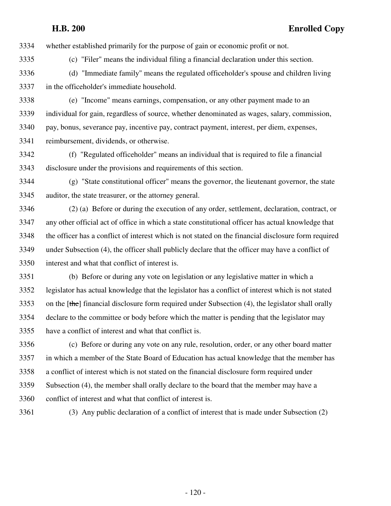3334 whether established primarily for the purpose of gain or economic profit or not.

3335 (c) "Filer" means the individual filing a financial declaration under this section.

3336 (d) "Immediate family" means the regulated officeholder's spouse and children living 3337 in the officeholder's immediate household.

3338 (e) "Income" means earnings, compensation, or any other payment made to an 3339 individual for gain, regardless of source, whether denominated as wages, salary, commission, 3340 pay, bonus, severance pay, incentive pay, contract payment, interest, per diem, expenses, 3341 reimbursement, dividends, or otherwise.

3342 (f) "Regulated officeholder" means an individual that is required to file a financial 3343 disclosure under the provisions and requirements of this section.

3344 (g) "State constitutional officer" means the governor, the lieutenant governor, the state 3345 auditor, the state treasurer, or the attorney general.

3346 (2) (a) Before or during the execution of any order, settlement, declaration, contract, or 3347 any other official act of office in which a state constitutional officer has actual knowledge that 3348 the officer has a conflict of interest which is not stated on the financial disclosure form required 3349 under Subsection (4), the officer shall publicly declare that the officer may have a conflict of 3350 interest and what that conflict of interest is.

3351 (b) Before or during any vote on legislation or any legislative matter in which a 3352 legislator has actual knowledge that the legislator has a conflict of interest which is not stated 3353 on the  $[\theta]$  financial disclosure form required under Subsection (4), the legislator shall orally 3354 declare to the committee or body before which the matter is pending that the legislator may 3355 have a conflict of interest and what that conflict is.

3356 (c) Before or during any vote on any rule, resolution, order, or any other board matter 3357 in which a member of the State Board of Education has actual knowledge that the member has 3358 a conflict of interest which is not stated on the financial disclosure form required under 3359 Subsection (4), the member shall orally declare to the board that the member may have a 3360 conflict of interest and what that conflict of interest is.

3361 (3) Any public declaration of a conflict of interest that is made under Subsection (2)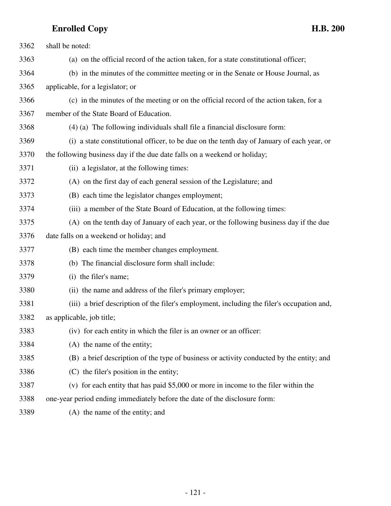| 3362 | shall be noted:                                                                            |
|------|--------------------------------------------------------------------------------------------|
| 3363 | (a) on the official record of the action taken, for a state constitutional officer;        |
| 3364 | (b) in the minutes of the committee meeting or in the Senate or House Journal, as          |
| 3365 | applicable, for a legislator; or                                                           |
| 3366 | (c) in the minutes of the meeting or on the official record of the action taken, for a     |
| 3367 | member of the State Board of Education.                                                    |
| 3368 | (4) (a) The following individuals shall file a financial disclosure form:                  |
| 3369 | (i) a state constitutional officer, to be due on the tenth day of January of each year, or |
| 3370 | the following business day if the due date falls on a weekend or holiday;                  |
| 3371 | (ii) a legislator, at the following times:                                                 |
| 3372 | (A) on the first day of each general session of the Legislature; and                       |
| 3373 | (B) each time the legislator changes employment;                                           |
| 3374 | (iii) a member of the State Board of Education, at the following times:                    |
| 3375 | (A) on the tenth day of January of each year, or the following business day if the due     |
| 3376 | date falls on a weekend or holiday; and                                                    |
| 3377 | (B) each time the member changes employment.                                               |
| 3378 | (b) The financial disclosure form shall include:                                           |
| 3379 | (i) the filer's name;                                                                      |
| 3380 | (ii) the name and address of the filer's primary employer;                                 |
| 3381 | (iii) a brief description of the filer's employment, including the filer's occupation and, |
| 3382 | as applicable, job title;                                                                  |
| 3383 | (iv) for each entity in which the filer is an owner or an officer:                         |
| 3384 | (A) the name of the entity;                                                                |
| 3385 | (B) a brief description of the type of business or activity conducted by the entity; and   |
| 3386 | (C) the filer's position in the entity;                                                    |
| 3387 | (v) for each entity that has paid $$5,000$ or more in income to the filer within the       |
| 3388 | one-year period ending immediately before the date of the disclosure form:                 |
| 3389 | (A) the name of the entity; and                                                            |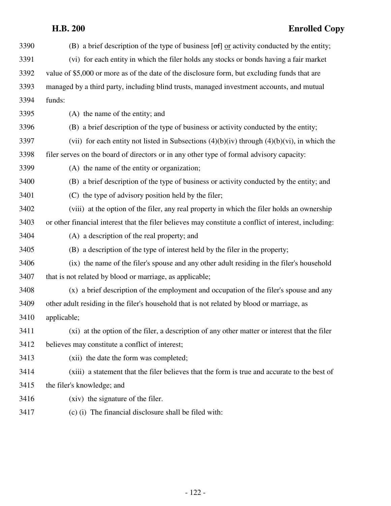| 3390 | (B) a brief description of the type of business $[\sigma f]$ or activity conducted by the entity;     |
|------|-------------------------------------------------------------------------------------------------------|
| 3391 | (vi) for each entity in which the filer holds any stocks or bonds having a fair market                |
| 3392 | value of \$5,000 or more as of the date of the disclosure form, but excluding funds that are          |
| 3393 | managed by a third party, including blind trusts, managed investment accounts, and mutual             |
| 3394 | funds:                                                                                                |
| 3395 | (A) the name of the entity; and                                                                       |
| 3396 | (B) a brief description of the type of business or activity conducted by the entity;                  |
| 3397 | (vii) for each entity not listed in Subsections $(4)(b)(iv)$ through $(4)(b)(vi)$ , in which the      |
| 3398 | filer serves on the board of directors or in any other type of formal advisory capacity:              |
| 3399 | (A) the name of the entity or organization;                                                           |
| 3400 | (B) a brief description of the type of business or activity conducted by the entity; and              |
| 3401 | (C) the type of advisory position held by the filer;                                                  |
| 3402 | (viii) at the option of the filer, any real property in which the filer holds an ownership            |
| 3403 | or other financial interest that the filer believes may constitute a conflict of interest, including: |
| 3404 | (A) a description of the real property; and                                                           |
| 3405 | (B) a description of the type of interest held by the filer in the property;                          |
| 3406 | (ix) the name of the filer's spouse and any other adult residing in the filer's household             |
| 3407 | that is not related by blood or marriage, as applicable;                                              |
| 3408 | (x) a brief description of the employment and occupation of the filer's spouse and any                |
| 3409 | other adult residing in the filer's household that is not related by blood or marriage, as            |
| 3410 | applicable;                                                                                           |
| 3411 | (xi) at the option of the filer, a description of any other matter or interest that the filer         |
| 3412 | believes may constitute a conflict of interest;                                                       |
| 3413 | (xii) the date the form was completed;                                                                |
| 3414 | (xiii) a statement that the filer believes that the form is true and accurate to the best of          |
| 3415 | the filer's knowledge; and                                                                            |
| 3416 | (xiv) the signature of the filer.                                                                     |
| 3417 | (c) (i) The financial disclosure shall be filed with:                                                 |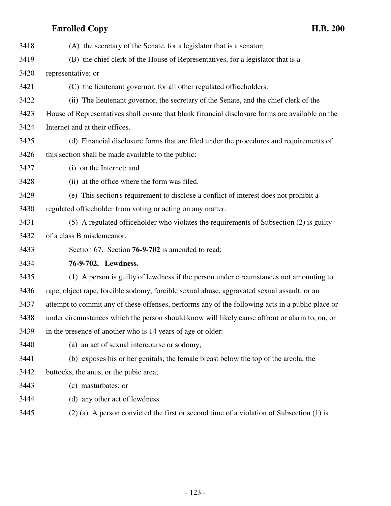3418 (A) the secretary of the Senate, for a legislator that is a senator; 3419 (B) the chief clerk of the House of Representatives, for a legislator that is a 3420 representative; or 3421 (C) the lieutenant governor, for all other regulated officeholders. 3422 (ii) The lieutenant governor, the secretary of the Senate, and the chief clerk of the 3423 House of Representatives shall ensure that blank financial disclosure forms are available on the 3424 Internet and at their offices. 3425 (d) Financial disclosure forms that are filed under the procedures and requirements of 3426 this section shall be made available to the public: 3427 (i) on the Internet; and 3428 (ii) at the office where the form was filed. 3429 (e) This section's requirement to disclose a conflict of interest does not prohibit a 3430 regulated officeholder from voting or acting on any matter. 3431 (5) A regulated officeholder who violates the requirements of Subsection (2) is guilty 3432 of a class B misdemeanor. 3433 Section 67. Section **76-9-702** is amended to read: 3434 **76-9-702. Lewdness.** 3435 (1) A person is guilty of lewdness if the person under circumstances not amounting to 3436 rape, object rape, forcible sodomy, forcible sexual abuse, aggravated sexual assault, or an 3437 attempt to commit any of these offenses, performs any of the following acts in a public place or 3438 under circumstances which the person should know will likely cause affront or alarm to, on, or 3439 in the presence of another who is 14 years of age or older: 3440 (a) an act of sexual intercourse or sodomy; 3441 (b) exposes his or her genitals, the female breast below the top of the areola, the 3442 buttocks, the anus, or the pubic area; 3443 (c) masturbates; or 3444 (d) any other act of lewdness. 3445 (2) (a) A person convicted the first or second time of a violation of Subsection (1) is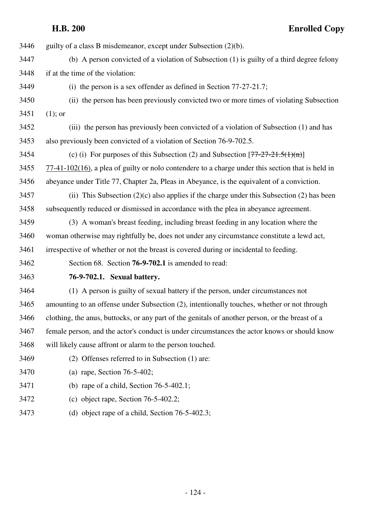**H.B. 200 Enrolled Copy** 3446 guilty of a class B misdemeanor, except under Subsection (2)(b). 3447 (b) A person convicted of a violation of Subsection (1) is guilty of a third degree felony 3448 if at the time of the violation: 3449 (i) the person is a sex offender as defined in Section 77-27-21.7; 3450 (ii) the person has been previously convicted two or more times of violating Subsection 3451 (1); or 3452 (iii) the person has previously been convicted of a violation of Subsection (1) and has 3453 also previously been convicted of a violation of Section 76-9-702.5. 3454 (c) (i) For purposes of this Subsection (2) and Subsection  $[77-27-21.5(1)(n)]$ 3455 77-41-102(16), a plea of guilty or nolo contendere to a charge under this section that is held in 3456 abeyance under Title 77, Chapter 2a, Pleas in Abeyance, is the equivalent of a conviction.  $3457$  (ii) This Subsection (2)(c) also applies if the charge under this Subsection (2) has been 3458 subsequently reduced or dismissed in accordance with the plea in abeyance agreement. 3459 (3) A woman's breast feeding, including breast feeding in any location where the 3460 woman otherwise may rightfully be, does not under any circumstance constitute a lewd act,

3461 irrespective of whether or not the breast is covered during or incidental to feeding.

3462 Section 68. Section **76-9-702.1** is amended to read:

### 3463 **76-9-702.1. Sexual battery.**

3464 (1) A person is guilty of sexual battery if the person, under circumstances not 3465 amounting to an offense under Subsection (2), intentionally touches, whether or not through 3466 clothing, the anus, buttocks, or any part of the genitals of another person, or the breast of a 3467 female person, and the actor's conduct is under circumstances the actor knows or should know 3468 will likely cause affront or alarm to the person touched.

- 3469 (2) Offenses referred to in Subsection (1) are:
- 3470 (a) rape, Section 76-5-402;
- 3471 (b) rape of a child, Section 76-5-402.1;
- 3472 (c) object rape, Section 76-5-402.2;
- 3473 (d) object rape of a child, Section 76-5-402.3;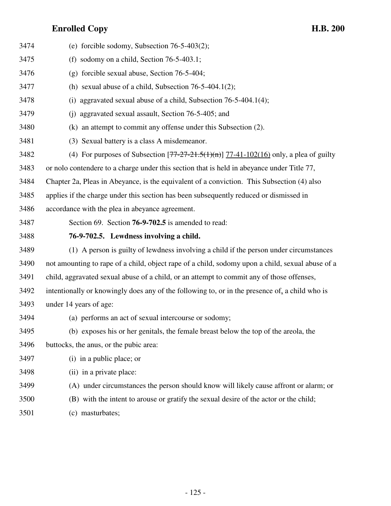| 3474 | (e) forcible sodomy, Subsection $76-5-403(2)$ ;                                                  |
|------|--------------------------------------------------------------------------------------------------|
| 3475 | (f) sodomy on a child, Section $76-5-403.1$ ;                                                    |
| 3476 | $(g)$ forcible sexual abuse, Section 76-5-404;                                                   |
| 3477 | (h) sexual abuse of a child, Subsection $76-5-404.1(2)$ ;                                        |
| 3478 | aggravated sexual abuse of a child, Subsection 76-5-404.1(4);<br>(i)                             |
| 3479 | aggravated sexual assault, Section 76-5-405; and<br>(i)                                          |
| 3480 | (k) an attempt to commit any offense under this Subsection (2).                                  |
| 3481 | (3) Sexual battery is a class A misdemeanor.                                                     |
| 3482 | (4) For purposes of Subsection $[77-27-21.5(1)(n)]$ 77-41-102(16) only, a plea of guilty         |
| 3483 | or nolo contendere to a charge under this section that is held in abeyance under Title 77,       |
| 3484 | Chapter 2a, Pleas in Abeyance, is the equivalent of a conviction. This Subsection (4) also       |
| 3485 | applies if the charge under this section has been subsequently reduced or dismissed in           |
| 3486 | accordance with the plea in abeyance agreement.                                                  |
| 3487 | Section 69. Section 76-9-702.5 is amended to read:                                               |
|      |                                                                                                  |
| 3488 | 76-9-702.5. Lewdness involving a child.                                                          |
| 3489 | (1) A person is guilty of lewdness involving a child if the person under circumstances           |
| 3490 | not amounting to rape of a child, object rape of a child, sodomy upon a child, sexual abuse of a |
| 3491 | child, aggravated sexual abuse of a child, or an attempt to commit any of those offenses,        |
| 3492 | intentionally or knowingly does any of the following to, or in the presence of, a child who is   |
| 3493 | under 14 years of age:                                                                           |
| 3494 | (a) performs an act of sexual intercourse or sodomy;                                             |
| 3495 | (b) exposes his or her genitals, the female breast below the top of the areola, the              |
| 3496 | buttocks, the anus, or the pubic area:                                                           |
| 3497 | (i) in a public place; or                                                                        |
| 3498 | (ii) in a private place:                                                                         |
| 3499 | (A) under circumstances the person should know will likely cause affront or alarm; or            |
| 3500 | (B) with the intent to arouse or gratify the sexual desire of the actor or the child;            |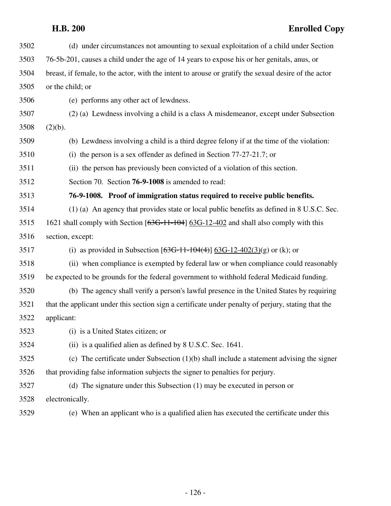| 3502 | (d) under circumstances not amounting to sexual exploitation of a child under Section                |
|------|------------------------------------------------------------------------------------------------------|
| 3503 | 76-5b-201, causes a child under the age of 14 years to expose his or her genitals, anus, or          |
| 3504 | breast, if female, to the actor, with the intent to arouse or gratify the sexual desire of the actor |
| 3505 | or the child; or                                                                                     |
| 3506 | (e) performs any other act of lewdness.                                                              |
| 3507 | (2) (a) Lewdness involving a child is a class A misdemeanor, except under Subsection                 |
| 3508 | (2)(b).                                                                                              |
| 3509 | (b) Lewdness involving a child is a third degree felony if at the time of the violation:             |
| 3510 | (i) the person is a sex offender as defined in Section $77-27-21.7$ ; or                             |
| 3511 | (ii) the person has previously been convicted of a violation of this section.                        |
| 3512 | Section 70. Section <b>76-9-1008</b> is amended to read:                                             |
| 3513 | 76-9-1008. Proof of immigration status required to receive public benefits.                          |
| 3514 | (1) (a) An agency that provides state or local public benefits as defined in 8 U.S.C. Sec.           |
| 3515 | 1621 shall comply with Section [636-11-104] 636-12-402 and shall also comply with this               |
|      |                                                                                                      |
| 3516 | section, except:                                                                                     |
| 3517 | (i) as provided in Subsection $[636-11-104(4)]$ 63G-12-402(3)(g) or (k); or                          |
| 3518 | (ii) when compliance is exempted by federal law or when compliance could reasonably                  |
| 3519 | be expected to be grounds for the federal government to withhold federal Medicaid funding.           |
| 3520 | (b) The agency shall verify a person's lawful presence in the United States by requiring             |
| 3521 | that the applicant under this section sign a certificate under penalty of perjury, stating that the  |
| 3522 | applicant:                                                                                           |
| 3523 | (i) is a United States citizen; or                                                                   |
| 3524 | (ii) is a qualified alien as defined by 8 U.S.C. Sec. 1641.                                          |
| 3525 | (c) The certificate under Subsection (1)(b) shall include a statement advising the signer            |
| 3526 | that providing false information subjects the signer to penalties for perjury.                       |
| 3527 | (d) The signature under this Subsection (1) may be executed in person or                             |
| 3528 | electronically.                                                                                      |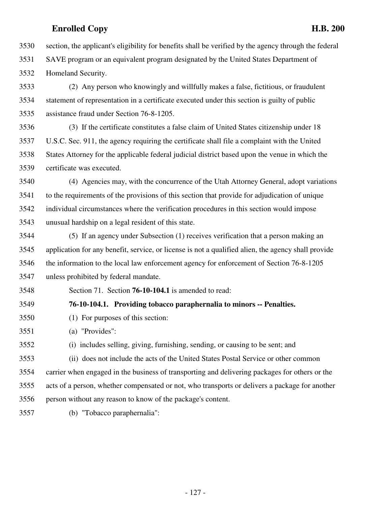3530 section, the applicant's eligibility for benefits shall be verified by the agency through the federal 3531 SAVE program or an equivalent program designated by the United States Department of 3532 Homeland Security.

3533 (2) Any person who knowingly and willfully makes a false, fictitious, or fraudulent 3534 statement of representation in a certificate executed under this section is guilty of public 3535 assistance fraud under Section 76-8-1205.

3536 (3) If the certificate constitutes a false claim of United States citizenship under 18 3537 U.S.C. Sec. 911, the agency requiring the certificate shall file a complaint with the United 3538 States Attorney for the applicable federal judicial district based upon the venue in which the 3539 certificate was executed.

3540 (4) Agencies may, with the concurrence of the Utah Attorney General, adopt variations 3541 to the requirements of the provisions of this section that provide for adjudication of unique 3542 individual circumstances where the verification procedures in this section would impose 3543 unusual hardship on a legal resident of this state.

3544 (5) If an agency under Subsection (1) receives verification that a person making an 3545 application for any benefit, service, or license is not a qualified alien, the agency shall provide 3546 the information to the local law enforcement agency for enforcement of Section 76-8-1205 3547 unless prohibited by federal mandate.

3548 Section 71. Section **76-10-104.1** is amended to read:

### 3549 **76-10-104.1. Providing tobacco paraphernalia to minors -- Penalties.**

3550 (1) For purposes of this section:

3551 (a) "Provides":

3552 (i) includes selling, giving, furnishing, sending, or causing to be sent; and

3553 (ii) does not include the acts of the United States Postal Service or other common 3554 carrier when engaged in the business of transporting and delivering packages for others or the 3555 acts of a person, whether compensated or not, who transports or delivers a package for another 3556 person without any reason to know of the package's content.

3557 (b) "Tobacco paraphernalia":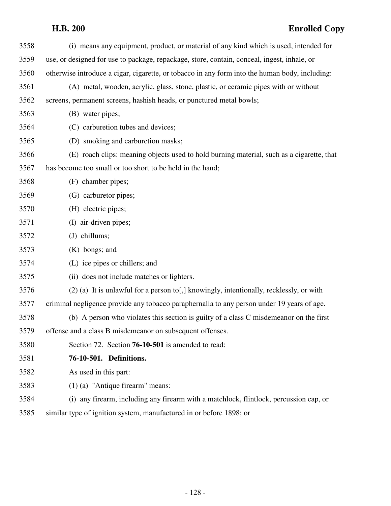| 3558 | (i) means any equipment, product, or material of any kind which is used, intended for          |
|------|------------------------------------------------------------------------------------------------|
| 3559 | use, or designed for use to package, repackage, store, contain, conceal, ingest, inhale, or    |
| 3560 | otherwise introduce a cigar, cigarette, or tobacco in any form into the human body, including: |
| 3561 | (A) metal, wooden, acrylic, glass, stone, plastic, or ceramic pipes with or without            |
| 3562 | screens, permanent screens, hashish heads, or punctured metal bowls;                           |
| 3563 | (B) water pipes;                                                                               |
| 3564 | (C) carburetion tubes and devices;                                                             |
| 3565 | (D) smoking and carburetion masks;                                                             |
| 3566 | (E) roach clips: meaning objects used to hold burning material, such as a cigarette, that      |
| 3567 | has become too small or too short to be held in the hand;                                      |
| 3568 | (F) chamber pipes;                                                                             |
| 3569 | (G) carburetor pipes;                                                                          |
| 3570 | (H) electric pipes;                                                                            |
| 3571 | (I) air-driven pipes;                                                                          |
| 3572 | chillums;<br>(J)                                                                               |
| 3573 | $(K)$ bongs; and                                                                               |
| 3574 | (L) ice pipes or chillers; and                                                                 |
| 3575 | (ii) does not include matches or lighters.                                                     |
| 3576 | $(2)$ (a) It is unlawful for a person to [; ] knowingly, intentionally, recklessly, or with    |
| 3577 | criminal negligence provide any tobacco paraphernalia to any person under 19 years of age.     |
| 3578 | (b) A person who violates this section is guilty of a class C misdemeanor on the first         |
| 3579 | offense and a class B misdemeanor on subsequent offenses.                                      |
| 3580 | Section 72. Section 76-10-501 is amended to read:                                              |
| 3581 | 76-10-501. Definitions.                                                                        |
| 3582 | As used in this part:                                                                          |
| 3583 | $(1)$ (a) "Antique firearm" means:                                                             |
| 3584 | (i) any firearm, including any firearm with a matchlock, flintlock, percussion cap, or         |
| 3585 | similar type of ignition system, manufactured in or before 1898; or                            |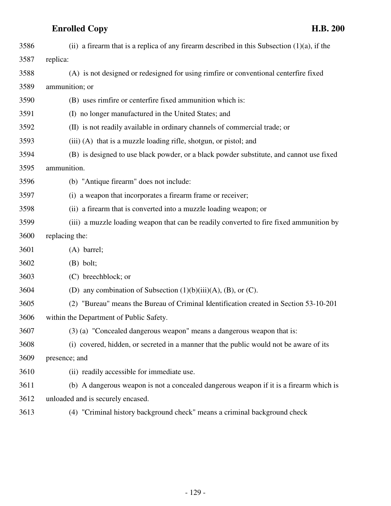| 3586 | (ii) a firearm that is a replica of any firearm described in this Subsection $(1)(a)$ , if the |
|------|------------------------------------------------------------------------------------------------|
| 3587 | replica:                                                                                       |
| 3588 | (A) is not designed or redesigned for using rimfire or conventional centerfire fixed           |
| 3589 | ammunition; or                                                                                 |
| 3590 | (B) uses rimfire or centerfire fixed ammunition which is:                                      |
| 3591 | (I) no longer manufactured in the United States; and                                           |
| 3592 | (II) is not readily available in ordinary channels of commercial trade; or                     |
| 3593 | (iii) (A) that is a muzzle loading rifle, shotgun, or pistol; and                              |
| 3594 | (B) is designed to use black powder, or a black powder substitute, and cannot use fixed        |
| 3595 | ammunition.                                                                                    |
| 3596 | (b) "Antique firearm" does not include:                                                        |
| 3597 | (i) a weapon that incorporates a firearm frame or receiver;                                    |
| 3598 | (ii) a firearm that is converted into a muzzle loading weapon; or                              |
| 3599 | (iii) a muzzle loading weapon that can be readily converted to fire fixed ammunition by        |
| 3600 | replacing the:                                                                                 |
| 3601 | $(A)$ barrel;                                                                                  |
| 3602 | $(B)$ bolt;                                                                                    |
| 3603 | (C) breechblock; or                                                                            |
| 3604 | (D) any combination of Subsection $(1)(b)(iii)(A)$ , $(B)$ , or $(C)$ .                        |
| 3605 |                                                                                                |
|      | (2) "Bureau" means the Bureau of Criminal Identification created in Section 53-10-201          |
| 3606 | within the Department of Public Safety.                                                        |
| 3607 | (3) (a) "Concealed dangerous weapon" means a dangerous weapon that is:                         |
| 3608 | (i) covered, hidden, or secreted in a manner that the public would not be aware of its         |
| 3609 | presence; and                                                                                  |
| 3610 | (ii) readily accessible for immediate use.                                                     |
| 3611 | (b) A dangerous weapon is not a concealed dangerous weapon if it is a firearm which is         |
| 3612 | unloaded and is securely encased.                                                              |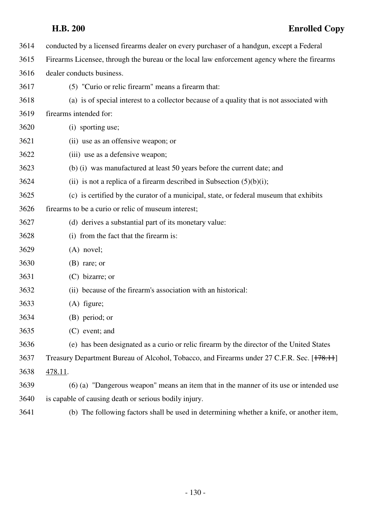| 3614 | conducted by a licensed firearms dealer on every purchaser of a handgun, except a Federal    |
|------|----------------------------------------------------------------------------------------------|
| 3615 | Firearms Licensee, through the bureau or the local law enforcement agency where the firearms |
| 3616 | dealer conducts business.                                                                    |
| 3617 | (5) "Curio or relic firearm" means a firearm that:                                           |
| 3618 | (a) is of special interest to a collector because of a quality that is not associated with   |
| 3619 | firearms intended for:                                                                       |
| 3620 | (i) sporting use;                                                                            |
| 3621 | (ii) use as an offensive weapon; or                                                          |
| 3622 | (iii) use as a defensive weapon;                                                             |
| 3623 | (b) (i) was manufactured at least 50 years before the current date; and                      |
| 3624 | (ii) is not a replica of a firearm described in Subsection $(5)(b)(i)$ ;                     |
| 3625 | (c) is certified by the curator of a municipal, state, or federal museum that exhibits       |
| 3626 | firearms to be a curio or relic of museum interest;                                          |
| 3627 | (d) derives a substantial part of its monetary value:                                        |
| 3628 | (i) from the fact that the firearm is:                                                       |
| 3629 | $(A)$ novel;                                                                                 |
| 3630 | $(B)$ rare; or                                                                               |
| 3631 | $(C)$ bizarre; or                                                                            |
| 3632 | (ii) because of the firearm's association with an historical:                                |
| 3633 | $(A)$ figure;                                                                                |
| 3634 | (B) period; or                                                                               |
| 3635 | $(C)$ event; and                                                                             |
| 3636 | (e) has been designated as a curio or relic firearm by the director of the United States     |
| 3637 | Treasury Department Bureau of Alcohol, Tobacco, and Firearms under 27 C.F.R. Sec. [178.11]   |
| 3638 | 478.11.                                                                                      |
| 3639 | (6) (a) "Dangerous weapon" means an item that in the manner of its use or intended use       |
| 3640 | is capable of causing death or serious bodily injury.                                        |
| 3641 | (b) The following factors shall be used in determining whether a knife, or another item,     |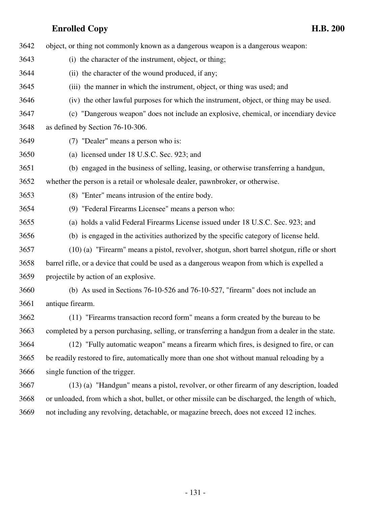3642 object, or thing not commonly known as a dangerous weapon is a dangerous weapon: 3643 (i) the character of the instrument, object, or thing; 3644 (ii) the character of the wound produced, if any; 3645 (iii) the manner in which the instrument, object, or thing was used; and 3646 (iv) the other lawful purposes for which the instrument, object, or thing may be used. 3647 (c) "Dangerous weapon" does not include an explosive, chemical, or incendiary device 3648 as defined by Section 76-10-306. 3649 (7) "Dealer" means a person who is: 3650 (a) licensed under 18 U.S.C. Sec. 923; and 3651 (b) engaged in the business of selling, leasing, or otherwise transferring a handgun, 3652 whether the person is a retail or wholesale dealer, pawnbroker, or otherwise. 3653 (8) "Enter" means intrusion of the entire body. 3654 (9) "Federal Firearms Licensee" means a person who: 3655 (a) holds a valid Federal Firearms License issued under 18 U.S.C. Sec. 923; and 3656 (b) is engaged in the activities authorized by the specific category of license held. 3657 (10) (a) "Firearm" means a pistol, revolver, shotgun, short barrel shotgun, rifle or short 3658 barrel rifle, or a device that could be used as a dangerous weapon from which is expelled a 3659 projectile by action of an explosive. 3660 (b) As used in Sections 76-10-526 and 76-10-527, "firearm" does not include an 3661 antique firearm. 3662 (11) "Firearms transaction record form" means a form created by the bureau to be 3663 completed by a person purchasing, selling, or transferring a handgun from a dealer in the state. 3664 (12) "Fully automatic weapon" means a firearm which fires, is designed to fire, or can 3665 be readily restored to fire, automatically more than one shot without manual reloading by a 3666 single function of the trigger. 3667 (13) (a) "Handgun" means a pistol, revolver, or other firearm of any description, loaded 3668 or unloaded, from which a shot, bullet, or other missile can be discharged, the length of which, 3669 not including any revolving, detachable, or magazine breech, does not exceed 12 inches.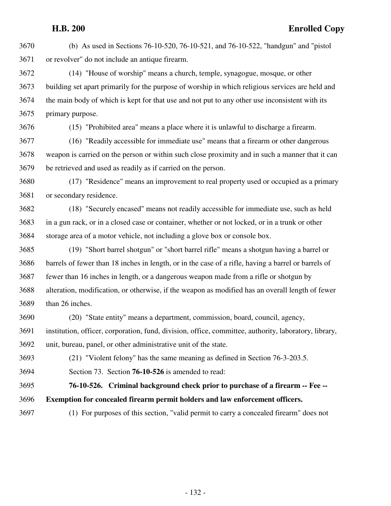3670 (b) As used in Sections 76-10-520, 76-10-521, and 76-10-522, "handgun" and "pistol 3671 or revolver" do not include an antique firearm.

3672 (14) "House of worship" means a church, temple, synagogue, mosque, or other 3673 building set apart primarily for the purpose of worship in which religious services are held and 3674 the main body of which is kept for that use and not put to any other use inconsistent with its 3675 primary purpose.

3676 (15) "Prohibited area" means a place where it is unlawful to discharge a firearm.

3677 (16) "Readily accessible for immediate use" means that a firearm or other dangerous 3678 weapon is carried on the person or within such close proximity and in such a manner that it can 3679 be retrieved and used as readily as if carried on the person.

3680 (17) "Residence" means an improvement to real property used or occupied as a primary 3681 or secondary residence.

3682 (18) "Securely encased" means not readily accessible for immediate use, such as held 3683 in a gun rack, or in a closed case or container, whether or not locked, or in a trunk or other 3684 storage area of a motor vehicle, not including a glove box or console box.

3685 (19) "Short barrel shotgun" or "short barrel rifle" means a shotgun having a barrel or 3686 barrels of fewer than 18 inches in length, or in the case of a rifle, having a barrel or barrels of 3687 fewer than 16 inches in length, or a dangerous weapon made from a rifle or shotgun by 3688 alteration, modification, or otherwise, if the weapon as modified has an overall length of fewer 3689 than 26 inches.

3690 (20) "State entity" means a department, commission, board, council, agency, 3691 institution, officer, corporation, fund, division, office, committee, authority, laboratory, library, 3692 unit, bureau, panel, or other administrative unit of the state.

3693 (21) "Violent felony" has the same meaning as defined in Section 76-3-203.5.

3694 Section 73. Section **76-10-526** is amended to read:

3695 **76-10-526. Criminal background check prior to purchase of a firearm -- Fee --** 3696 **Exemption for concealed firearm permit holders and law enforcement officers.**

3697 (1) For purposes of this section, "valid permit to carry a concealed firearm" does not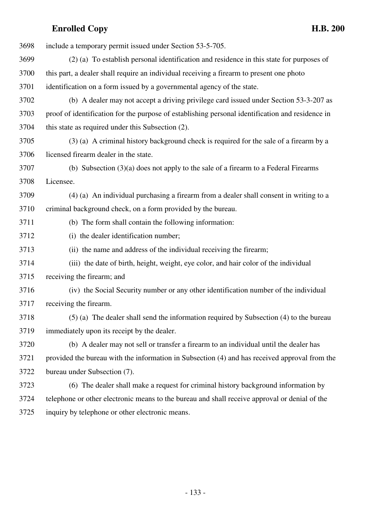| 3698 | include a temporary permit issued under Section 53-5-705.                                        |
|------|--------------------------------------------------------------------------------------------------|
| 3699 | (2) (a) To establish personal identification and residence in this state for purposes of         |
| 3700 | this part, a dealer shall require an individual receiving a firearm to present one photo         |
| 3701 | identification on a form issued by a governmental agency of the state.                           |
| 3702 | (b) A dealer may not accept a driving privilege card issued under Section 53-3-207 as            |
| 3703 | proof of identification for the purpose of establishing personal identification and residence in |
| 3704 | this state as required under this Subsection (2).                                                |
| 3705 | (3) (a) A criminal history background check is required for the sale of a firearm by a           |
| 3706 | licensed firearm dealer in the state.                                                            |
| 3707 | (b) Subsection $(3)(a)$ does not apply to the sale of a firearm to a Federal Firearms            |
| 3708 | Licensee.                                                                                        |
| 3709 | (4) (a) An individual purchasing a firearm from a dealer shall consent in writing to a           |
| 3710 | criminal background check, on a form provided by the bureau.                                     |
| 3711 | (b) The form shall contain the following information:                                            |
| 3712 | (i) the dealer identification number;                                                            |
| 3713 | (ii) the name and address of the individual receiving the firearm;                               |
| 3714 | (iii) the date of birth, height, weight, eye color, and hair color of the individual             |
| 3715 | receiving the firearm; and                                                                       |
| 3716 | (iv) the Social Security number or any other identification number of the individual             |
| 3717 | receiving the firearm.                                                                           |
| 3718 | (5) (a) The dealer shall send the information required by Subsection (4) to the bureau           |
| 3719 | immediately upon its receipt by the dealer.                                                      |
| 3720 | (b) A dealer may not sell or transfer a firearm to an individual until the dealer has            |
| 3721 | provided the bureau with the information in Subsection (4) and has received approval from the    |
| 3722 | bureau under Subsection (7).                                                                     |
| 3723 | (6) The dealer shall make a request for criminal history background information by               |
| 3724 | telephone or other electronic means to the bureau and shall receive approval or denial of the    |
| 3725 | inquiry by telephone or other electronic means.                                                  |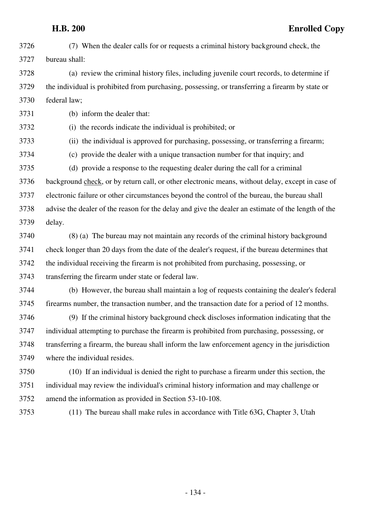3726 (7) When the dealer calls for or requests a criminal history background check, the 3727 bureau shall:

3728 (a) review the criminal history files, including juvenile court records, to determine if 3729 the individual is prohibited from purchasing, possessing, or transferring a firearm by state or 3730 federal law;

3731 (b) inform the dealer that:

3732 (i) the records indicate the individual is prohibited; or

3733 (ii) the individual is approved for purchasing, possessing, or transferring a firearm;

3734 (c) provide the dealer with a unique transaction number for that inquiry; and

3735 (d) provide a response to the requesting dealer during the call for a criminal 3736 background check, or by return call, or other electronic means, without delay, except in case of 3737 electronic failure or other circumstances beyond the control of the bureau, the bureau shall 3738 advise the dealer of the reason for the delay and give the dealer an estimate of the length of the 3739 delay.

3740 (8) (a) The bureau may not maintain any records of the criminal history background 3741 check longer than 20 days from the date of the dealer's request, if the bureau determines that 3742 the individual receiving the firearm is not prohibited from purchasing, possessing, or 3743 transferring the firearm under state or federal law.

3744 (b) However, the bureau shall maintain a log of requests containing the dealer's federal 3745 firearms number, the transaction number, and the transaction date for a period of 12 months.

3746 (9) If the criminal history background check discloses information indicating that the 3747 individual attempting to purchase the firearm is prohibited from purchasing, possessing, or 3748 transferring a firearm, the bureau shall inform the law enforcement agency in the jurisdiction 3749 where the individual resides.

3750 (10) If an individual is denied the right to purchase a firearm under this section, the 3751 individual may review the individual's criminal history information and may challenge or 3752 amend the information as provided in Section 53-10-108.

3753 (11) The bureau shall make rules in accordance with Title 63G, Chapter 3, Utah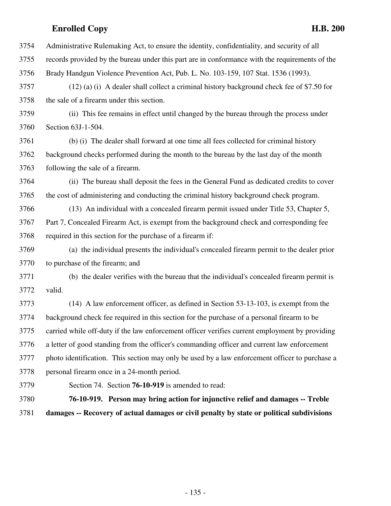3754 Administrative Rulemaking Act, to ensure the identity, confidentiality, and security of all 3755 records provided by the bureau under this part are in conformance with the requirements of the 3756 Brady Handgun Violence Prevention Act, Pub. L. No. 103-159, 107 Stat. 1536 (1993). 3757 (12) (a) (i) A dealer shall collect a criminal history background check fee of \$7.50 for 3758 the sale of a firearm under this section. 3759 (ii) This fee remains in effect until changed by the bureau through the process under 3760 Section 63J-1-504. 3761 (b) (i) The dealer shall forward at one time all fees collected for criminal history 3762 background checks performed during the month to the bureau by the last day of the month 3763 following the sale of a firearm. 3764 (ii) The bureau shall deposit the fees in the General Fund as dedicated credits to cover 3765 the cost of administering and conducting the criminal history background check program. 3766 (13) An individual with a concealed firearm permit issued under Title 53, Chapter 5, 3767 Part 7, Concealed Firearm Act, is exempt from the background check and corresponding fee 3768 required in this section for the purchase of a firearm if: 3769 (a) the individual presents the individual's concealed firearm permit to the dealer prior 3770 to purchase of the firearm; and 3771 (b) the dealer verifies with the bureau that the individual's concealed firearm permit is 3772 valid. 3773 (14) A law enforcement officer, as defined in Section 53-13-103, is exempt from the 3774 background check fee required in this section for the purchase of a personal firearm to be 3775 carried while off-duty if the law enforcement officer verifies current employment by providing 3776 a letter of good standing from the officer's commanding officer and current law enforcement 3777 photo identification. This section may only be used by a law enforcement officer to purchase a 3778 personal firearm once in a 24-month period. 3779 Section 74. Section **76-10-919** is amended to read: 3780 **76-10-919. Person may bring action for injunctive relief and damages -- Treble**

3781 **damages -- Recovery of actual damages or civil penalty by state or political subdivisions**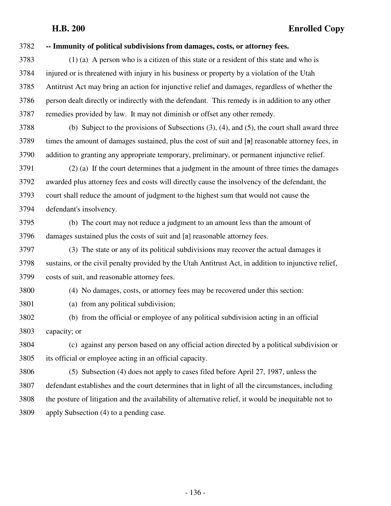| 3782 | -- Immunity of political subdivisions from damages, costs, or attorney fees.                         |
|------|------------------------------------------------------------------------------------------------------|
| 3783 | $(1)$ (a) A person who is a citizen of this state or a resident of this state and who is             |
| 3784 | injured or is threatened with injury in his business or property by a violation of the Utah          |
| 3785 | Antitrust Act may bring an action for injunctive relief and damages, regardless of whether the       |
| 3786 | person dealt directly or indirectly with the defendant. This remedy is in addition to any other      |
| 3787 | remedies provided by law. It may not diminish or offset any other remedy.                            |
| 3788 | (b) Subject to the provisions of Subsections $(3)$ , $(4)$ , and $(5)$ , the court shall award three |
| 3789 | times the amount of damages sustained, plus the cost of suit and [a] reasonable attorney fees, in    |
| 3790 | addition to granting any appropriate temporary, preliminary, or permanent injunctive relief.         |
| 3791 | (2) (a) If the court determines that a judgment in the amount of three times the damages             |
| 3792 | awarded plus attorney fees and costs will directly cause the insolvency of the defendant, the        |
| 3793 | court shall reduce the amount of judgment to the highest sum that would not cause the                |
| 3794 | defendant's insolvency.                                                                              |
| 3795 | (b) The court may not reduce a judgment to an amount less than the amount of                         |
| 3796 | damages sustained plus the costs of suit and $[a]$ reasonable attorney fees.                         |
| 3797 | (3) The state or any of its political subdivisions may recover the actual damages it                 |
| 3798 | sustains, or the civil penalty provided by the Utah Antitrust Act, in addition to injunctive relief, |
| 3799 | costs of suit, and reasonable attorney fees.                                                         |
| 3800 | (4) No damages, costs, or attorney fees may be recovered under this section:                         |
| 3801 | (a) from any political subdivision;                                                                  |
| 3802 | (b) from the official or employee of any political subdivision acting in an official                 |
| 3803 | capacity; or                                                                                         |
| 3804 | (c) against any person based on any official action directed by a political subdivision or           |
| 3805 | its official or employee acting in an official capacity.                                             |
| 3806 | (5) Subsection (4) does not apply to cases filed before April 27, 1987, unless the                   |
| 3807 | defendant establishes and the court determines that in light of all the circumstances, including     |
| 3808 | the posture of litigation and the availability of alternative relief, it would be inequitable not to |
| 3809 | apply Subsection (4) to a pending case.                                                              |
|      |                                                                                                      |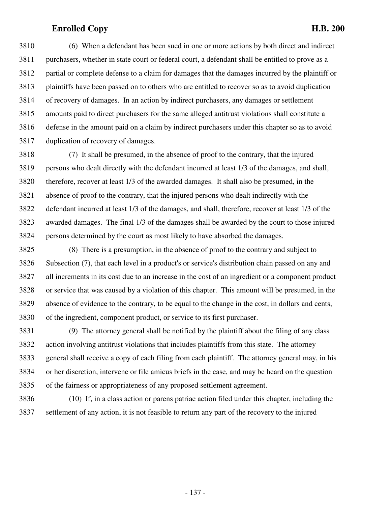3810 (6) When a defendant has been sued in one or more actions by both direct and indirect 3811 purchasers, whether in state court or federal court, a defendant shall be entitled to prove as a 3812 partial or complete defense to a claim for damages that the damages incurred by the plaintiff or 3813 plaintiffs have been passed on to others who are entitled to recover so as to avoid duplication 3814 of recovery of damages. In an action by indirect purchasers, any damages or settlement 3815 amounts paid to direct purchasers for the same alleged antitrust violations shall constitute a 3816 defense in the amount paid on a claim by indirect purchasers under this chapter so as to avoid 3817 duplication of recovery of damages.

3818 (7) It shall be presumed, in the absence of proof to the contrary, that the injured 3819 persons who dealt directly with the defendant incurred at least 1/3 of the damages, and shall, 3820 therefore, recover at least 1/3 of the awarded damages. It shall also be presumed, in the 3821 absence of proof to the contrary, that the injured persons who dealt indirectly with the 3822 defendant incurred at least 1/3 of the damages, and shall, therefore, recover at least 1/3 of the 3823 awarded damages. The final 1/3 of the damages shall be awarded by the court to those injured 3824 persons determined by the court as most likely to have absorbed the damages.

3825 (8) There is a presumption, in the absence of proof to the contrary and subject to 3826 Subsection (7), that each level in a product's or service's distribution chain passed on any and 3827 all increments in its cost due to an increase in the cost of an ingredient or a component product 3828 or service that was caused by a violation of this chapter. This amount will be presumed, in the 3829 absence of evidence to the contrary, to be equal to the change in the cost, in dollars and cents, 3830 of the ingredient, component product, or service to its first purchaser.

3831 (9) The attorney general shall be notified by the plaintiff about the filing of any class 3832 action involving antitrust violations that includes plaintiffs from this state. The attorney 3833 general shall receive a copy of each filing from each plaintiff. The attorney general may, in his 3834 or her discretion, intervene or file amicus briefs in the case, and may be heard on the question 3835 of the fairness or appropriateness of any proposed settlement agreement.

3836 (10) If, in a class action or parens patriae action filed under this chapter, including the 3837 settlement of any action, it is not feasible to return any part of the recovery to the injured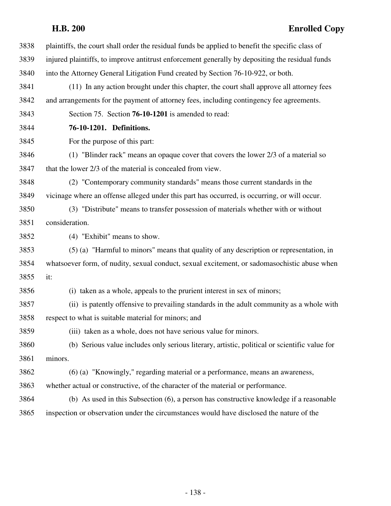| 3838 | plaintiffs, the court shall order the residual funds be applied to benefit the specific class of |
|------|--------------------------------------------------------------------------------------------------|
| 3839 | injured plaintiffs, to improve antitrust enforcement generally by depositing the residual funds  |
| 3840 | into the Attorney General Litigation Fund created by Section 76-10-922, or both.                 |
| 3841 | (11) In any action brought under this chapter, the court shall approve all attorney fees         |
| 3842 | and arrangements for the payment of attorney fees, including contingency fee agreements.         |
| 3843 | Section 75. Section 76-10-1201 is amended to read:                                               |
| 3844 | 76-10-1201. Definitions.                                                                         |
| 3845 | For the purpose of this part:                                                                    |
| 3846 | (1) "Blinder rack" means an opaque cover that covers the lower 2/3 of a material so              |
| 3847 | that the lower 2/3 of the material is concealed from view.                                       |
| 3848 | (2) "Contemporary community standards" means those current standards in the                      |
| 3849 | vicinage where an offense alleged under this part has occurred, is occurring, or will occur.     |
| 3850 | (3) "Distribute" means to transfer possession of materials whether with or without               |
| 3851 | consideration.                                                                                   |
| 3852 | (4) "Exhibit" means to show.                                                                     |
| 3853 | (5) (a) "Harmful to minors" means that quality of any description or representation, in          |
| 3854 | whatsoever form, of nudity, sexual conduct, sexual excitement, or sadomasochistic abuse when     |
| 3855 | it:                                                                                              |
| 3856 | (i) taken as a whole, appeals to the prurient interest in sex of minors;                         |
| 3857 | (ii) is patently offensive to prevailing standards in the adult community as a whole with        |
| 3858 | respect to what is suitable material for minors; and                                             |
| 3859 | (iii) taken as a whole, does not have serious value for minors.                                  |
| 3860 | (b) Serious value includes only serious literary, artistic, political or scientific value for    |
| 3861 | minors.                                                                                          |
| 3862 | (6) (a) "Knowingly," regarding material or a performance, means an awareness,                    |
| 3863 | whether actual or constructive, of the character of the material or performance.                 |
| 3864 | (b) As used in this Subsection (6), a person has constructive knowledge if a reasonable          |
| 3865 | inspection or observation under the circumstances would have disclosed the nature of the         |
|      |                                                                                                  |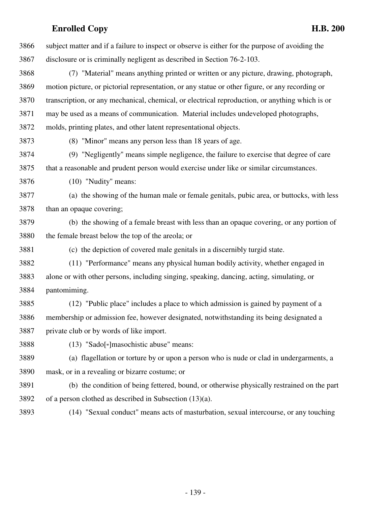3866 subject matter and if a failure to inspect or observe is either for the purpose of avoiding the 3867 disclosure or is criminally negligent as described in Section 76-2-103. 3868 (7) "Material" means anything printed or written or any picture, drawing, photograph, 3869 motion picture, or pictorial representation, or any statue or other figure, or any recording or 3870 transcription, or any mechanical, chemical, or electrical reproduction, or anything which is or 3871 may be used as a means of communication. Material includes undeveloped photographs, 3872 molds, printing plates, and other latent representational objects. 3873 (8) "Minor" means any person less than 18 years of age. 3874 (9) "Negligently" means simple negligence, the failure to exercise that degree of care 3875 that a reasonable and prudent person would exercise under like or similar circumstances. 3876 (10) "Nudity" means: 3877 (a) the showing of the human male or female genitals, pubic area, or buttocks, with less 3878 than an opaque covering; 3879 (b) the showing of a female breast with less than an opaque covering, or any portion of 3880 the female breast below the top of the areola; or 3881 (c) the depiction of covered male genitals in a discernibly turgid state. 3882 (11) "Performance" means any physical human bodily activity, whether engaged in 3883 alone or with other persons, including singing, speaking, dancing, acting, simulating, or 3884 pantomiming. 3885 (12) "Public place" includes a place to which admission is gained by payment of a 3886 membership or admission fee, however designated, notwithstanding its being designated a 3887 private club or by words of like import. 3888 (13) "Sado[-]masochistic abuse" means: 3889 (a) flagellation or torture by or upon a person who is nude or clad in undergarments, a 3890 mask, or in a revealing or bizarre costume; or 3891 (b) the condition of being fettered, bound, or otherwise physically restrained on the part 3892 of a person clothed as described in Subsection (13)(a). 3893 (14) "Sexual conduct" means acts of masturbation, sexual intercourse, or any touching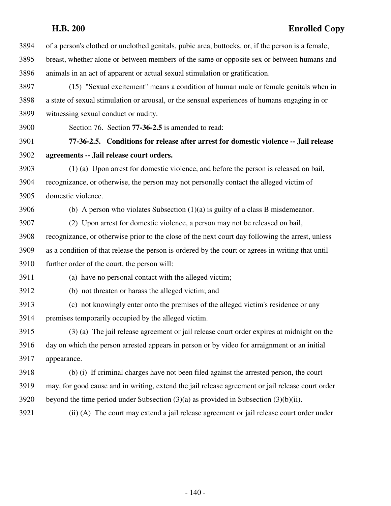3894 of a person's clothed or unclothed genitals, pubic area, buttocks, or, if the person is a female, 3895 breast, whether alone or between members of the same or opposite sex or between humans and 3896 animals in an act of apparent or actual sexual stimulation or gratification. 3897 (15) "Sexual excitement" means a condition of human male or female genitals when in 3898 a state of sexual stimulation or arousal, or the sensual experiences of humans engaging in or 3899 witnessing sexual conduct or nudity.

3900 Section 76. Section **77-36-2.5** is amended to read:

3901 **77-36-2.5. Conditions for release after arrest for domestic violence -- Jail release** 3902 **agreements -- Jail release court orders.**

3903 (1) (a) Upon arrest for domestic violence, and before the person is released on bail, 3904 recognizance, or otherwise, the person may not personally contact the alleged victim of 3905 domestic violence.

3906 (b) A person who violates Subsection  $(1)(a)$  is guilty of a class B misdemeanor.

3907 (2) Upon arrest for domestic violence, a person may not be released on bail, 3908 recognizance, or otherwise prior to the close of the next court day following the arrest, unless 3909 as a condition of that release the person is ordered by the court or agrees in writing that until 3910 further order of the court, the person will:

3911 (a) have no personal contact with the alleged victim;

3912 (b) not threaten or harass the alleged victim; and

3913 (c) not knowingly enter onto the premises of the alleged victim's residence or any 3914 premises temporarily occupied by the alleged victim.

3915 (3) (a) The jail release agreement or jail release court order expires at midnight on the 3916 day on which the person arrested appears in person or by video for arraignment or an initial 3917 appearance.

3918 (b) (i) If criminal charges have not been filed against the arrested person, the court 3919 may, for good cause and in writing, extend the jail release agreement or jail release court order 3920 beyond the time period under Subsection  $(3)(a)$  as provided in Subsection  $(3)(b)(ii)$ .

3921 (ii) (A) The court may extend a jail release agreement or jail release court order under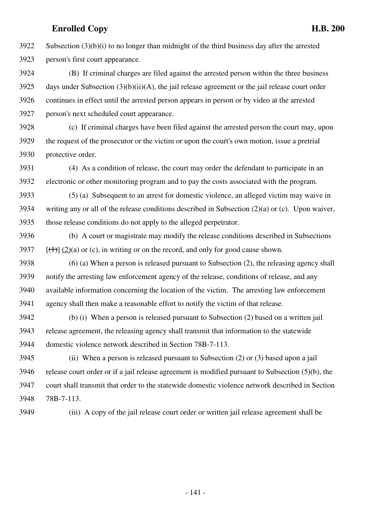$3922$  Subsection  $(3)(b)(i)$  to no longer than midnight of the third business day after the arrested 3923 person's first court appearance.

3924 (B) If criminal charges are filed against the arrested person within the three business 3925 days under Subsection  $(3)(b)(ii)(A)$ , the jail release agreement or the jail release court order 3926 continues in effect until the arrested person appears in person or by video at the arrested 3927 person's next scheduled court appearance.

3928 (c) If criminal charges have been filed against the arrested person the court may, upon 3929 the request of the prosecutor or the victim or upon the court's own motion, issue a pretrial 3930 protective order.

3931 (4) As a condition of release, the court may order the defendant to participate in an 3932 electronic or other monitoring program and to pay the costs associated with the program.

3933 (5) (a) Subsequent to an arrest for domestic violence, an alleged victim may waive in 3934 writing any or all of the release conditions described in Subsection (2)(a) or (c). Upon waiver, 3935 those release conditions do not apply to the alleged perpetrator.

3936 (b) A court or magistrate may modify the release conditions described in Subsections 3937  $[(1)] (2)(a)$  or (c), in writing or on the record, and only for good cause shown.

3938 (6) (a) When a person is released pursuant to Subsection (2), the releasing agency shall 3939 notify the arresting law enforcement agency of the release, conditions of release, and any 3940 available information concerning the location of the victim. The arresting law enforcement 3941 agency shall then make a reasonable effort to notify the victim of that release.

3942 (b) (i) When a person is released pursuant to Subsection (2) based on a written jail 3943 release agreement, the releasing agency shall transmit that information to the statewide 3944 domestic violence network described in Section 78B-7-113.

3945 (ii) When a person is released pursuant to Subsection (2) or (3) based upon a jail 3946 release court order or if a jail release agreement is modified pursuant to Subsection (5)(b), the 3947 court shall transmit that order to the statewide domestic violence network described in Section 3948 78B-7-113.

3949 (iii) A copy of the jail release court order or written jail release agreement shall be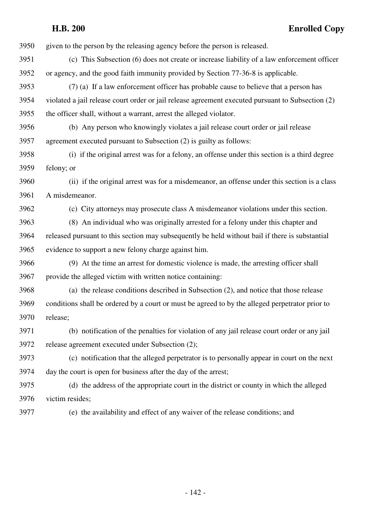**H.B. 200 Enrolled Copy** 3950 given to the person by the releasing agency before the person is released. 3951 (c) This Subsection (6) does not create or increase liability of a law enforcement officer 3952 or agency, and the good faith immunity provided by Section 77-36-8 is applicable. 3953 (7) (a) If a law enforcement officer has probable cause to believe that a person has 3954 violated a jail release court order or jail release agreement executed pursuant to Subsection (2) 3955 the officer shall, without a warrant, arrest the alleged violator. 3956 (b) Any person who knowingly violates a jail release court order or jail release 3957 agreement executed pursuant to Subsection (2) is guilty as follows: 3958 (i) if the original arrest was for a felony, an offense under this section is a third degree 3959 felony; or 3960 (ii) if the original arrest was for a misdemeanor, an offense under this section is a class 3961 A misdemeanor. 3962 (c) City attorneys may prosecute class A misdemeanor violations under this section. 3963 (8) An individual who was originally arrested for a felony under this chapter and 3964 released pursuant to this section may subsequently be held without bail if there is substantial 3965 evidence to support a new felony charge against him. 3966 (9) At the time an arrest for domestic violence is made, the arresting officer shall 3967 provide the alleged victim with written notice containing: 3968 (a) the release conditions described in Subsection (2), and notice that those release 3969 conditions shall be ordered by a court or must be agreed to by the alleged perpetrator prior to 3970 release; 3971 (b) notification of the penalties for violation of any jail release court order or any jail 3972 release agreement executed under Subsection (2); 3973 (c) notification that the alleged perpetrator is to personally appear in court on the next 3974 day the court is open for business after the day of the arrest;

3975 (d) the address of the appropriate court in the district or county in which the alleged 3976 victim resides;

3977 (e) the availability and effect of any waiver of the release conditions; and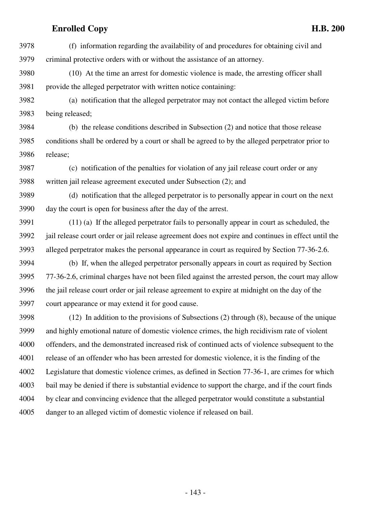3978 (f) information regarding the availability of and procedures for obtaining civil and 3979 criminal protective orders with or without the assistance of an attorney.

3980 (10) At the time an arrest for domestic violence is made, the arresting officer shall 3981 provide the alleged perpetrator with written notice containing:

3982 (a) notification that the alleged perpetrator may not contact the alleged victim before 3983 being released;

3984 (b) the release conditions described in Subsection (2) and notice that those release 3985 conditions shall be ordered by a court or shall be agreed to by the alleged perpetrator prior to 3986 release;

3987 (c) notification of the penalties for violation of any jail release court order or any 3988 written jail release agreement executed under Subsection (2); and

3989 (d) notification that the alleged perpetrator is to personally appear in court on the next 3990 day the court is open for business after the day of the arrest.

3991 (11) (a) If the alleged perpetrator fails to personally appear in court as scheduled, the 3992 jail release court order or jail release agreement does not expire and continues in effect until the 3993 alleged perpetrator makes the personal appearance in court as required by Section 77-36-2.6.

3994 (b) If, when the alleged perpetrator personally appears in court as required by Section 3995 77-36-2.6, criminal charges have not been filed against the arrested person, the court may allow 3996 the jail release court order or jail release agreement to expire at midnight on the day of the 3997 court appearance or may extend it for good cause.

3998 (12) In addition to the provisions of Subsections (2) through (8), because of the unique 3999 and highly emotional nature of domestic violence crimes, the high recidivism rate of violent 4000 offenders, and the demonstrated increased risk of continued acts of violence subsequent to the 4001 release of an offender who has been arrested for domestic violence, it is the finding of the 4002 Legislature that domestic violence crimes, as defined in Section 77-36-1, are crimes for which 4003 bail may be denied if there is substantial evidence to support the charge, and if the court finds 4004 by clear and convincing evidence that the alleged perpetrator would constitute a substantial 4005 danger to an alleged victim of domestic violence if released on bail.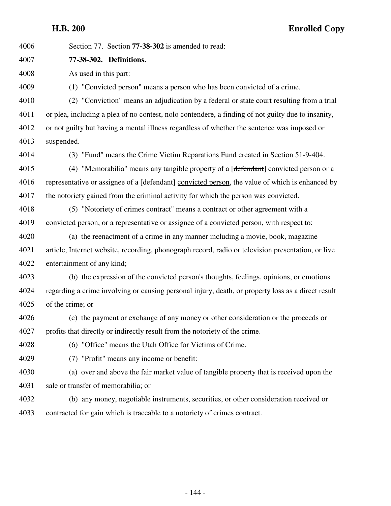| 4006 | Section 77. Section <b>77-38-302</b> is amended to read:                                           |
|------|----------------------------------------------------------------------------------------------------|
| 4007 | 77-38-302. Definitions.                                                                            |
| 4008 | As used in this part:                                                                              |
| 4009 | (1) "Convicted person" means a person who has been convicted of a crime.                           |
| 4010 | (2) "Conviction" means an adjudication by a federal or state court resulting from a trial          |
| 4011 | or plea, including a plea of no contest, nolo contendere, a finding of not guilty due to insanity, |
| 4012 | or not guilty but having a mental illness regardless of whether the sentence was imposed or        |
| 4013 | suspended.                                                                                         |
| 4014 | (3) "Fund" means the Crime Victim Reparations Fund created in Section 51-9-404.                    |
| 4015 | (4) "Memorabilia" means any tangible property of a [defendant] convicted person or a               |
| 4016 | representative or assignee of a [defendant] convicted person, the value of which is enhanced by    |
| 4017 | the notoriety gained from the criminal activity for which the person was convicted.                |
| 4018 | (5) "Notoriety of crimes contract" means a contract or other agreement with a                      |
| 4019 | convicted person, or a representative or assignee of a convicted person, with respect to:          |
| 4020 | (a) the reenactment of a crime in any manner including a movie, book, magazine                     |
| 4021 | article, Internet website, recording, phonograph record, radio or television presentation, or live |
| 4022 | entertainment of any kind;                                                                         |
| 4023 | (b) the expression of the convicted person's thoughts, feelings, opinions, or emotions             |
| 4024 | regarding a crime involving or causing personal injury, death, or property loss as a direct result |
| 4025 | of the crime; or                                                                                   |
| 4026 | (c) the payment or exchange of any money or other consideration or the proceeds or                 |
| 4027 | profits that directly or indirectly result from the notoriety of the crime.                        |
| 4028 | (6) "Office" means the Utah Office for Victims of Crime.                                           |
| 4029 | (7) "Profit" means any income or benefit:                                                          |
| 4030 | (a) over and above the fair market value of tangible property that is received upon the            |
| 4031 | sale or transfer of memorabilia; or                                                                |
| 4032 | (b) any money, negotiable instruments, securities, or other consideration received or              |
| 4033 | contracted for gain which is traceable to a notoriety of crimes contract.                          |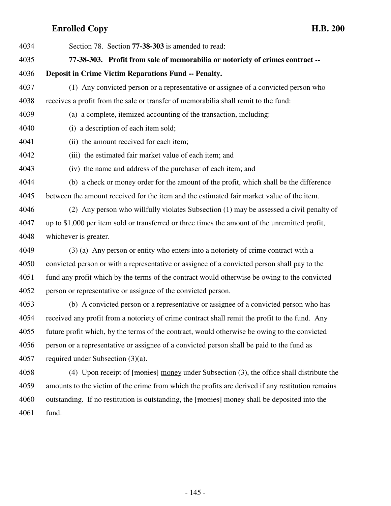| 4034 | Section 78. Section 77-38-303 is amended to read:                                              |
|------|------------------------------------------------------------------------------------------------|
| 4035 | 77-38-303. Profit from sale of memorabilia or notoriety of crimes contract --                  |
| 4036 | <b>Deposit in Crime Victim Reparations Fund -- Penalty.</b>                                    |
| 4037 | (1) Any convicted person or a representative or assignee of a convicted person who             |
| 4038 | receives a profit from the sale or transfer of memorabilia shall remit to the fund:            |
| 4039 | (a) a complete, itemized accounting of the transaction, including:                             |
| 4040 | (i) a description of each item sold;                                                           |
| 4041 | (ii) the amount received for each item;                                                        |
| 4042 | (iii) the estimated fair market value of each item; and                                        |
| 4043 | (iv) the name and address of the purchaser of each item; and                                   |
| 4044 | (b) a check or money order for the amount of the profit, which shall be the difference         |
| 4045 | between the amount received for the item and the estimated fair market value of the item.      |
| 4046 | (2) Any person who willfully violates Subsection (1) may be assessed a civil penalty of        |
| 4047 | up to \$1,000 per item sold or transferred or three times the amount of the unremitted profit, |
| 4048 | whichever is greater.                                                                          |
| 4049 | (3) (a) Any person or entity who enters into a notoriety of crime contract with a              |
| 4050 | convicted person or with a representative or assignee of a convicted person shall pay to the   |
| 4051 | fund any profit which by the terms of the contract would otherwise be owing to the convicted   |
| 4052 | person or representative or assignee of the convicted person.                                  |
| 4053 | (b) A convicted person or a representative or assignee of a convicted person who has           |
| 4054 | received any profit from a notoriety of crime contract shall remit the profit to the fund. Any |
| 4055 | future profit which, by the terms of the contract, would otherwise be owing to the convicted   |
| 4056 | person or a representative or assignee of a convicted person shall be paid to the fund as      |
| 4057 | required under Subsection $(3)(a)$ .                                                           |

4058 (4) Upon receipt of [monies] money under Subsection (3), the office shall distribute the 4059 amounts to the victim of the crime from which the profits are derived if any restitution remains 4060 outstanding. If no restitution is outstanding, the [monies] money shall be deposited into the 4061 fund.

- 145 -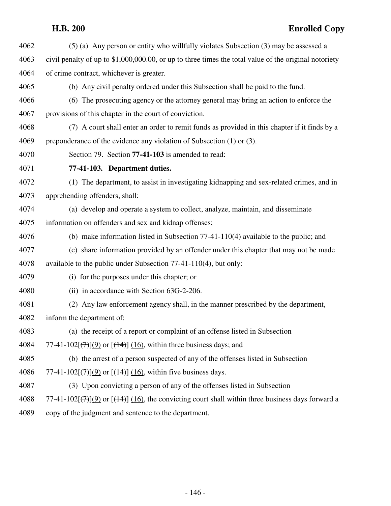# **H.B. 200 Enrolled Copy**

| 4062 | $(5)$ (a) Any person or entity who willfully violates Subsection (3) may be assessed a                                         |
|------|--------------------------------------------------------------------------------------------------------------------------------|
| 4063 | civil penalty of up to \$1,000,000.00, or up to three times the total value of the original notoriety                          |
| 4064 | of crime contract, whichever is greater.                                                                                       |
| 4065 | (b) Any civil penalty ordered under this Subsection shall be paid to the fund.                                                 |
| 4066 | (6) The prosecuting agency or the attorney general may bring an action to enforce the                                          |
| 4067 | provisions of this chapter in the court of conviction.                                                                         |
| 4068 | (7) A court shall enter an order to remit funds as provided in this chapter if it finds by a                                   |
| 4069 | preponderance of the evidence any violation of Subsection (1) or (3).                                                          |
| 4070 | Section 79. Section 77-41-103 is amended to read:                                                                              |
| 4071 | 77-41-103. Department duties.                                                                                                  |
| 4072 | (1) The department, to assist in investigating kidnapping and sex-related crimes, and in                                       |
| 4073 | apprehending offenders, shall:                                                                                                 |
| 4074 | (a) develop and operate a system to collect, analyze, maintain, and disseminate                                                |
| 4075 | information on offenders and sex and kidnap offenses;                                                                          |
| 4076 | (b) make information listed in Subsection $77-41-110(4)$ available to the public; and                                          |
| 4077 | (c) share information provided by an offender under this chapter that may not be made                                          |
| 4078 | available to the public under Subsection $77-41-110(4)$ , but only:                                                            |
| 4079 | (i) for the purposes under this chapter; or                                                                                    |
| 4080 | (ii) in accordance with Section 63G-2-206.                                                                                     |
| 4081 | (2) Any law enforcement agency shall, in the manner prescribed by the department,                                              |
| 4082 | inform the department of:                                                                                                      |
| 4083 | (a) the receipt of a report or complaint of an offense listed in Subsection                                                    |
| 4084 | 77-41-102[ $(\overline{\tau})$ ](9) or [ $(\overline{\tau})$ ] (16), within three business days; and                           |
| 4085 | (b) the arrest of a person suspected of any of the offenses listed in Subsection                                               |
| 4086 | 77-41-102 $[\frac{(7)}{9}]$ or $[\frac{(14)}{10}]$ , within five business days.                                                |
| 4087 | (3) Upon convicting a person of any of the offenses listed in Subsection                                                       |
| 4088 | 77-41-102[ $(\frac{7}{(7)})(9)$ or [ $(\frac{14}{(16)})(16)$ , the convicting court shall within three business days forward a |
| 4089 | copy of the judgment and sentence to the department.                                                                           |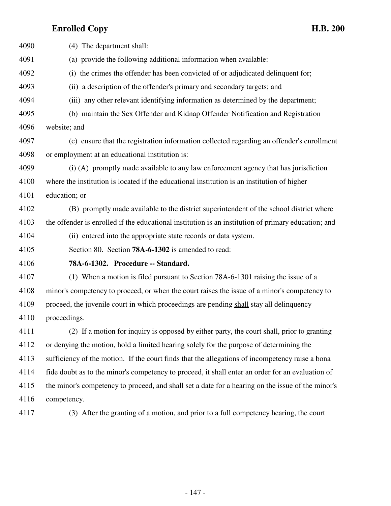| 4090 | (4) The department shall:                                                                           |
|------|-----------------------------------------------------------------------------------------------------|
| 4091 | (a) provide the following additional information when available:                                    |
| 4092 | (i) the crimes the offender has been convicted of or adjudicated delinquent for;                    |
| 4093 | (ii) a description of the offender's primary and secondary targets; and                             |
| 4094 | (iii) any other relevant identifying information as determined by the department;                   |
| 4095 | (b) maintain the Sex Offender and Kidnap Offender Notification and Registration                     |
| 4096 | website; and                                                                                        |
| 4097 | (c) ensure that the registration information collected regarding an offender's enrollment           |
| 4098 | or employment at an educational institution is:                                                     |
| 4099 | (i) (A) promptly made available to any law enforcement agency that has jurisdiction                 |
| 4100 | where the institution is located if the educational institution is an institution of higher         |
| 4101 | education; or                                                                                       |
| 4102 | (B) promptly made available to the district superintendent of the school district where             |
| 4103 | the offender is enrolled if the educational institution is an institution of primary education; and |
| 4104 | (ii) entered into the appropriate state records or data system.                                     |
| 4105 | Section 80. Section 78A-6-1302 is amended to read:                                                  |
| 4106 | 78A-6-1302. Procedure -- Standard.                                                                  |
| 4107 | (1) When a motion is filed pursuant to Section 78A-6-1301 raising the issue of a                    |
| 4108 | minor's competency to proceed, or when the court raises the issue of a minor's competency to        |
| 4109 | proceed, the juvenile court in which proceedings are pending shall stay all delinquency             |
| 4110 | proceedings.                                                                                        |
| 4111 | (2) If a motion for inquiry is opposed by either party, the court shall, prior to granting          |
| 4112 | or denying the motion, hold a limited hearing solely for the purpose of determining the             |
| 4113 | sufficiency of the motion. If the court finds that the allegations of incompetency raise a bona     |
| 4114 | fide doubt as to the minor's competency to proceed, it shall enter an order for an evaluation of    |
| 4115 | the minor's competency to proceed, and shall set a date for a hearing on the issue of the minor's   |
| 4116 | competency.                                                                                         |

4117 (3) After the granting of a motion, and prior to a full competency hearing, the court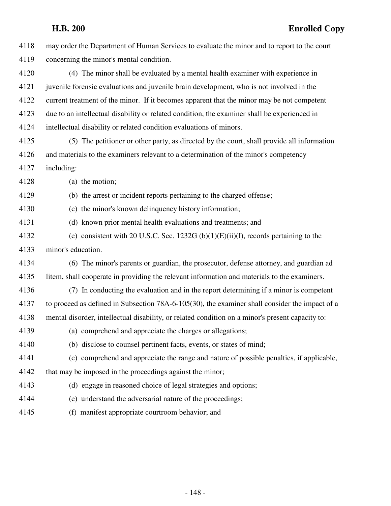| 4118 | may order the Department of Human Services to evaluate the minor and to report to the court      |
|------|--------------------------------------------------------------------------------------------------|
| 4119 | concerning the minor's mental condition.                                                         |
| 4120 | (4) The minor shall be evaluated by a mental health examiner with experience in                  |
| 4121 | juvenile forensic evaluations and juvenile brain development, who is not involved in the         |
| 4122 | current treatment of the minor. If it becomes apparent that the minor may be not competent       |
| 4123 | due to an intellectual disability or related condition, the examiner shall be experienced in     |
| 4124 | intellectual disability or related condition evaluations of minors.                              |
| 4125 | (5) The petitioner or other party, as directed by the court, shall provide all information       |
| 4126 | and materials to the examiners relevant to a determination of the minor's competency             |
| 4127 | including:                                                                                       |
| 4128 | (a) the motion;                                                                                  |
| 4129 | (b) the arrest or incident reports pertaining to the charged offense;                            |
| 4130 | (c) the minor's known delinquency history information;                                           |
| 4131 | (d) known prior mental health evaluations and treatments; and                                    |
| 4132 | (e) consistent with 20 U.S.C. Sec. 1232G (b) $(1)(E)(ii)(I)$ , records pertaining to the         |
| 4133 | minor's education.                                                                               |
| 4134 | (6) The minor's parents or guardian, the prosecutor, defense attorney, and guardian ad           |
| 4135 | litem, shall cooperate in providing the relevant information and materials to the examiners.     |
| 4136 | (7) In conducting the evaluation and in the report determining if a minor is competent           |
| 4137 | to proceed as defined in Subsection 78A-6-105(30), the examiner shall consider the impact of a   |
| 4138 | mental disorder, intellectual disability, or related condition on a minor's present capacity to: |
| 4139 | (a) comprehend and appreciate the charges or allegations;                                        |
| 4140 | (b) disclose to counsel pertinent facts, events, or states of mind;                              |
| 4141 | (c) comprehend and appreciate the range and nature of possible penalties, if applicable,         |
| 4142 | that may be imposed in the proceedings against the minor;                                        |
| 4143 | (d) engage in reasoned choice of legal strategies and options;                                   |
| 4144 | (e) understand the adversarial nature of the proceedings;                                        |
| 4145 | (f) manifest appropriate courtroom behavior; and                                                 |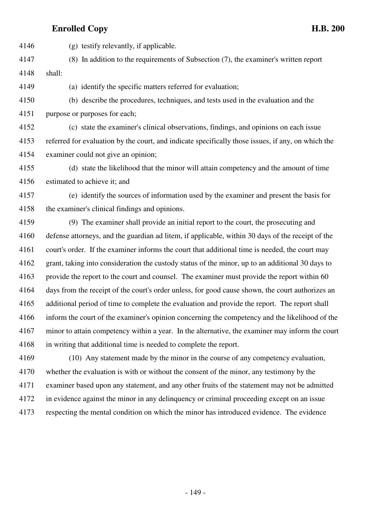4146 (g) testify relevantly, if applicable.

4147 (8) In addition to the requirements of Subsection (7), the examiner's written report 4148 shall:

4149 (a) identify the specific matters referred for evaluation;

4150 (b) describe the procedures, techniques, and tests used in the evaluation and the 4151 purpose or purposes for each;

4152 (c) state the examiner's clinical observations, findings, and opinions on each issue 4153 referred for evaluation by the court, and indicate specifically those issues, if any, on which the 4154 examiner could not give an opinion;

4155 (d) state the likelihood that the minor will attain competency and the amount of time 4156 estimated to achieve it; and

4157 (e) identify the sources of information used by the examiner and present the basis for 4158 the examiner's clinical findings and opinions.

4159 (9) The examiner shall provide an initial report to the court, the prosecuting and 4160 defense attorneys, and the guardian ad litem, if applicable, within 30 days of the receipt of the 4161 court's order. If the examiner informs the court that additional time is needed, the court may 4162 grant, taking into consideration the custody status of the minor, up to an additional 30 days to 4163 provide the report to the court and counsel. The examiner must provide the report within 60 4164 days from the receipt of the court's order unless, for good cause shown, the court authorizes an 4165 additional period of time to complete the evaluation and provide the report. The report shall 4166 inform the court of the examiner's opinion concerning the competency and the likelihood of the 4167 minor to attain competency within a year. In the alternative, the examiner may inform the court 4168 in writing that additional time is needed to complete the report.

4169 (10) Any statement made by the minor in the course of any competency evaluation, 4170 whether the evaluation is with or without the consent of the minor, any testimony by the 4171 examiner based upon any statement, and any other fruits of the statement may not be admitted 4172 in evidence against the minor in any delinquency or criminal proceeding except on an issue 4173 respecting the mental condition on which the minor has introduced evidence. The evidence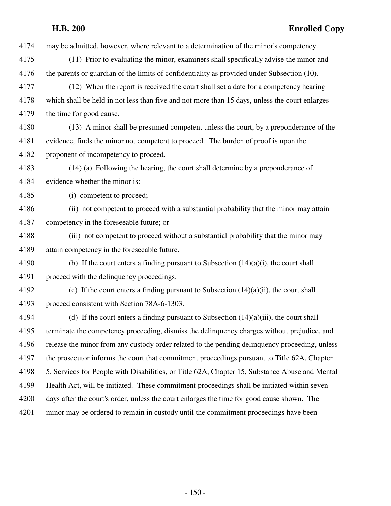4174 may be admitted, however, where relevant to a determination of the minor's competency. 4175 (11) Prior to evaluating the minor, examiners shall specifically advise the minor and 4176 the parents or guardian of the limits of confidentiality as provided under Subsection (10). 4177 (12) When the report is received the court shall set a date for a competency hearing 4178 which shall be held in not less than five and not more than 15 days, unless the court enlarges 4179 the time for good cause. 4180 (13) A minor shall be presumed competent unless the court, by a preponderance of the 4181 evidence, finds the minor not competent to proceed. The burden of proof is upon the 4182 proponent of incompetency to proceed. 4183 (14) (a) Following the hearing, the court shall determine by a preponderance of 4184 evidence whether the minor is: 4185 (i) competent to proceed; 4186 (ii) not competent to proceed with a substantial probability that the minor may attain 4187 competency in the foreseeable future; or 4188 (iii) not competent to proceed without a substantial probability that the minor may 4189 attain competency in the foreseeable future. 4190 (b) If the court enters a finding pursuant to Subsection  $(14)(a)(i)$ , the court shall 4191 proceed with the delinquency proceedings. 4192 (c) If the court enters a finding pursuant to Subsection (14)(a)(ii), the court shall 4193 proceed consistent with Section 78A-6-1303. 4194 (d) If the court enters a finding pursuant to Subsection (14)(a)(iii), the court shall 4195 terminate the competency proceeding, dismiss the delinquency charges without prejudice, and 4196 release the minor from any custody order related to the pending delinquency proceeding, unless 4197 the prosecutor informs the court that commitment proceedings pursuant to Title 62A, Chapter 4198 5, Services for People with Disabilities, or Title 62A, Chapter 15, Substance Abuse and Mental 4199 Health Act, will be initiated. These commitment proceedings shall be initiated within seven 4200 days after the court's order, unless the court enlarges the time for good cause shown. The 4201 minor may be ordered to remain in custody until the commitment proceedings have been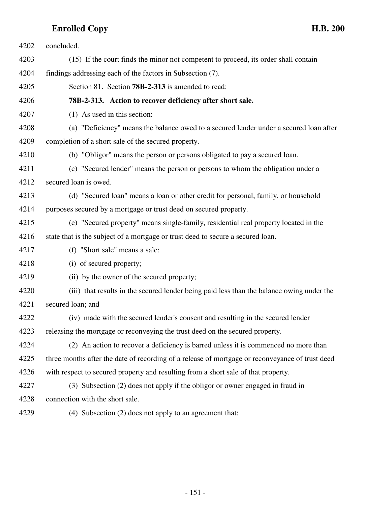| 4202 | concluded.                                                                                      |
|------|-------------------------------------------------------------------------------------------------|
| 4203 | (15) If the court finds the minor not competent to proceed, its order shall contain             |
| 4204 | findings addressing each of the factors in Subsection (7).                                      |
| 4205 | Section 81. Section <b>78B-2-313</b> is amended to read:                                        |
| 4206 | 78B-2-313. Action to recover deficiency after short sale.                                       |
| 4207 | (1) As used in this section:                                                                    |
| 4208 | (a) "Deficiency" means the balance owed to a secured lender under a secured loan after          |
| 4209 | completion of a short sale of the secured property.                                             |
| 4210 | (b) "Obligor" means the person or persons obligated to pay a secured loan.                      |
| 4211 | (c) "Secured lender" means the person or persons to whom the obligation under a                 |
| 4212 | secured loan is owed.                                                                           |
| 4213 | (d) "Secured loan" means a loan or other credit for personal, family, or household              |
| 4214 | purposes secured by a mortgage or trust deed on secured property.                               |
| 4215 | (e) "Secured property" means single-family, residential real property located in the            |
| 4216 | state that is the subject of a mortgage or trust deed to secure a secured loan.                 |
| 4217 | (f) "Short sale" means a sale:                                                                  |
| 4218 | (i) of secured property;                                                                        |
| 4219 | (ii) by the owner of the secured property;                                                      |
| 4220 | (iii) that results in the secured lender being paid less than the balance owing under the       |
| 4221 | secured loan; and                                                                               |
| 4222 | (iv) made with the secured lender's consent and resulting in the secured lender                 |
| 4223 | releasing the mortgage or reconveying the trust deed on the secured property.                   |
| 4224 | (2) An action to recover a deficiency is barred unless it is commenced no more than             |
| 4225 | three months after the date of recording of a release of mortgage or reconveyance of trust deed |
| 4226 | with respect to secured property and resulting from a short sale of that property.              |
| 4227 | (3) Subsection (2) does not apply if the obligor or owner engaged in fraud in                   |
| 4228 | connection with the short sale.                                                                 |
| 4229 | (4) Subsection (2) does not apply to an agreement that:                                         |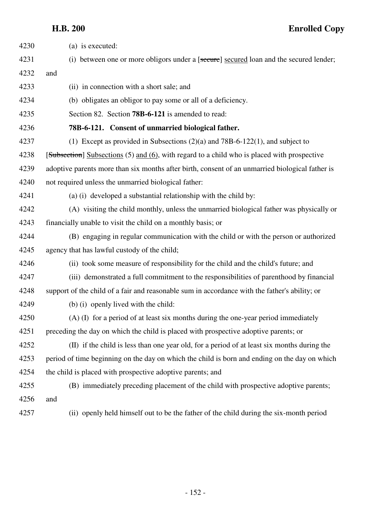**H.B. 200 Enrolled Copy**

| 4230 | (a) is executed:                                                                                |
|------|-------------------------------------------------------------------------------------------------|
| 4231 | (i) between one or more obligors under a [secure] secured loan and the secured lender;          |
| 4232 | and                                                                                             |
| 4233 | (ii) in connection with a short sale; and                                                       |
| 4234 | (b) obligates an obligor to pay some or all of a deficiency.                                    |
| 4235 | Section 82. Section 78B-6-121 is amended to read:                                               |
| 4236 | 78B-6-121. Consent of unmarried biological father.                                              |
| 4237 | (1) Except as provided in Subsections $(2)(a)$ and 78B-6-122(1), and subject to                 |
| 4238 | [Subsection] Subsections (5) and (6), with regard to a child who is placed with prospective     |
| 4239 | adoptive parents more than six months after birth, consent of an unmarried biological father is |
| 4240 | not required unless the unmarried biological father:                                            |
| 4241 | (a) (i) developed a substantial relationship with the child by:                                 |
| 4242 | (A) visiting the child monthly, unless the unmarried biological father was physically or        |
| 4243 | financially unable to visit the child on a monthly basis; or                                    |
| 4244 | (B) engaging in regular communication with the child or with the person or authorized           |
| 4245 | agency that has lawful custody of the child;                                                    |
| 4246 | (ii) took some measure of responsibility for the child and the child's future; and              |
| 4247 | (iii) demonstrated a full commitment to the responsibilities of parenthood by financial         |
| 4248 | support of the child of a fair and reasonable sum in accordance with the father's ability; or   |
| 4249 | (b) (i) openly lived with the child:                                                            |
| 4250 | (A) (I) for a period of at least six months during the one-year period immediately              |
| 4251 | preceding the day on which the child is placed with prospective adoptive parents; or            |
| 4252 | (II) if the child is less than one year old, for a period of at least six months during the     |
| 4253 | period of time beginning on the day on which the child is born and ending on the day on which   |
| 4254 | the child is placed with prospective adoptive parents; and                                      |
| 4255 | (B) immediately preceding placement of the child with prospective adoptive parents;             |
| 4256 | and                                                                                             |
| 4257 | (ii) openly held himself out to be the father of the child during the six-month period          |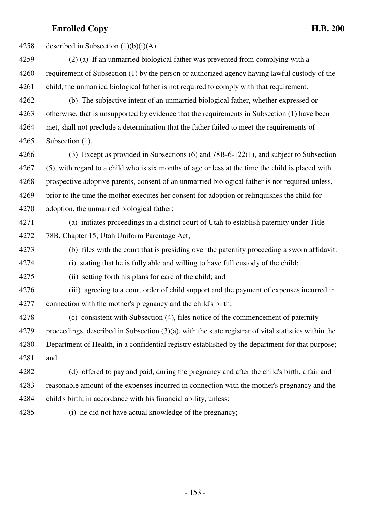4258 described in Subsection  $(1)(b)(i)(A)$ .

4259 (2) (a) If an unmarried biological father was prevented from complying with a 4260 requirement of Subsection (1) by the person or authorized agency having lawful custody of the 4261 child, the unmarried biological father is not required to comply with that requirement.

4262 (b) The subjective intent of an unmarried biological father, whether expressed or 4263 otherwise, that is unsupported by evidence that the requirements in Subsection (1) have been 4264 met, shall not preclude a determination that the father failed to meet the requirements of 4265 Subsection (1).

4266 (3) Except as provided in Subsections (6) and 78B-6-122(1), and subject to Subsection 4267 (5), with regard to a child who is six months of age or less at the time the child is placed with 4268 prospective adoptive parents, consent of an unmarried biological father is not required unless, 4269 prior to the time the mother executes her consent for adoption or relinquishes the child for 4270 adoption, the unmarried biological father:

4271 (a) initiates proceedings in a district court of Utah to establish paternity under Title 4272 78B, Chapter 15, Utah Uniform Parentage Act;

4273 (b) files with the court that is presiding over the paternity proceeding a sworn affidavit:

4274 (i) stating that he is fully able and willing to have full custody of the child;

4275 (ii) setting forth his plans for care of the child; and

4276 (iii) agreeing to a court order of child support and the payment of expenses incurred in 4277 connection with the mother's pregnancy and the child's birth;

4278 (c) consistent with Subsection (4), files notice of the commencement of paternity 4279 proceedings, described in Subsection (3)(a), with the state registrar of vital statistics within the 4280 Department of Health, in a confidential registry established by the department for that purpose; 4281 and

4282 (d) offered to pay and paid, during the pregnancy and after the child's birth, a fair and 4283 reasonable amount of the expenses incurred in connection with the mother's pregnancy and the 4284 child's birth, in accordance with his financial ability, unless:

4285 (i) he did not have actual knowledge of the pregnancy;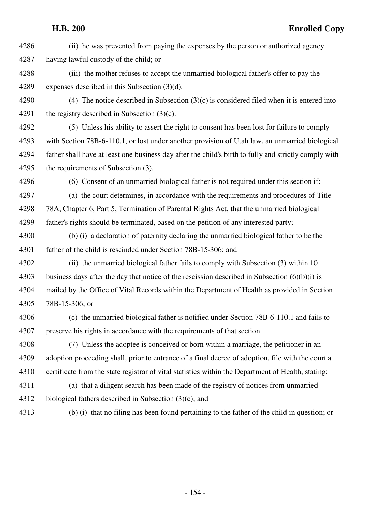4286 (ii) he was prevented from paying the expenses by the person or authorized agency 4287 having lawful custody of the child; or

4288 (iii) the mother refuses to accept the unmarried biological father's offer to pay the 4289 expenses described in this Subsection (3)(d).

4290 (4) The notice described in Subsection  $(3)(c)$  is considered filed when it is entered into 4291 the registry described in Subsection  $(3)(c)$ .

4292 (5) Unless his ability to assert the right to consent has been lost for failure to comply 4293 with Section 78B-6-110.1, or lost under another provision of Utah law, an unmarried biological 4294 father shall have at least one business day after the child's birth to fully and strictly comply with 4295 the requirements of Subsection (3).

4296 (6) Consent of an unmarried biological father is not required under this section if:

4297 (a) the court determines, in accordance with the requirements and procedures of Title 4298 78A, Chapter 6, Part 5, Termination of Parental Rights Act, that the unmarried biological 4299 father's rights should be terminated, based on the petition of any interested party;

4300 (b) (i) a declaration of paternity declaring the unmarried biological father to be the 4301 father of the child is rescinded under Section 78B-15-306; and

- 4302 (ii) the unmarried biological father fails to comply with Subsection (3) within 10 4303 business days after the day that notice of the rescission described in Subsection (6)(b)(i) is 4304 mailed by the Office of Vital Records within the Department of Health as provided in Section 4305 78B-15-306; or
- 4306 (c) the unmarried biological father is notified under Section 78B-6-110.1 and fails to 4307 preserve his rights in accordance with the requirements of that section.

4308 (7) Unless the adoptee is conceived or born within a marriage, the petitioner in an 4309 adoption proceeding shall, prior to entrance of a final decree of adoption, file with the court a 4310 certificate from the state registrar of vital statistics within the Department of Health, stating:

- 4311 (a) that a diligent search has been made of the registry of notices from unmarried 4312 biological fathers described in Subsection (3)(c); and
- 

4313 (b) (i) that no filing has been found pertaining to the father of the child in question; or